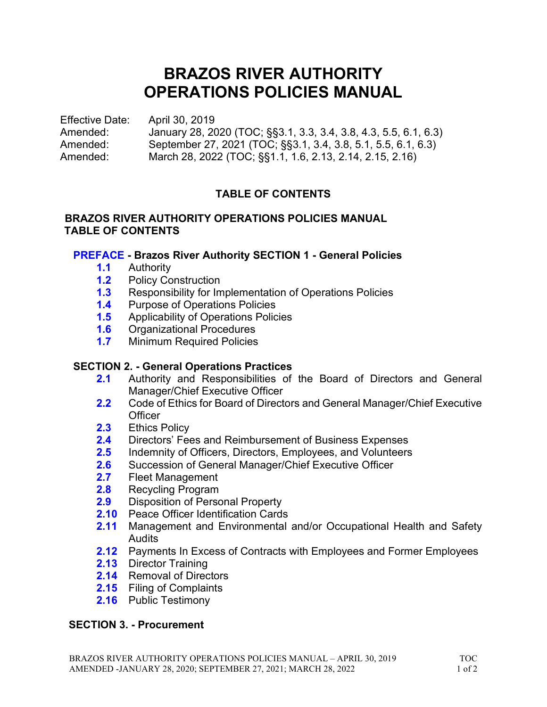# BRAZOS RIVER AUTHORITY OPERATIONS POLICIES MANUAL

Effective Date: April 30, 2019 Amended: January 28, 2020 (TOC; §§3.1, 3.3, 3.4, 3.8, 4.3, 5.5, 6.1, 6.3) Amended: September 27, 2021 (TOC; §§3.1, 3.4, 3.8, 5.1, 5.5, 6.1, 6.3) Amended: March 28, 2022 (TOC; §§1.1, 1.6, 2.13, 2.14, 2.15, 2.16)

# TABLE OF CONTENTS

# BRAZOS RIVER AUTHORITY OPERATIONS POLICIES MANUAL TABLE OF CONTENTS

# PREFACE - Brazos River Authority SECTION 1 - General Policies

- 1.1 Authority
- 1.2 Policy Construction
- **1.3** Responsibility for Implementation of Operations Policies
- 1.4 Purpose of Operations Policies
- 1.5 Applicability of Operations Policies
- 1.6 Organizational Procedures
- 1.7 Minimum Required Policies

# SECTION 2. - General Operations Practices

- 2.1 Authority and Responsibilities of the Board of Directors and General Manager/Chief Executive Officer
- 2.2 Code of Ethics for Board of Directors and General Manager/Chief Executive **Officer**
- 2.3 Ethics Policy
- 2.4 Directors' Fees and Reimbursement of Business Expenses
- 2.5 Indemnity of Officers, Directors, Employees, and Volunteers
- 2.6 Succession of General Manager/Chief Executive Officer
- 2.7 Fleet Management
- 2.8 Recycling Program
- 2.9 Disposition of Personal Property
- 2.10 Peace Officer Identification Cards
- 2.11 Management and Environmental and/or Occupational Health and Safety Audits
- 2.12 Payments In Excess of Contracts with Employees and Former Employees
- 2.13 Director Training
- 2.14 Removal of Directors
- 2.15 Filing of Complaints
- 2.16 Public Testimony

# SECTION 3. - Procurement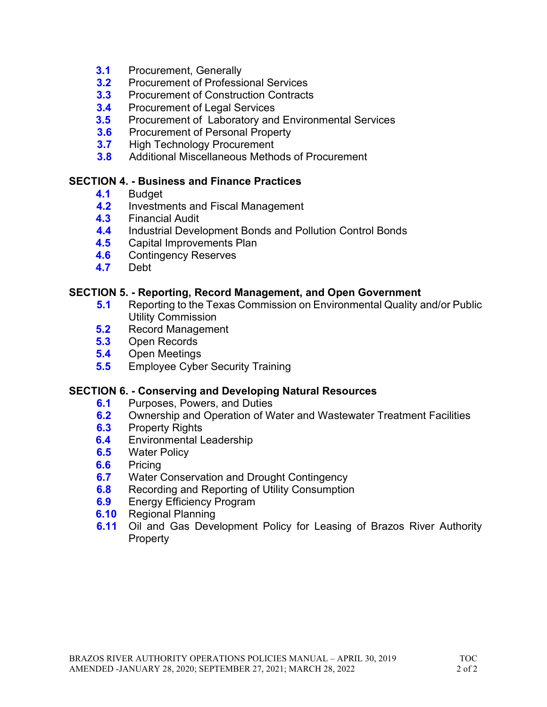- **3.1** Procurement, Generally
- 3.2 Procurement of Professional Services
- **3.3** Procurement of Construction Contracts
- 3.4 Procurement of Legal Services
- **3.5** Procurement of Laboratory and Environmental Services
- **3.6** Procurement of Personal Property
- 3.7 High Technology Procurement
- 3.8 Additional Miscellaneous Methods of Procurement

## SECTION 4. - Business and Finance Practices

- 4.1 Budget
- 4.2 Investments and Fiscal Management
- 4.3 Financial Audit
- 4.4 Industrial Development Bonds and Pollution Control Bonds
- 4.5 Capital Improvements Plan
- 4.6 Contingency Reserves
- 4.7 Debt

# SECTION 5. - Reporting, Record Management, and Open Government

- 5.1 Reporting to the Texas Commission on Environmental Quality and/or Public Utility Commission
- 5.2 Record Management
- 5.3 Open Records
- 5.4 Open Meetings
- **5.5** Employee Cyber Security Training

## SECTION 6. - Conserving and Developing Natural Resources

- **6.1** Purposes, Powers, and Duties
- **6.2** Ownership and Operation of Water and Wastewater Treatment Facilities
- **6.3** Property Rights
- **6.4** Environmental Leadership
- **6.5** Water Policy
- 6.6 Pricing
- **6.7** Water Conservation and Drought Contingency
- **6.8** Recording and Reporting of Utility Consumption
- **6.9** Energy Efficiency Program
- **6.10** Regional Planning
- **6.11** Oil and Gas Development Policy for Leasing of Brazos River Authority **Property**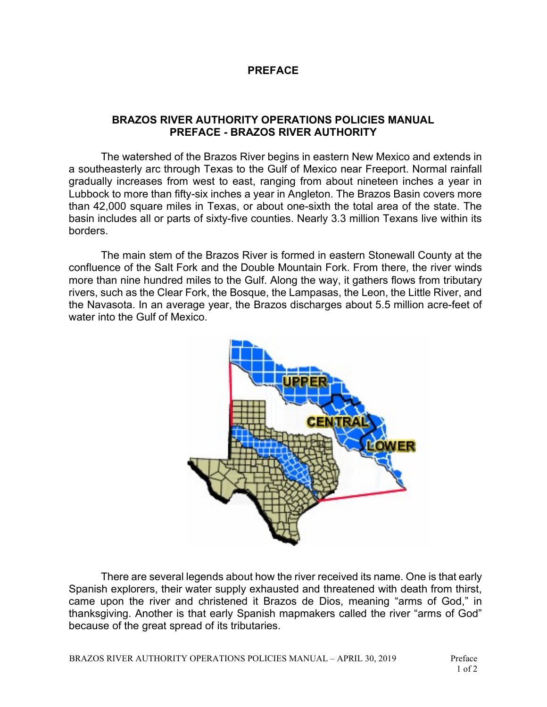#### PREFACE

#### BRAZOS RIVER AUTHORITY OPERATIONS POLICIES MANUAL PREFACE - BRAZOS RIVER AUTHORITY

The watershed of the Brazos River begins in eastern New Mexico and extends in a southeasterly arc through Texas to the Gulf of Mexico near Freeport. Normal rainfall gradually increases from west to east, ranging from about nineteen inches a year in Lubbock to more than fifty-six inches a year in Angleton. The Brazos Basin covers more than 42,000 square miles in Texas, or about one-sixth the total area of the state. The basin includes all or parts of sixty-five counties. Nearly 3.3 million Texans live within its borders.

The main stem of the Brazos River is formed in eastern Stonewall County at the confluence of the Salt Fork and the Double Mountain Fork. From there, the river winds more than nine hundred miles to the Gulf. Along the way, it gathers flows from tributary rivers, such as the Clear Fork, the Bosque, the Lampasas, the Leon, the Little River, and the Navasota. In an average year, the Brazos discharges about 5.5 million acre-feet of water into the Gulf of Mexico.



There are several legends about how the river received its name. One is that early Spanish explorers, their water supply exhausted and threatened with death from thirst, came upon the river and christened it Brazos de Dios, meaning "arms of God," in thanksgiving. Another is that early Spanish mapmakers called the river "arms of God" because of the great spread of its tributaries.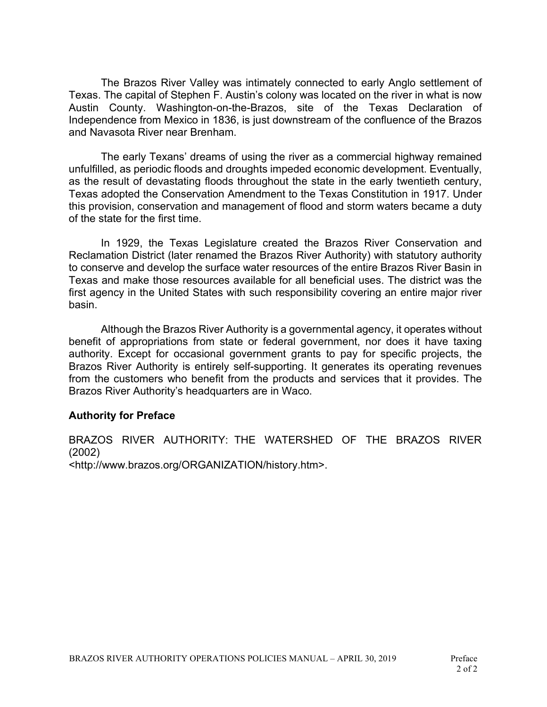The Brazos River Valley was intimately connected to early Anglo settlement of Texas. The capital of Stephen F. Austin's colony was located on the river in what is now Austin County. Washington-on-the-Brazos, site of the Texas Declaration of Independence from Mexico in 1836, is just downstream of the confluence of the Brazos and Navasota River near Brenham.

The early Texans' dreams of using the river as a commercial highway remained unfulfilled, as periodic floods and droughts impeded economic development. Eventually, as the result of devastating floods throughout the state in the early twentieth century, Texas adopted the Conservation Amendment to the Texas Constitution in 1917. Under this provision, conservation and management of flood and storm waters became a duty of the state for the first time.

In 1929, the Texas Legislature created the Brazos River Conservation and Reclamation District (later renamed the Brazos River Authority) with statutory authority to conserve and develop the surface water resources of the entire Brazos River Basin in Texas and make those resources available for all beneficial uses. The district was the first agency in the United States with such responsibility covering an entire major river basin.

Although the Brazos River Authority is a governmental agency, it operates without benefit of appropriations from state or federal government, nor does it have taxing authority. Except for occasional government grants to pay for specific projects, the Brazos River Authority is entirely self-supporting. It generates its operating revenues from the customers who benefit from the products and services that it provides. The Brazos River Authority's headquarters are in Waco.

#### Authority for Preface

BRAZOS RIVER AUTHORITY: THE WATERSHED OF THE BRAZOS RIVER (2002) <http://www.brazos.org/ORGANIZATION/history.htm>.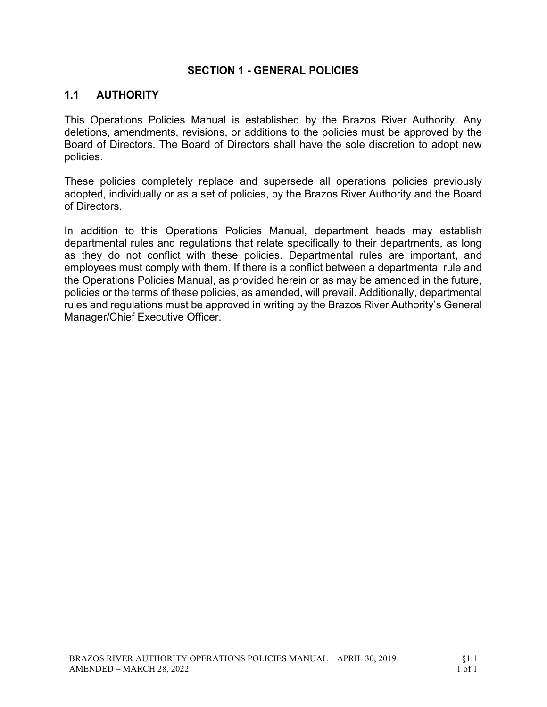## SECTION 1 - GENERAL POLICIES

# 1.1 AUTHORITY

This Operations Policies Manual is established by the Brazos River Authority. Any deletions, amendments, revisions, or additions to the policies must be approved by the Board of Directors. The Board of Directors shall have the sole discretion to adopt new policies.

These policies completely replace and supersede all operations policies previously adopted, individually or as a set of policies, by the Brazos River Authority and the Board of Directors.

In addition to this Operations Policies Manual, department heads may establish departmental rules and regulations that relate specifically to their departments, as long as they do not conflict with these policies. Departmental rules are important, and employees must comply with them. If there is a conflict between a departmental rule and the Operations Policies Manual, as provided herein or as may be amended in the future, policies or the terms of these policies, as amended, will prevail. Additionally, departmental rules and regulations must be approved in writing by the Brazos River Authority's General Manager/Chief Executive Officer.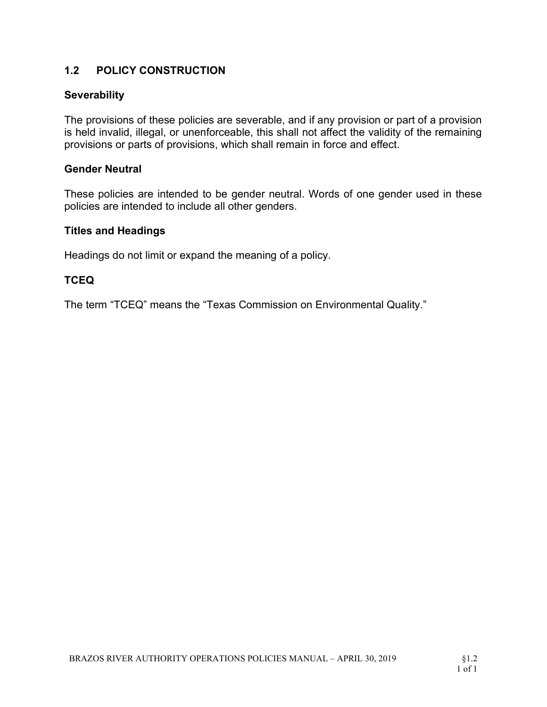# 1.2 POLICY CONSTRUCTION

# **Severability**

The provisions of these policies are severable, and if any provision or part of a provision is held invalid, illegal, or unenforceable, this shall not affect the validity of the remaining provisions or parts of provisions, which shall remain in force and effect.

## Gender Neutral

These policies are intended to be gender neutral. Words of one gender used in these policies are intended to include all other genders.

## Titles and Headings

Headings do not limit or expand the meaning of a policy.

# **TCEQ**

The term "TCEQ" means the "Texas Commission on Environmental Quality."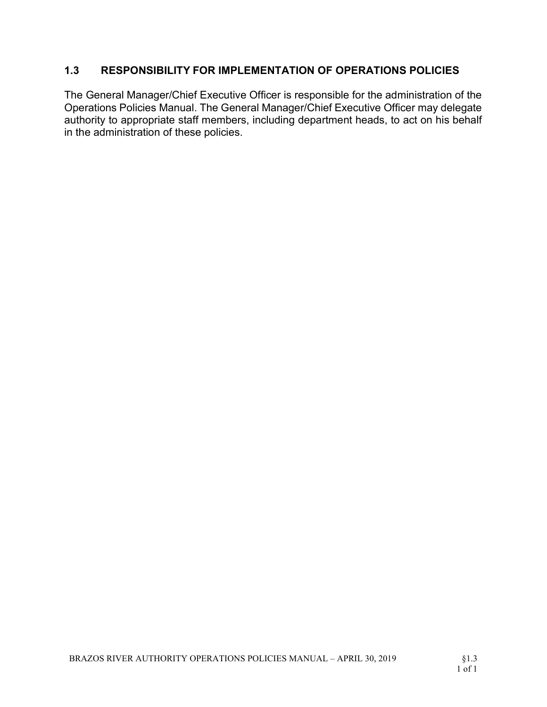# 1.3 RESPONSIBILITY FOR IMPLEMENTATION OF OPERATIONS POLICIES

The General Manager/Chief Executive Officer is responsible for the administration of the Operations Policies Manual. The General Manager/Chief Executive Officer may delegate authority to appropriate staff members, including department heads, to act on his behalf in the administration of these policies.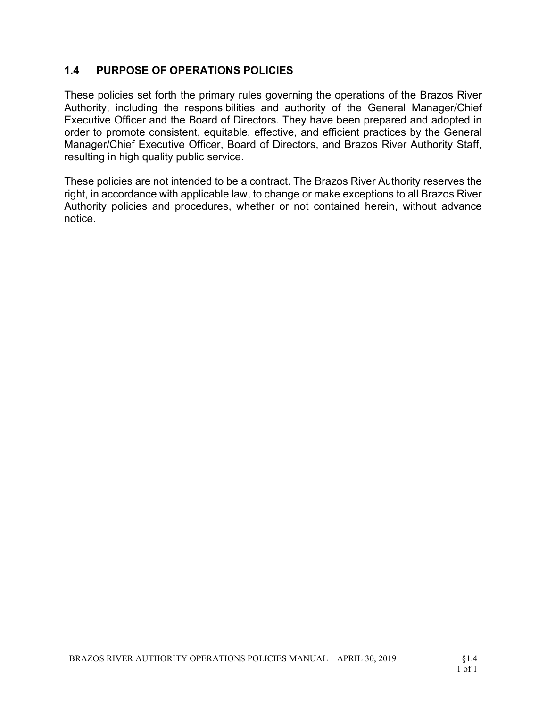# 1.4 PURPOSE OF OPERATIONS POLICIES

These policies set forth the primary rules governing the operations of the Brazos River Authority, including the responsibilities and authority of the General Manager/Chief Executive Officer and the Board of Directors. They have been prepared and adopted in order to promote consistent, equitable, effective, and efficient practices by the General Manager/Chief Executive Officer, Board of Directors, and Brazos River Authority Staff, resulting in high quality public service.

These policies are not intended to be a contract. The Brazos River Authority reserves the right, in accordance with applicable law, to change or make exceptions to all Brazos River Authority policies and procedures, whether or not contained herein, without advance notice.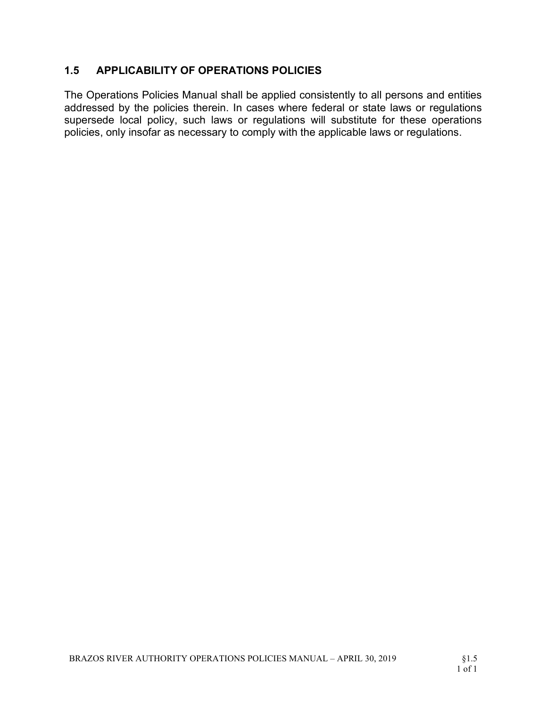# 1.5 APPLICABILITY OF OPERATIONS POLICIES

The Operations Policies Manual shall be applied consistently to all persons and entities addressed by the policies therein. In cases where federal or state laws or regulations supersede local policy, such laws or regulations will substitute for these operations policies, only insofar as necessary to comply with the applicable laws or regulations.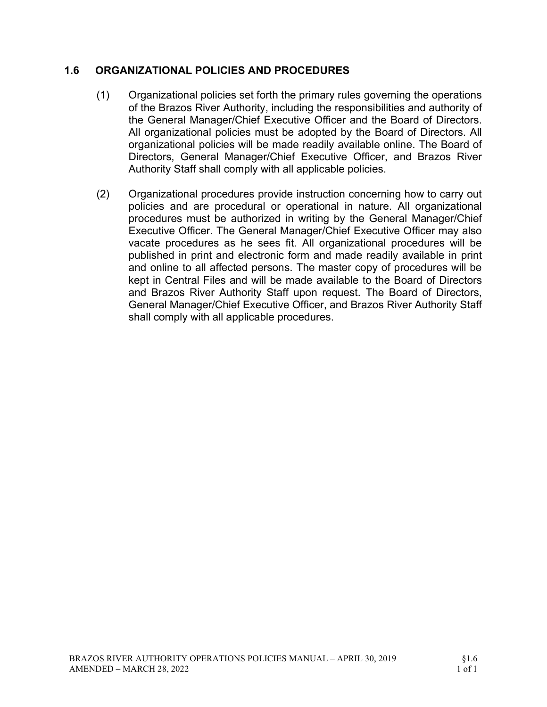# 1.6 ORGANIZATIONAL POLICIES AND PROCEDURES

- (1) Organizational policies set forth the primary rules governing the operations of the Brazos River Authority, including the responsibilities and authority of the General Manager/Chief Executive Officer and the Board of Directors. All organizational policies must be adopted by the Board of Directors. All organizational policies will be made readily available online. The Board of Directors, General Manager/Chief Executive Officer, and Brazos River Authority Staff shall comply with all applicable policies.
- (2) Organizational procedures provide instruction concerning how to carry out policies and are procedural or operational in nature. All organizational procedures must be authorized in writing by the General Manager/Chief Executive Officer. The General Manager/Chief Executive Officer may also vacate procedures as he sees fit. All organizational procedures will be published in print and electronic form and made readily available in print and online to all affected persons. The master copy of procedures will be kept in Central Files and will be made available to the Board of Directors and Brazos River Authority Staff upon request. The Board of Directors, General Manager/Chief Executive Officer, and Brazos River Authority Staff shall comply with all applicable procedures.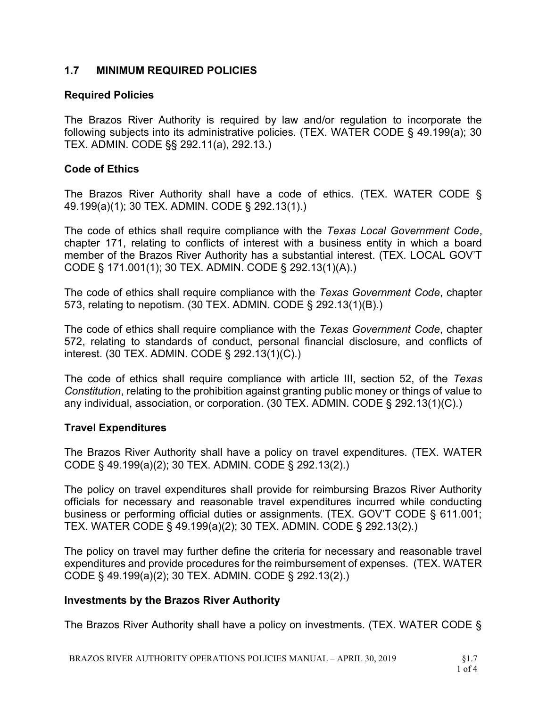# 1.7 MINIMUM REQUIRED POLICIES

## Required Policies

The Brazos River Authority is required by law and/or regulation to incorporate the following subjects into its administrative policies. (TEX. WATER CODE § 49.199(a); 30 TEX. ADMIN. CODE §§ 292.11(a), 292.13.)

# Code of Ethics

The Brazos River Authority shall have a code of ethics. (TEX. WATER CODE § 49.199(a)(1); 30 TEX. ADMIN. CODE § 292.13(1).)

The code of ethics shall require compliance with the Texas Local Government Code, chapter 171, relating to conflicts of interest with a business entity in which a board member of the Brazos River Authority has a substantial interest. (TEX. LOCAL GOV'T CODE § 171.001(1); 30 TEX. ADMIN. CODE § 292.13(1)(A).)

The code of ethics shall require compliance with the Texas Government Code, chapter 573, relating to nepotism. (30 TEX. ADMIN. CODE § 292.13(1)(B).)

The code of ethics shall require compliance with the Texas Government Code, chapter 572, relating to standards of conduct, personal financial disclosure, and conflicts of interest. (30 TEX. ADMIN. CODE § 292.13(1)(C).)

The code of ethics shall require compliance with article III, section 52, of the Texas Constitution, relating to the prohibition against granting public money or things of value to any individual, association, or corporation. (30 TEX. ADMIN. CODE § 292.13(1)(C).)

## Travel Expenditures

The Brazos River Authority shall have a policy on travel expenditures. (TEX. WATER CODE § 49.199(a)(2); 30 TEX. ADMIN. CODE § 292.13(2).)

The policy on travel expenditures shall provide for reimbursing Brazos River Authority officials for necessary and reasonable travel expenditures incurred while conducting business or performing official duties or assignments. (TEX. GOV'T CODE § 611.001; TEX. WATER CODE § 49.199(a)(2); 30 TEX. ADMIN. CODE § 292.13(2).)

The policy on travel may further define the criteria for necessary and reasonable travel expenditures and provide procedures for the reimbursement of expenses. (TEX. WATER CODE § 49.199(a)(2); 30 TEX. ADMIN. CODE § 292.13(2).)

# Investments by the Brazos River Authority

The Brazos River Authority shall have a policy on investments. (TEX. WATER CODE §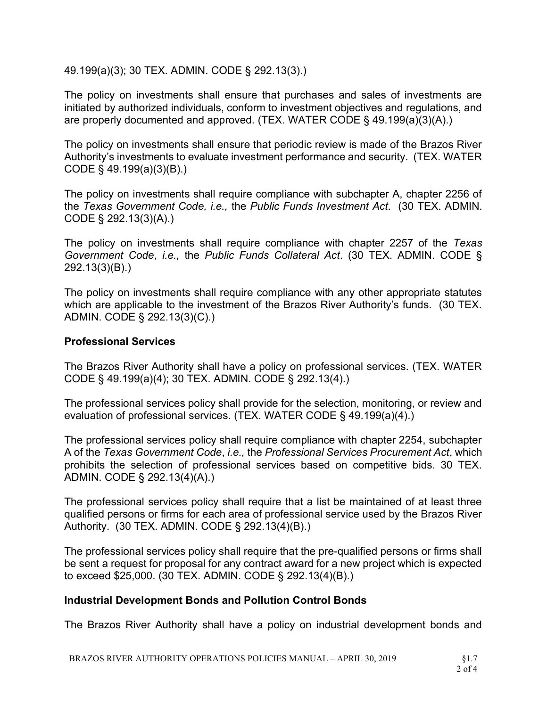49.199(a)(3); 30 TEX. ADMIN. CODE § 292.13(3).)

The policy on investments shall ensure that purchases and sales of investments are initiated by authorized individuals, conform to investment objectives and regulations, and are properly documented and approved. (TEX. WATER CODE § 49.199(a)(3)(A).)

The policy on investments shall ensure that periodic review is made of the Brazos River Authority's investments to evaluate investment performance and security. (TEX. WATER CODE § 49.199(a)(3)(B).)

The policy on investments shall require compliance with subchapter A, chapter 2256 of the Texas Government Code, i.e., the Public Funds Investment Act. (30 TEX. ADMIN. CODE § 292.13(3)(A).)

The policy on investments shall require compliance with chapter 2257 of the Texas Government Code, i.e., the Public Funds Collateral Act. (30 TEX. ADMIN. CODE § 292.13(3)(B).)

The policy on investments shall require compliance with any other appropriate statutes which are applicable to the investment of the Brazos River Authority's funds. (30 TEX. ADMIN. CODE § 292.13(3)(C).)

# Professional Services

The Brazos River Authority shall have a policy on professional services. (TEX. WATER CODE § 49.199(a)(4); 30 TEX. ADMIN. CODE § 292.13(4).)

The professional services policy shall provide for the selection, monitoring, or review and evaluation of professional services. (TEX. WATER CODE § 49.199(a)(4).)

The professional services policy shall require compliance with chapter 2254, subchapter A of the Texas Government Code, i.e., the Professional Services Procurement Act, which prohibits the selection of professional services based on competitive bids. 30 TEX. ADMIN. CODE § 292.13(4)(A).)

The professional services policy shall require that a list be maintained of at least three qualified persons or firms for each area of professional service used by the Brazos River Authority. (30 TEX. ADMIN. CODE § 292.13(4)(B).)

The professional services policy shall require that the pre-qualified persons or firms shall be sent a request for proposal for any contract award for a new project which is expected to exceed \$25,000. (30 TEX. ADMIN. CODE § 292.13(4)(B).)

# Industrial Development Bonds and Pollution Control Bonds

The Brazos River Authority shall have a policy on industrial development bonds and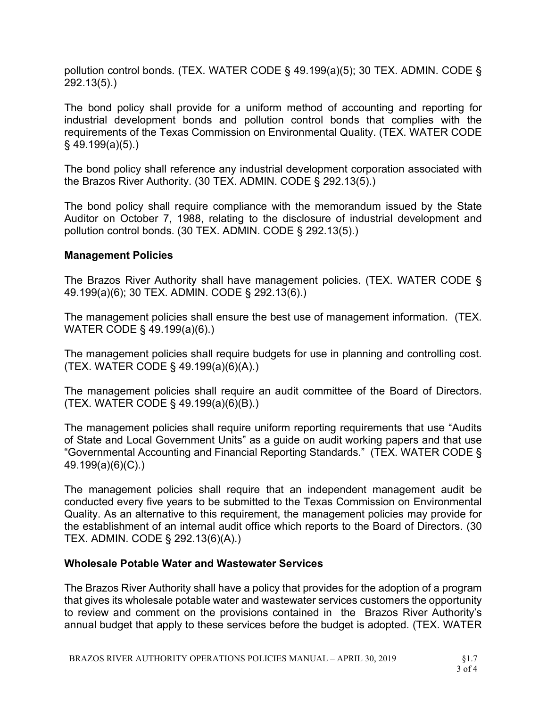pollution control bonds. (TEX. WATER CODE § 49.199(a)(5); 30 TEX. ADMIN. CODE § 292.13(5).)

The bond policy shall provide for a uniform method of accounting and reporting for industrial development bonds and pollution control bonds that complies with the requirements of the Texas Commission on Environmental Quality. (TEX. WATER CODE § 49.199(a)(5).)

The bond policy shall reference any industrial development corporation associated with the Brazos River Authority. (30 TEX. ADMIN. CODE § 292.13(5).)

The bond policy shall require compliance with the memorandum issued by the State Auditor on October 7, 1988, relating to the disclosure of industrial development and pollution control bonds. (30 TEX. ADMIN. CODE § 292.13(5).)

## Management Policies

The Brazos River Authority shall have management policies. (TEX. WATER CODE § 49.199(a)(6); 30 TEX. ADMIN. CODE § 292.13(6).)

The management policies shall ensure the best use of management information. (TEX. WATER CODE § 49.199(a)(6).)

The management policies shall require budgets for use in planning and controlling cost. (TEX. WATER CODE § 49.199(a)(6)(A).)

The management policies shall require an audit committee of the Board of Directors. (TEX. WATER CODE § 49.199(a)(6)(B).)

The management policies shall require uniform reporting requirements that use "Audits of State and Local Government Units" as a guide on audit working papers and that use "Governmental Accounting and Financial Reporting Standards." (TEX. WATER CODE § 49.199(a)(6)(C).)

The management policies shall require that an independent management audit be conducted every five years to be submitted to the Texas Commission on Environmental Quality. As an alternative to this requirement, the management policies may provide for the establishment of an internal audit office which reports to the Board of Directors. (30 TEX. ADMIN. CODE § 292.13(6)(A).)

## Wholesale Potable Water and Wastewater Services

The Brazos River Authority shall have a policy that provides for the adoption of a program that gives its wholesale potable water and wastewater services customers the opportunity to review and comment on the provisions contained in the Brazos River Authority's annual budget that apply to these services before the budget is adopted. (TEX. WATER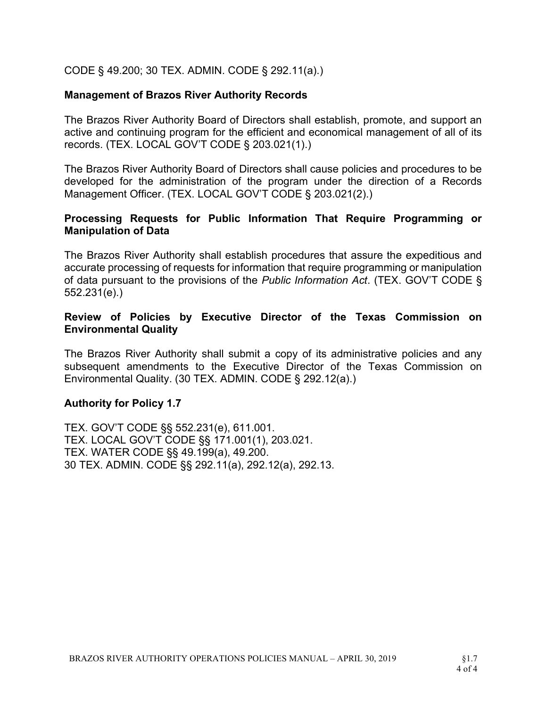CODE § 49.200; 30 TEX. ADMIN. CODE § 292.11(a).)

#### Management of Brazos River Authority Records

The Brazos River Authority Board of Directors shall establish, promote, and support an active and continuing program for the efficient and economical management of all of its records. (TEX. LOCAL GOV'T CODE § 203.021(1).)

The Brazos River Authority Board of Directors shall cause policies and procedures to be developed for the administration of the program under the direction of a Records Management Officer. (TEX. LOCAL GOV'T CODE § 203.021(2).)

#### Processing Requests for Public Information That Require Programming or Manipulation of Data

The Brazos River Authority shall establish procedures that assure the expeditious and accurate processing of requests for information that require programming or manipulation of data pursuant to the provisions of the Public Information Act. (TEX. GOV'T CODE § 552.231(e).)

## Review of Policies by Executive Director of the Texas Commission on Environmental Quality

The Brazos River Authority shall submit a copy of its administrative policies and any subsequent amendments to the Executive Director of the Texas Commission on Environmental Quality. (30 TEX. ADMIN. CODE § 292.12(a).)

## Authority for Policy 1.7

TEX. GOV'T CODE §§ 552.231(e), 611.001. TEX. LOCAL GOV'T CODE §§ 171.001(1), 203.021. TEX. WATER CODE §§ 49.199(a), 49.200. 30 TEX. ADMIN. CODE §§ 292.11(a), 292.12(a), 292.13.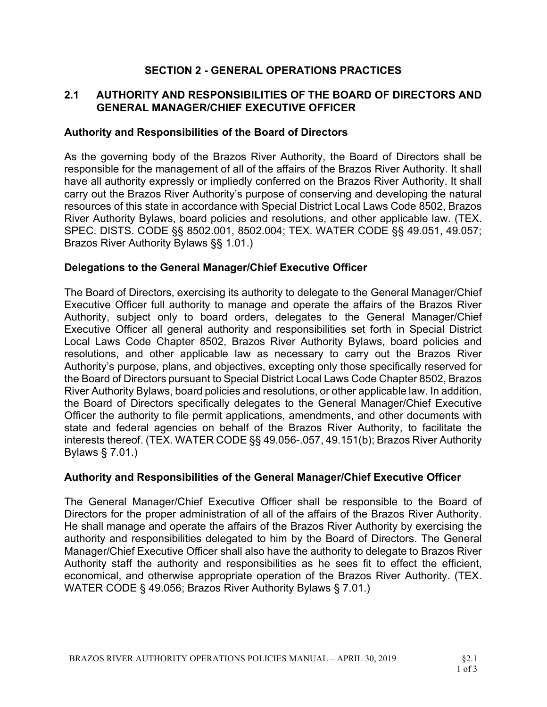# SECTION 2 - GENERAL OPERATIONS PRACTICES

# 2.1 AUTHORITY AND RESPONSIBILITIES OF THE BOARD OF DIRECTORS AND GENERAL MANAGER/CHIEF EXECUTIVE OFFICER

# Authority and Responsibilities of the Board of Directors

As the governing body of the Brazos River Authority, the Board of Directors shall be responsible for the management of all of the affairs of the Brazos River Authority. It shall have all authority expressly or impliedly conferred on the Brazos River Authority. It shall carry out the Brazos River Authority's purpose of conserving and developing the natural resources of this state in accordance with Special District Local Laws Code 8502, Brazos River Authority Bylaws, board policies and resolutions, and other applicable law. (TEX. SPEC. DISTS. CODE §§ 8502.001, 8502.004; TEX. WATER CODE §§ 49.051, 49.057; Brazos River Authority Bylaws §§ 1.01.)

## Delegations to the General Manager/Chief Executive Officer

The Board of Directors, exercising its authority to delegate to the General Manager/Chief Executive Officer full authority to manage and operate the affairs of the Brazos River Authority, subject only to board orders, delegates to the General Manager/Chief Executive Officer all general authority and responsibilities set forth in Special District Local Laws Code Chapter 8502, Brazos River Authority Bylaws, board policies and resolutions, and other applicable law as necessary to carry out the Brazos River Authority's purpose, plans, and objectives, excepting only those specifically reserved for the Board of Directors pursuant to Special District Local Laws Code Chapter 8502, Brazos River Authority Bylaws, board policies and resolutions, or other applicable law. In addition, the Board of Directors specifically delegates to the General Manager/Chief Executive Officer the authority to file permit applications, amendments, and other documents with state and federal agencies on behalf of the Brazos River Authority, to facilitate the interests thereof. (TEX. WATER CODE §§ 49.056-.057, 49.151(b); Brazos River Authority Bylaws § 7.01.)

## Authority and Responsibilities of the General Manager/Chief Executive Officer

The General Manager/Chief Executive Officer shall be responsible to the Board of Directors for the proper administration of all of the affairs of the Brazos River Authority. He shall manage and operate the affairs of the Brazos River Authority by exercising the authority and responsibilities delegated to him by the Board of Directors. The General Manager/Chief Executive Officer shall also have the authority to delegate to Brazos River Authority staff the authority and responsibilities as he sees fit to effect the efficient, economical, and otherwise appropriate operation of the Brazos River Authority. (TEX. WATER CODE § 49.056; Brazos River Authority Bylaws § 7.01.)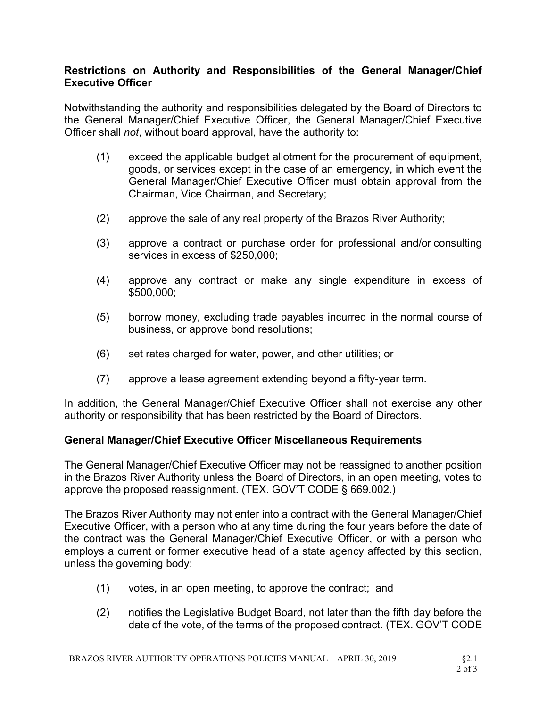# Restrictions on Authority and Responsibilities of the General Manager/Chief Executive Officer

Notwithstanding the authority and responsibilities delegated by the Board of Directors to the General Manager/Chief Executive Officer, the General Manager/Chief Executive Officer shall not, without board approval, have the authority to:

- (1) exceed the applicable budget allotment for the procurement of equipment, goods, or services except in the case of an emergency, in which event the General Manager/Chief Executive Officer must obtain approval from the Chairman, Vice Chairman, and Secretary;
- (2) approve the sale of any real property of the Brazos River Authority;
- (3) approve a contract or purchase order for professional and/or consulting services in excess of \$250,000;
- (4) approve any contract or make any single expenditure in excess of \$500,000;
- (5) borrow money, excluding trade payables incurred in the normal course of business, or approve bond resolutions;
- (6) set rates charged for water, power, and other utilities; or
- (7) approve a lease agreement extending beyond a fifty-year term.

In addition, the General Manager/Chief Executive Officer shall not exercise any other authority or responsibility that has been restricted by the Board of Directors.

# General Manager/Chief Executive Officer Miscellaneous Requirements

The General Manager/Chief Executive Officer may not be reassigned to another position in the Brazos River Authority unless the Board of Directors, in an open meeting, votes to approve the proposed reassignment. (TEX. GOV'T CODE § 669.002.)

The Brazos River Authority may not enter into a contract with the General Manager/Chief Executive Officer, with a person who at any time during the four years before the date of the contract was the General Manager/Chief Executive Officer, or with a person who employs a current or former executive head of a state agency affected by this section, unless the governing body:

- (1) votes, in an open meeting, to approve the contract; and
- (2) notifies the Legislative Budget Board, not later than the fifth day before the date of the vote, of the terms of the proposed contract. (TEX. GOV'T CODE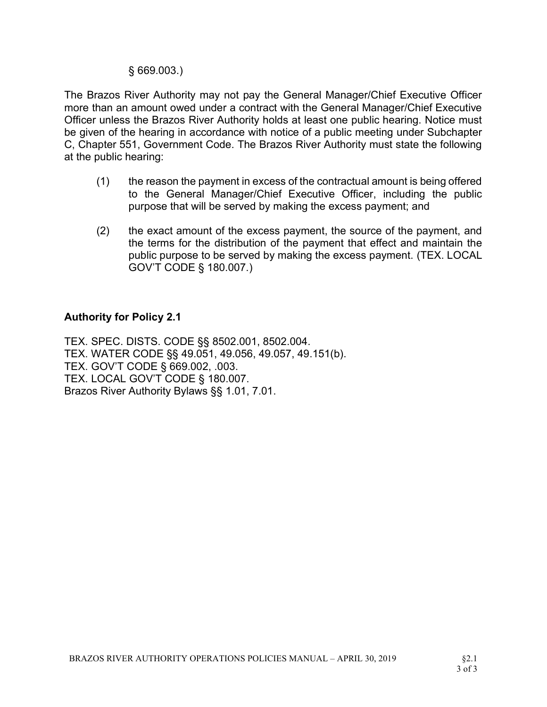## § 669.003.)

The Brazos River Authority may not pay the General Manager/Chief Executive Officer more than an amount owed under a contract with the General Manager/Chief Executive Officer unless the Brazos River Authority holds at least one public hearing. Notice must be given of the hearing in accordance with notice of a public meeting under Subchapter C, Chapter 551, Government Code. The Brazos River Authority must state the following at the public hearing:

- (1) the reason the payment in excess of the contractual amount is being offered to the General Manager/Chief Executive Officer, including the public purpose that will be served by making the excess payment; and
- (2) the exact amount of the excess payment, the source of the payment, and the terms for the distribution of the payment that effect and maintain the public purpose to be served by making the excess payment. (TEX. LOCAL GOV'T CODE § 180.007.)

#### Authority for Policy 2.1

TEX. SPEC. DISTS. CODE §§ 8502.001, 8502.004. TEX. WATER CODE §§ 49.051, 49.056, 49.057, 49.151(b). TEX. GOV'T CODE § 669.002, .003. TEX. LOCAL GOV'T CODE § 180.007. Brazos River Authority Bylaws §§ 1.01, 7.01.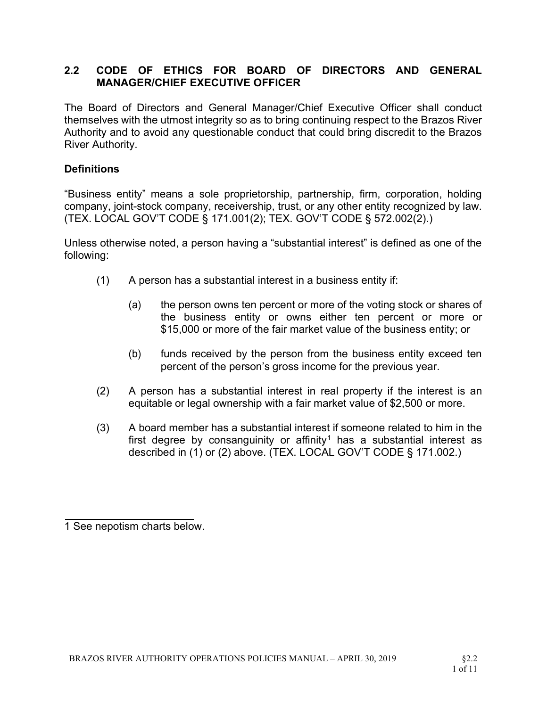# 2.2 CODE OF ETHICS FOR BOARD OF DIRECTORS AND GENERAL MANAGER/CHIEF EXECUTIVE OFFICER

The Board of Directors and General Manager/Chief Executive Officer shall conduct themselves with the utmost integrity so as to bring continuing respect to the Brazos River Authority and to avoid any questionable conduct that could bring discredit to the Brazos River Authority.

## **Definitions**

"Business entity" means a sole proprietorship, partnership, firm, corporation, holding company, joint-stock company, receivership, trust, or any other entity recognized by law. (TEX. LOCAL GOV'T CODE § 171.001(2); TEX. GOV'T CODE § 572.002(2).)

Unless otherwise noted, a person having a "substantial interest" is defined as one of the following:

- (1) A person has a substantial interest in a business entity if:
	- (a) the person owns ten percent or more of the voting stock or shares of the business entity or owns either ten percent or more or \$15,000 or more of the fair market value of the business entity; or
	- (b) funds received by the person from the business entity exceed ten percent of the person's gross income for the previous year.
- (2) A person has a substantial interest in real property if the interest is an equitable or legal ownership with a fair market value of \$2,500 or more.
- (3) A board member has a substantial interest if someone related to him in the first degree by consanguinity or affinity<sup>1</sup> has a substantial interest as described in (1) or (2) above. (TEX. LOCAL GOV'T CODE § 171.002.)

<sup>1</sup> See nepotism charts below.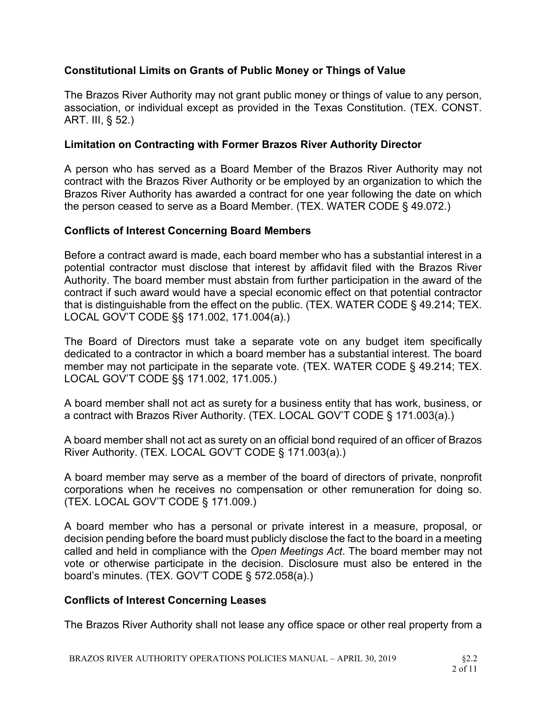# Constitutional Limits on Grants of Public Money or Things of Value

The Brazos River Authority may not grant public money or things of value to any person, association, or individual except as provided in the Texas Constitution. (TEX. CONST. ART. III, § 52.)

# Limitation on Contracting with Former Brazos River Authority Director

A person who has served as a Board Member of the Brazos River Authority may not contract with the Brazos River Authority or be employed by an organization to which the Brazos River Authority has awarded a contract for one year following the date on which the person ceased to serve as a Board Member. (TEX. WATER CODE § 49.072.)

# Conflicts of Interest Concerning Board Members

Before a contract award is made, each board member who has a substantial interest in a potential contractor must disclose that interest by affidavit filed with the Brazos River Authority. The board member must abstain from further participation in the award of the contract if such award would have a special economic effect on that potential contractor that is distinguishable from the effect on the public. (TEX. WATER CODE § 49.214; TEX. LOCAL GOV'T CODE §§ 171.002, 171.004(a).)

The Board of Directors must take a separate vote on any budget item specifically dedicated to a contractor in which a board member has a substantial interest. The board member may not participate in the separate vote. (TEX. WATER CODE § 49.214; TEX. LOCAL GOV'T CODE §§ 171.002, 171.005.)

A board member shall not act as surety for a business entity that has work, business, or a contract with Brazos River Authority. (TEX. LOCAL GOV'T CODE § 171.003(a).)

A board member shall not act as surety on an official bond required of an officer of Brazos River Authority. (TEX. LOCAL GOV'T CODE § 171.003(a).)

A board member may serve as a member of the board of directors of private, nonprofit corporations when he receives no compensation or other remuneration for doing so. (TEX. LOCAL GOV'T CODE § 171.009.)

A board member who has a personal or private interest in a measure, proposal, or decision pending before the board must publicly disclose the fact to the board in a meeting called and held in compliance with the Open Meetings Act. The board member may not vote or otherwise participate in the decision. Disclosure must also be entered in the board's minutes. (TEX. GOV'T CODE § 572.058(a).)

# Conflicts of Interest Concerning Leases

The Brazos River Authority shall not lease any office space or other real property from a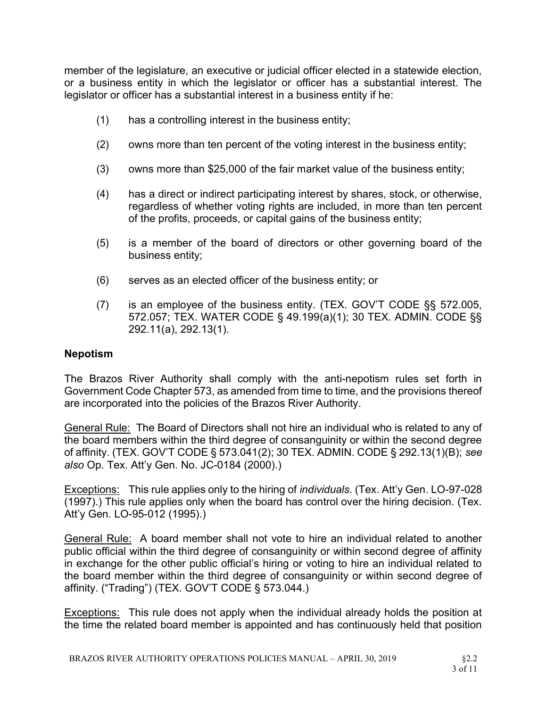member of the legislature, an executive or judicial officer elected in a statewide election, or a business entity in which the legislator or officer has a substantial interest. The legislator or officer has a substantial interest in a business entity if he:

- (1) has a controlling interest in the business entity;
- (2) owns more than ten percent of the voting interest in the business entity;
- (3) owns more than \$25,000 of the fair market value of the business entity;
- (4) has a direct or indirect participating interest by shares, stock, or otherwise, regardless of whether voting rights are included, in more than ten percent of the profits, proceeds, or capital gains of the business entity;
- (5) is a member of the board of directors or other governing board of the business entity;
- (6) serves as an elected officer of the business entity; or
- (7) is an employee of the business entity. (TEX. GOV'T CODE §§ 572.005, 572.057; TEX. WATER CODE § 49.199(a)(1); 30 TEX. ADMIN. CODE §§ 292.11(a), 292.13(1).

## Nepotism

The Brazos River Authority shall comply with the anti-nepotism rules set forth in Government Code Chapter 573, as amended from time to time, and the provisions thereof are incorporated into the policies of the Brazos River Authority.

General Rule: The Board of Directors shall not hire an individual who is related to any of the board members within the third degree of consanguinity or within the second degree of affinity. (TEX. GOV'T CODE § 573.041(2); 30 TEX. ADMIN. CODE § 292.13(1)(B); see also Op. Tex. Att'y Gen. No. JC-0184 (2000).)

Exceptions: This rule applies only to the hiring of *individuals*. (Tex. Att'y Gen. LO-97-028 (1997).) This rule applies only when the board has control over the hiring decision. (Tex. Att'y Gen. LO-95-012 (1995).)

General Rule: A board member shall not vote to hire an individual related to another public official within the third degree of consanguinity or within second degree of affinity in exchange for the other public official's hiring or voting to hire an individual related to the board member within the third degree of consanguinity or within second degree of affinity. ("Trading") (TEX. GOV'T CODE § 573.044.)

**Exceptions:** This rule does not apply when the individual already holds the position at the time the related board member is appointed and has continuously held that position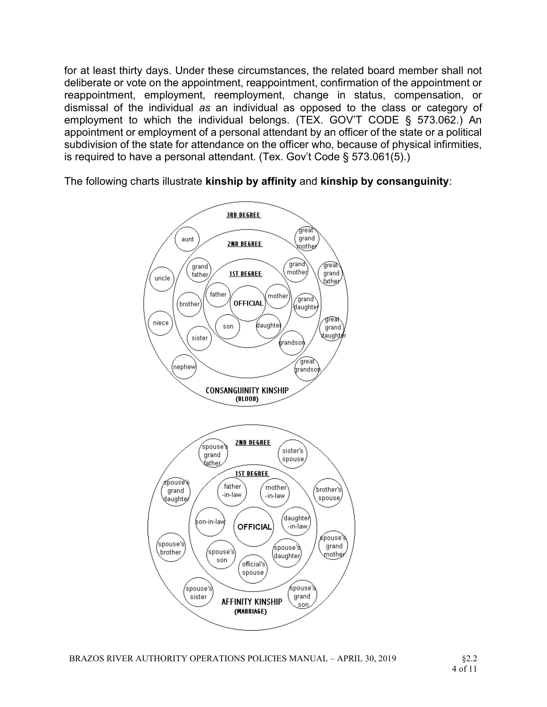for at least thirty days. Under these circumstances, the related board member shall not deliberate or vote on the appointment, reappointment, confirmation of the appointment or reappointment, employment, reemployment, change in status, compensation, or dismissal of the individual as an individual as opposed to the class or category of employment to which the individual belongs. (TEX. GOV'T CODE § 573.062.) An appointment or employment of a personal attendant by an officer of the state or a political subdivision of the state for attendance on the officer who, because of physical infirmities, is required to have a personal attendant. (Tex. Gov't Code § 573.061(5).)

The following charts illustrate kinship by affinity and kinship by consanguinity:

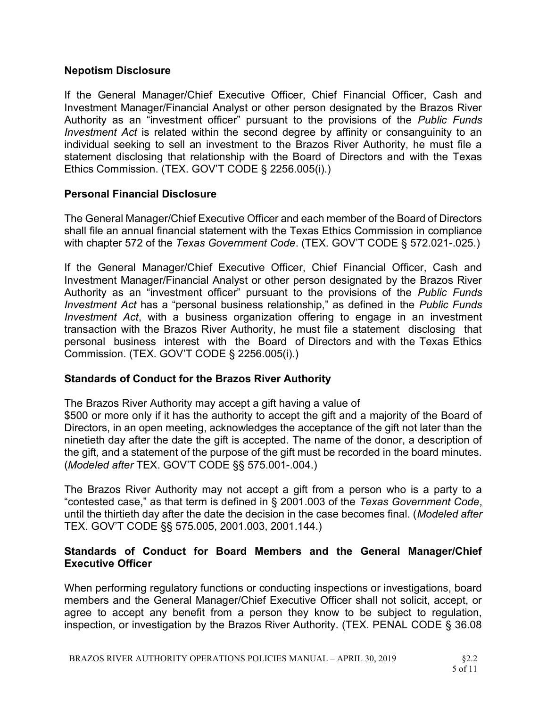## Nepotism Disclosure

If the General Manager/Chief Executive Officer, Chief Financial Officer, Cash and Investment Manager/Financial Analyst or other person designated by the Brazos River Authority as an "investment officer" pursuant to the provisions of the Public Funds Investment Act is related within the second degree by affinity or consanguinity to an individual seeking to sell an investment to the Brazos River Authority, he must file a statement disclosing that relationship with the Board of Directors and with the Texas Ethics Commission. (TEX. GOV'T CODE § 2256.005(i).)

# Personal Financial Disclosure

The General Manager/Chief Executive Officer and each member of the Board of Directors shall file an annual financial statement with the Texas Ethics Commission in compliance with chapter 572 of the Texas Government Code. (TEX. GOV'T CODE § 572.021-.025.)

If the General Manager/Chief Executive Officer, Chief Financial Officer, Cash and Investment Manager/Financial Analyst or other person designated by the Brazos River Authority as an "investment officer" pursuant to the provisions of the Public Funds Investment Act has a "personal business relationship," as defined in the Public Funds Investment Act, with a business organization offering to engage in an investment transaction with the Brazos River Authority, he must file a statement disclosing that personal business interest with the Board of Directors and with the Texas Ethics Commission. (TEX. GOV'T CODE § 2256.005(i).)

## Standards of Conduct for the Brazos River Authority

The Brazos River Authority may accept a gift having a value of \$500 or more only if it has the authority to accept the gift and a majority of the Board of Directors, in an open meeting, acknowledges the acceptance of the gift not later than the ninetieth day after the date the gift is accepted. The name of the donor, a description of the gift, and a statement of the purpose of the gift must be recorded in the board minutes. (Modeled after TEX. GOV'T CODE §§ 575.001-.004.)

The Brazos River Authority may not accept a gift from a person who is a party to a "contested case," as that term is defined in § 2001.003 of the Texas Government Code, until the thirtieth day after the date the decision in the case becomes final. (Modeled after TEX. GOV'T CODE §§ 575.005, 2001.003, 2001.144.)

# Standards of Conduct for Board Members and the General Manager/Chief Executive Officer

When performing regulatory functions or conducting inspections or investigations, board members and the General Manager/Chief Executive Officer shall not solicit, accept, or agree to accept any benefit from a person they know to be subject to regulation, inspection, or investigation by the Brazos River Authority. (TEX. PENAL CODE § 36.08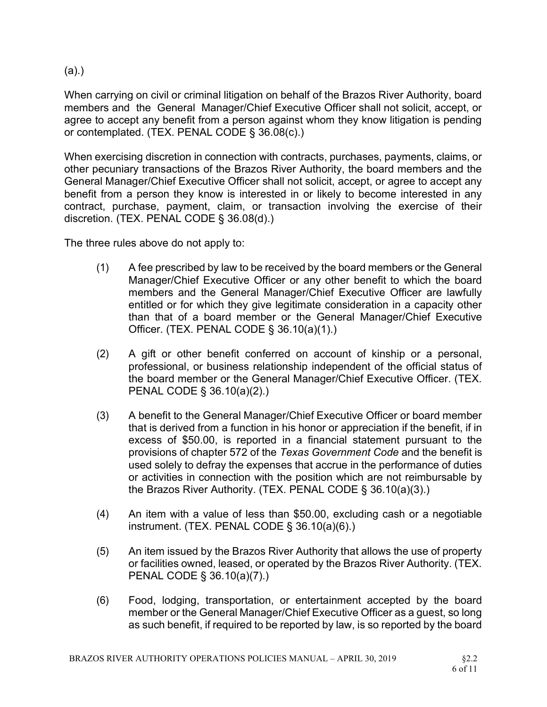(a).)

When carrying on civil or criminal litigation on behalf of the Brazos River Authority, board members and the General Manager/Chief Executive Officer shall not solicit, accept, or agree to accept any benefit from a person against whom they know litigation is pending or contemplated. (TEX. PENAL CODE § 36.08(c).)

When exercising discretion in connection with contracts, purchases, payments, claims, or other pecuniary transactions of the Brazos River Authority, the board members and the General Manager/Chief Executive Officer shall not solicit, accept, or agree to accept any benefit from a person they know is interested in or likely to become interested in any contract, purchase, payment, claim, or transaction involving the exercise of their discretion. (TEX. PENAL CODE § 36.08(d).)

The three rules above do not apply to:

- (1) A fee prescribed by law to be received by the board members or the General Manager/Chief Executive Officer or any other benefit to which the board members and the General Manager/Chief Executive Officer are lawfully entitled or for which they give legitimate consideration in a capacity other than that of a board member or the General Manager/Chief Executive Officer. (TEX. PENAL CODE § 36.10(a)(1).)
- (2) A gift or other benefit conferred on account of kinship or a personal, professional, or business relationship independent of the official status of the board member or the General Manager/Chief Executive Officer. (TEX. PENAL CODE § 36.10(a)(2).)
- (3) A benefit to the General Manager/Chief Executive Officer or board member that is derived from a function in his honor or appreciation if the benefit, if in excess of \$50.00, is reported in a financial statement pursuant to the provisions of chapter 572 of the Texas Government Code and the benefit is used solely to defray the expenses that accrue in the performance of duties or activities in connection with the position which are not reimbursable by the Brazos River Authority. (TEX. PENAL CODE § 36.10(a)(3).)
- (4) An item with a value of less than \$50.00, excluding cash or a negotiable instrument. (TEX. PENAL CODE § 36.10(a)(6).)
- (5) An item issued by the Brazos River Authority that allows the use of property or facilities owned, leased, or operated by the Brazos River Authority. (TEX. PENAL CODE § 36.10(a)(7).)
- (6) Food, lodging, transportation, or entertainment accepted by the board member or the General Manager/Chief Executive Officer as a guest, so long as such benefit, if required to be reported by law, is so reported by the board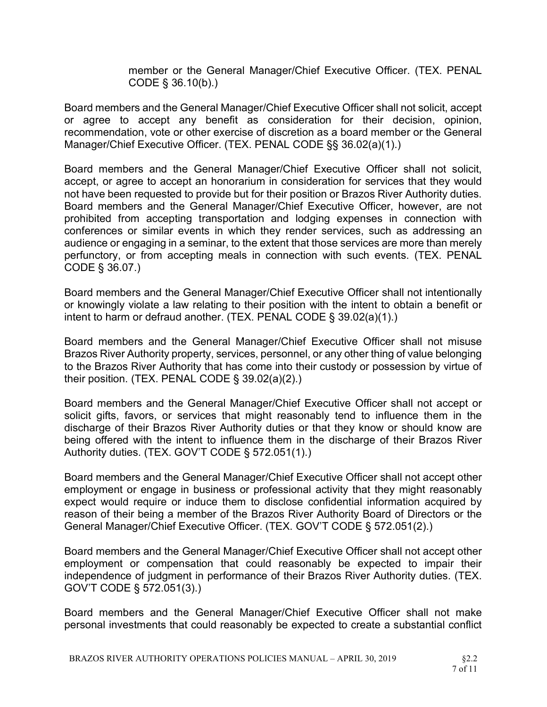member or the General Manager/Chief Executive Officer. (TEX. PENAL CODE § 36.10(b).)

Board members and the General Manager/Chief Executive Officer shall not solicit, accept or agree to accept any benefit as consideration for their decision, opinion, recommendation, vote or other exercise of discretion as a board member or the General Manager/Chief Executive Officer. (TEX. PENAL CODE §§ 36.02(a)(1).)

Board members and the General Manager/Chief Executive Officer shall not solicit, accept, or agree to accept an honorarium in consideration for services that they would not have been requested to provide but for their position or Brazos River Authority duties. Board members and the General Manager/Chief Executive Officer, however, are not prohibited from accepting transportation and lodging expenses in connection with conferences or similar events in which they render services, such as addressing an audience or engaging in a seminar, to the extent that those services are more than merely perfunctory, or from accepting meals in connection with such events. (TEX. PENAL CODE § 36.07.)

Board members and the General Manager/Chief Executive Officer shall not intentionally or knowingly violate a law relating to their position with the intent to obtain a benefit or intent to harm or defraud another. (TEX. PENAL CODE § 39.02(a)(1).)

Board members and the General Manager/Chief Executive Officer shall not misuse Brazos River Authority property, services, personnel, or any other thing of value belonging to the Brazos River Authority that has come into their custody or possession by virtue of their position. (TEX. PENAL CODE § 39.02(a)(2).)

Board members and the General Manager/Chief Executive Officer shall not accept or solicit gifts, favors, or services that might reasonably tend to influence them in the discharge of their Brazos River Authority duties or that they know or should know are being offered with the intent to influence them in the discharge of their Brazos River Authority duties. (TEX. GOV'T CODE § 572.051(1).)

Board members and the General Manager/Chief Executive Officer shall not accept other employment or engage in business or professional activity that they might reasonably expect would require or induce them to disclose confidential information acquired by reason of their being a member of the Brazos River Authority Board of Directors or the General Manager/Chief Executive Officer. (TEX. GOV'T CODE § 572.051(2).)

Board members and the General Manager/Chief Executive Officer shall not accept other employment or compensation that could reasonably be expected to impair their independence of judgment in performance of their Brazos River Authority duties. (TEX. GOV'T CODE § 572.051(3).)

Board members and the General Manager/Chief Executive Officer shall not make personal investments that could reasonably be expected to create a substantial conflict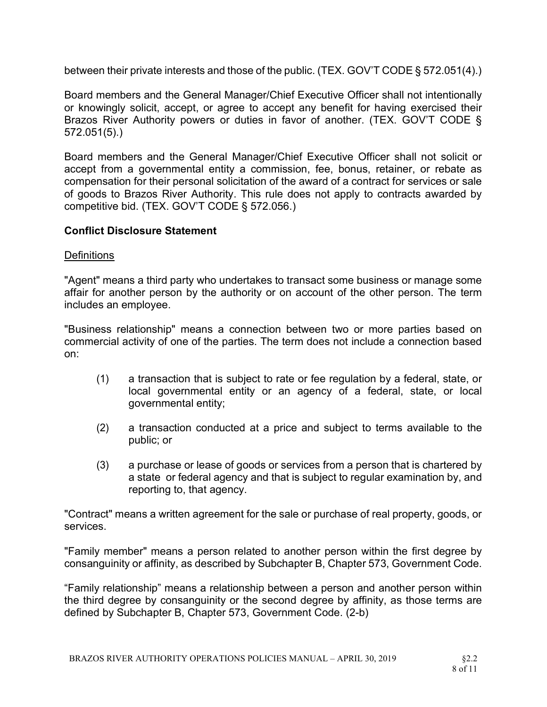between their private interests and those of the public. (TEX. GOV'T CODE § 572.051(4).)

Board members and the General Manager/Chief Executive Officer shall not intentionally or knowingly solicit, accept, or agree to accept any benefit for having exercised their Brazos River Authority powers or duties in favor of another. (TEX. GOV'T CODE § 572.051(5).)

Board members and the General Manager/Chief Executive Officer shall not solicit or accept from a governmental entity a commission, fee, bonus, retainer, or rebate as compensation for their personal solicitation of the award of a contract for services or sale of goods to Brazos River Authority. This rule does not apply to contracts awarded by competitive bid. (TEX. GOV'T CODE § 572.056.)

# Conflict Disclosure Statement

## **Definitions**

"Agent" means a third party who undertakes to transact some business or manage some affair for another person by the authority or on account of the other person. The term includes an employee.

"Business relationship" means a connection between two or more parties based on commercial activity of one of the parties. The term does not include a connection based on:

- (1) a transaction that is subject to rate or fee regulation by a federal, state, or local governmental entity or an agency of a federal, state, or local governmental entity;
- (2) a transaction conducted at a price and subject to terms available to the public; or
- (3) a purchase or lease of goods or services from a person that is chartered by a state or federal agency and that is subject to regular examination by, and reporting to, that agency.

"Contract" means a written agreement for the sale or purchase of real property, goods, or services.

"Family member" means a person related to another person within the first degree by consanguinity or affinity, as described by Subchapter B, Chapter 573, Government Code.

"Family relationship" means a relationship between a person and another person within the third degree by consanguinity or the second degree by affinity, as those terms are defined by Subchapter B, Chapter 573, Government Code. (2-b)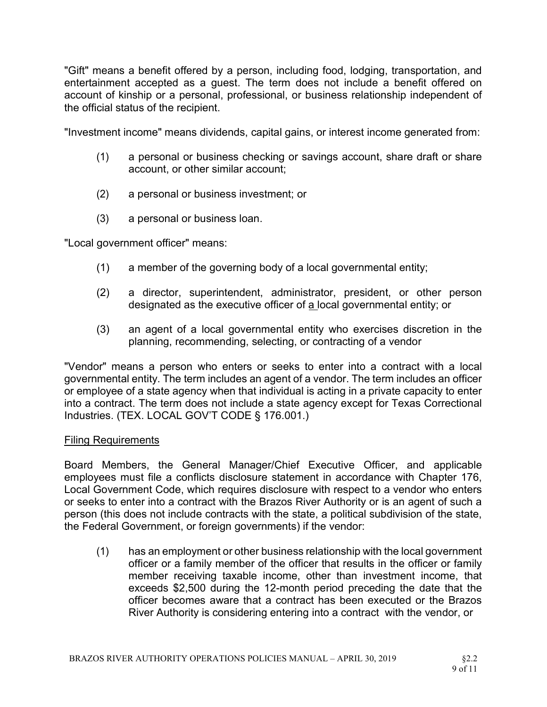"Gift" means a benefit offered by a person, including food, lodging, transportation, and entertainment accepted as a guest. The term does not include a benefit offered on account of kinship or a personal, professional, or business relationship independent of the official status of the recipient.

"Investment income" means dividends, capital gains, or interest income generated from:

- (1) a personal or business checking or savings account, share draft or share account, or other similar account;
- (2) a personal or business investment; or
- (3) a personal or business loan.

"Local government officer" means:

- (1) a member of the governing body of a local governmental entity;
- (2) a director, superintendent, administrator, president, or other person designated as the executive officer of a local governmental entity; or
- (3) an agent of a local governmental entity who exercises discretion in the planning, recommending, selecting, or contracting of a vendor

"Vendor" means a person who enters or seeks to enter into a contract with a local governmental entity. The term includes an agent of a vendor. The term includes an officer or employee of a state agency when that individual is acting in a private capacity to enter into a contract. The term does not include a state agency except for Texas Correctional Industries. (TEX. LOCAL GOV'T CODE § 176.001.)

## Filing Requirements

Board Members, the General Manager/Chief Executive Officer, and applicable employees must file a conflicts disclosure statement in accordance with Chapter 176, Local Government Code, which requires disclosure with respect to a vendor who enters or seeks to enter into a contract with the Brazos River Authority or is an agent of such a person (this does not include contracts with the state, a political subdivision of the state, the Federal Government, or foreign governments) if the vendor:

(1) has an employment or other business relationship with the local government officer or a family member of the officer that results in the officer or family member receiving taxable income, other than investment income, that exceeds \$2,500 during the 12-month period preceding the date that the officer becomes aware that a contract has been executed or the Brazos River Authority is considering entering into a contract with the vendor, or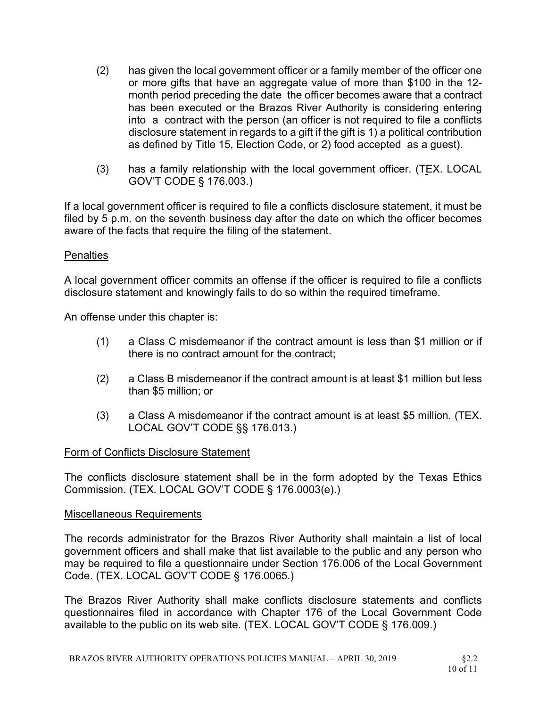- (2) has given the local government officer or a family member of the officer one or more gifts that have an aggregate value of more than \$100 in the 12 month period preceding the date the officer becomes aware that a contract has been executed or the Brazos River Authority is considering entering into a contract with the person (an officer is not required to file a conflicts disclosure statement in regards to a gift if the gift is 1) a political contribution as defined by Title 15, Election Code, or 2) food accepted as a guest).
- (3) has a family relationship with the local government officer. (TEX. LOCAL GOV'T CODE § 176.003.)

If a local government officer is required to file a conflicts disclosure statement, it must be filed by 5 p.m. on the seventh business day after the date on which the officer becomes aware of the facts that require the filing of the statement.

## **Penalties**

A local government officer commits an offense if the officer is required to file a conflicts disclosure statement and knowingly fails to do so within the required timeframe.

An offense under this chapter is:

- (1) a Class C misdemeanor if the contract amount is less than \$1 million or if there is no contract amount for the contract;
- (2) a Class B misdemeanor if the contract amount is at least \$1 million but less than \$5 million; or
- (3) a Class A misdemeanor if the contract amount is at least \$5 million. (TEX. LOCAL GOV'T CODE §§ 176.013.)

## Form of Conflicts Disclosure Statement

The conflicts disclosure statement shall be in the form adopted by the Texas Ethics Commission. (TEX. LOCAL GOV'T CODE § 176.0003(e).)

## Miscellaneous Requirements

The records administrator for the Brazos River Authority shall maintain a list of local government officers and shall make that list available to the public and any person who may be required to file a questionnaire under Section 176.006 of the Local Government Code. (TEX. LOCAL GOV'T CODE § 176.0065.)

The Brazos River Authority shall make conflicts disclosure statements and conflicts questionnaires filed in accordance with Chapter 176 of the Local Government Code available to the public on its web site. (TEX. LOCAL GOV'T CODE § 176.009.)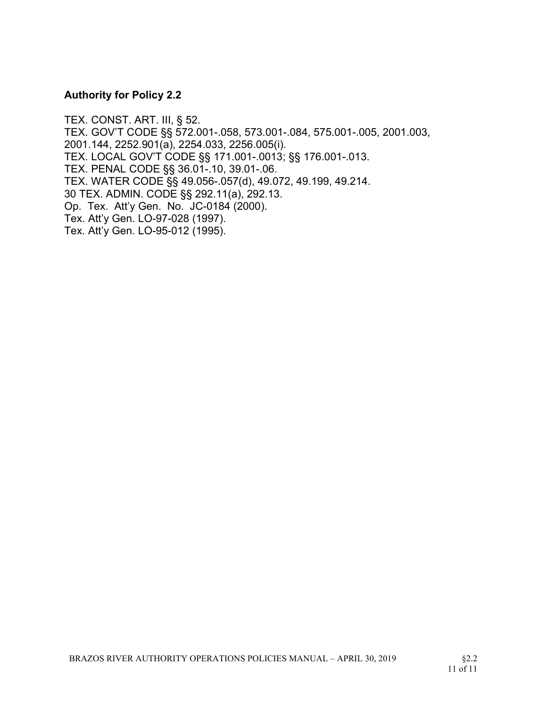## Authority for Policy 2.2

TEX. CONST. ART. III, § 52. TEX. GOV'T CODE §§ 572.001-.058, 573.001-.084, 575.001-.005, 2001.003, 2001.144, 2252.901(a), 2254.033, 2256.005(i). TEX. LOCAL GOV'T CODE §§ 171.001-.0013; §§ 176.001-.013. TEX. PENAL CODE §§ 36.01-.10, 39.01-.06. TEX. WATER CODE §§ 49.056-.057(d), 49.072, 49.199, 49.214. 30 TEX. ADMIN. CODE §§ 292.11(a), 292.13. Op. Tex. Att'y Gen. No. JC-0184 (2000). Tex. Att'y Gen. LO-97-028 (1997). Tex. Att'y Gen. LO-95-012 (1995).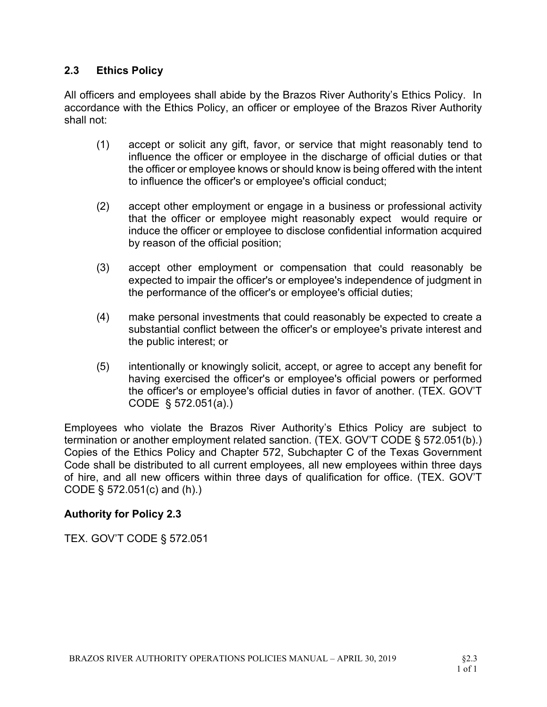# 2.3 Ethics Policy

All officers and employees shall abide by the Brazos River Authority's Ethics Policy. In accordance with the Ethics Policy, an officer or employee of the Brazos River Authority shall not:

- (1) accept or solicit any gift, favor, or service that might reasonably tend to influence the officer or employee in the discharge of official duties or that the officer or employee knows or should know is being offered with the intent to influence the officer's or employee's official conduct;
- (2) accept other employment or engage in a business or professional activity that the officer or employee might reasonably expect would require or induce the officer or employee to disclose confidential information acquired by reason of the official position;
- (3) accept other employment or compensation that could reasonably be expected to impair the officer's or employee's independence of judgment in the performance of the officer's or employee's official duties;
- (4) make personal investments that could reasonably be expected to create a substantial conflict between the officer's or employee's private interest and the public interest; or
- (5) intentionally or knowingly solicit, accept, or agree to accept any benefit for having exercised the officer's or employee's official powers or performed the officer's or employee's official duties in favor of another. (TEX. GOV'T CODE § 572.051(a).)

Employees who violate the Brazos River Authority's Ethics Policy are subject to termination or another employment related sanction. (TEX. GOV'T CODE § 572.051(b).) Copies of the Ethics Policy and Chapter 572, Subchapter C of the Texas Government Code shall be distributed to all current employees, all new employees within three days of hire, and all new officers within three days of qualification for office. (TEX. GOV'T CODE § 572.051(c) and (h).)

# Authority for Policy 2.3

TEX. GOV'T CODE § 572.051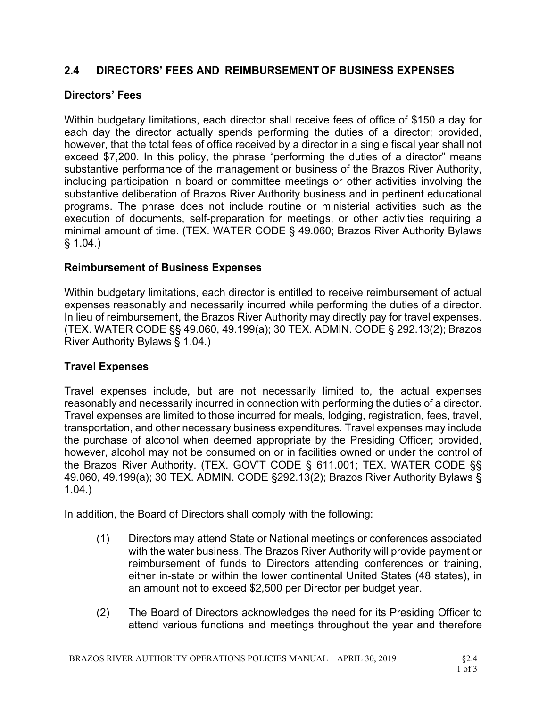# 2.4 DIRECTORS' FEES AND REIMBURSEMENT OF BUSINESS EXPENSES

# Directors' Fees

Within budgetary limitations, each director shall receive fees of office of \$150 a day for each day the director actually spends performing the duties of a director; provided, however, that the total fees of office received by a director in a single fiscal year shall not exceed \$7,200. In this policy, the phrase "performing the duties of a director" means substantive performance of the management or business of the Brazos River Authority, including participation in board or committee meetings or other activities involving the substantive deliberation of Brazos River Authority business and in pertinent educational programs. The phrase does not include routine or ministerial activities such as the execution of documents, self-preparation for meetings, or other activities requiring a minimal amount of time. (TEX. WATER CODE § 49.060; Brazos River Authority Bylaws  $§ 1.04.$ 

# Reimbursement of Business Expenses

Within budgetary limitations, each director is entitled to receive reimbursement of actual expenses reasonably and necessarily incurred while performing the duties of a director. In lieu of reimbursement, the Brazos River Authority may directly pay for travel expenses. (TEX. WATER CODE §§ 49.060, 49.199(a); 30 TEX. ADMIN. CODE § 292.13(2); Brazos River Authority Bylaws § 1.04.)

## Travel Expenses

Travel expenses include, but are not necessarily limited to, the actual expenses reasonably and necessarily incurred in connection with performing the duties of a director. Travel expenses are limited to those incurred for meals, lodging, registration, fees, travel, transportation, and other necessary business expenditures. Travel expenses may include the purchase of alcohol when deemed appropriate by the Presiding Officer; provided, however, alcohol may not be consumed on or in facilities owned or under the control of the Brazos River Authority. (TEX. GOV'T CODE § 611.001; TEX. WATER CODE §§ 49.060, 49.199(a); 30 TEX. ADMIN. CODE §292.13(2); Brazos River Authority Bylaws § 1.04.)

In addition, the Board of Directors shall comply with the following:

- (1) Directors may attend State or National meetings or conferences associated with the water business. The Brazos River Authority will provide payment or reimbursement of funds to Directors attending conferences or training, either in-state or within the lower continental United States (48 states), in an amount not to exceed \$2,500 per Director per budget year.
- (2) The Board of Directors acknowledges the need for its Presiding Officer to attend various functions and meetings throughout the year and therefore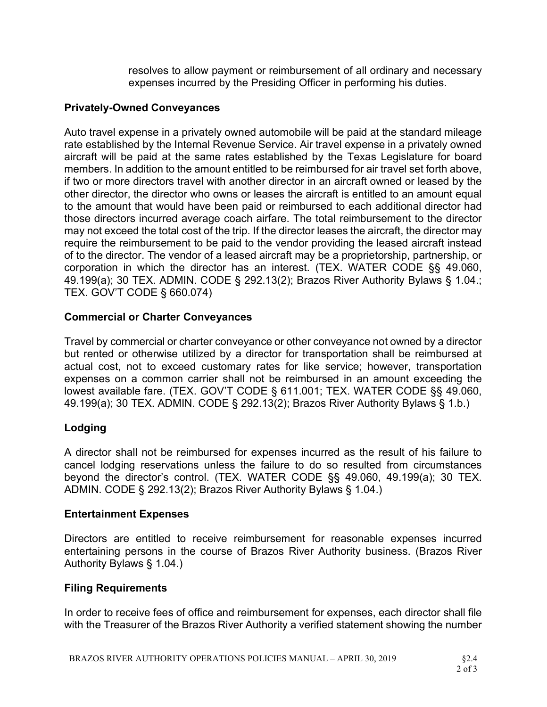resolves to allow payment or reimbursement of all ordinary and necessary expenses incurred by the Presiding Officer in performing his duties.

## Privately-Owned Conveyances

Auto travel expense in a privately owned automobile will be paid at the standard mileage rate established by the Internal Revenue Service. Air travel expense in a privately owned aircraft will be paid at the same rates established by the Texas Legislature for board members. In addition to the amount entitled to be reimbursed for air travel set forth above, if two or more directors travel with another director in an aircraft owned or leased by the other director, the director who owns or leases the aircraft is entitled to an amount equal to the amount that would have been paid or reimbursed to each additional director had those directors incurred average coach airfare. The total reimbursement to the director may not exceed the total cost of the trip. If the director leases the aircraft, the director may require the reimbursement to be paid to the vendor providing the leased aircraft instead of to the director. The vendor of a leased aircraft may be a proprietorship, partnership, or corporation in which the director has an interest. (TEX. WATER CODE §§ 49.060, 49.199(a); 30 TEX. ADMIN. CODE § 292.13(2); Brazos River Authority Bylaws § 1.04.; TEX. GOV'T CODE § 660.074)

# Commercial or Charter Conveyances

Travel by commercial or charter conveyance or other conveyance not owned by a director but rented or otherwise utilized by a director for transportation shall be reimbursed at actual cost, not to exceed customary rates for like service; however, transportation expenses on a common carrier shall not be reimbursed in an amount exceeding the lowest available fare. (TEX. GOV'T CODE § 611.001; TEX. WATER CODE §§ 49.060, 49.199(a); 30 TEX. ADMIN. CODE § 292.13(2); Brazos River Authority Bylaws § 1.b.)

# Lodging

A director shall not be reimbursed for expenses incurred as the result of his failure to cancel lodging reservations unless the failure to do so resulted from circumstances beyond the director's control. (TEX. WATER CODE §§ 49.060, 49.199(a); 30 TEX. ADMIN. CODE § 292.13(2); Brazos River Authority Bylaws § 1.04.)

## Entertainment Expenses

Directors are entitled to receive reimbursement for reasonable expenses incurred entertaining persons in the course of Brazos River Authority business. (Brazos River Authority Bylaws § 1.04.)

## Filing Requirements

In order to receive fees of office and reimbursement for expenses, each director shall file with the Treasurer of the Brazos River Authority a verified statement showing the number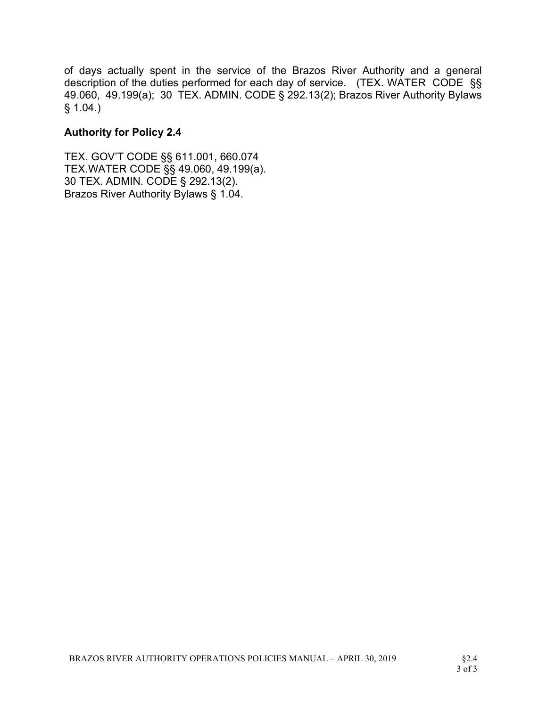of days actually spent in the service of the Brazos River Authority and a general description of the duties performed for each day of service. (TEX. WATER CODE §§ 49.060, 49.199(a); 30 TEX. ADMIN. CODE § 292.13(2); Brazos River Authority Bylaws § 1.04.)

# Authority for Policy 2.4

TEX. GOV'T CODE §§ 611.001, 660.074 TEX.WATER CODE §§ 49.060, 49.199(a). 30 TEX. ADMIN. CODE § 292.13(2). Brazos River Authority Bylaws § 1.04.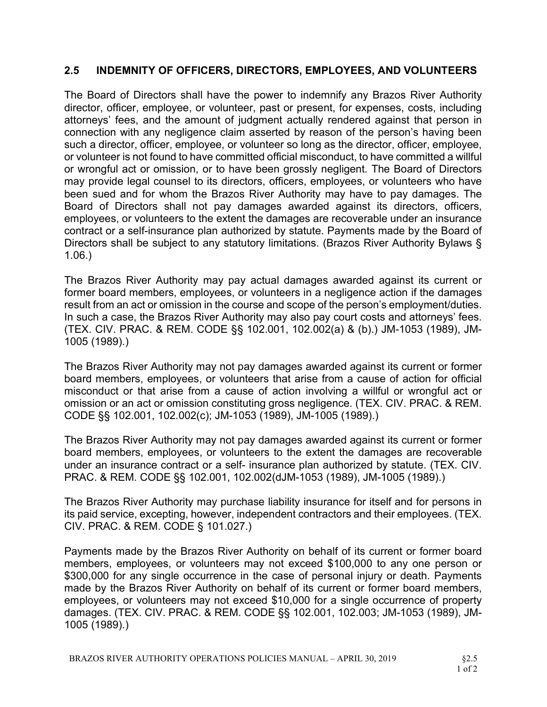# 2.5 INDEMNITY OF OFFICERS, DIRECTORS, EMPLOYEES, AND VOLUNTEERS

The Board of Directors shall have the power to indemnify any Brazos River Authority director, officer, employee, or volunteer, past or present, for expenses, costs, including attorneys' fees, and the amount of judgment actually rendered against that person in connection with any negligence claim asserted by reason of the person's having been such a director, officer, employee, or volunteer so long as the director, officer, employee, or volunteer is not found to have committed official misconduct, to have committed a willful or wrongful act or omission, or to have been grossly negligent. The Board of Directors may provide legal counsel to its directors, officers, employees, or volunteers who have been sued and for whom the Brazos River Authority may have to pay damages. The Board of Directors shall not pay damages awarded against its directors, officers, employees, or volunteers to the extent the damages are recoverable under an insurance contract or a self-insurance plan authorized by statute. Payments made by the Board of Directors shall be subject to any statutory limitations. (Brazos River Authority Bylaws § 1.06.)

The Brazos River Authority may pay actual damages awarded against its current or former board members, employees, or volunteers in a negligence action if the damages result from an act or omission in the course and scope of the person's employment/duties. In such a case, the Brazos River Authority may also pay court costs and attorneys' fees. (TEX. CIV. PRAC. & REM. CODE §§ 102.001, 102.002(a) & (b).) JM-1053 (1989), JM-1005 (1989).)

The Brazos River Authority may not pay damages awarded against its current or former board members, employees, or volunteers that arise from a cause of action for official misconduct or that arise from a cause of action involving a willful or wrongful act or omission or an act or omission constituting gross negligence. (TEX. CIV. PRAC. & REM. CODE §§ 102.001, 102.002(c); JM-1053 (1989), JM-1005 (1989).)

The Brazos River Authority may not pay damages awarded against its current or former board members, employees, or volunteers to the extent the damages are recoverable under an insurance contract or a self- insurance plan authorized by statute. (TEX. CIV. PRAC. & REM. CODE §§ 102.001, 102.002(dJM-1053 (1989), JM-1005 (1989).)

The Brazos River Authority may purchase liability insurance for itself and for persons in its paid service, excepting, however, independent contractors and their employees. (TEX. CIV. PRAC. & REM. CODE § 101.027.)

Payments made by the Brazos River Authority on behalf of its current or former board members, employees, or volunteers may not exceed \$100,000 to any one person or \$300,000 for any single occurrence in the case of personal injury or death. Payments made by the Brazos River Authority on behalf of its current or former board members, employees, or volunteers may not exceed \$10,000 for a single occurrence of property damages. (TEX. CIV. PRAC. & REM. CODE §§ 102.001, 102.003; JM-1053 (1989), JM-1005 (1989).)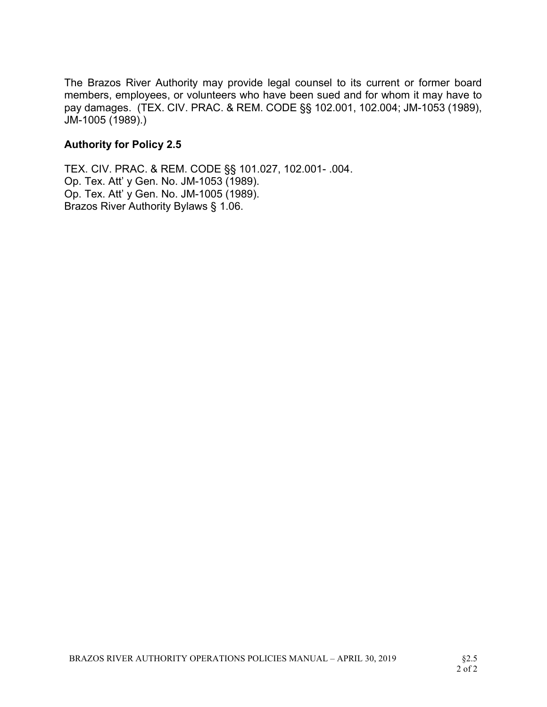The Brazos River Authority may provide legal counsel to its current or former board members, employees, or volunteers who have been sued and for whom it may have to pay damages. (TEX. CIV. PRAC. & REM. CODE §§ 102.001, 102.004; JM-1053 (1989), JM-1005 (1989).)

# Authority for Policy 2.5

TEX. CIV. PRAC. & REM. CODE §§ 101.027, 102.001- .004. Op. Tex. Att' y Gen. No. JM-1053 (1989). Op. Tex. Att' y Gen. No. JM-1005 (1989). Brazos River Authority Bylaws § 1.06.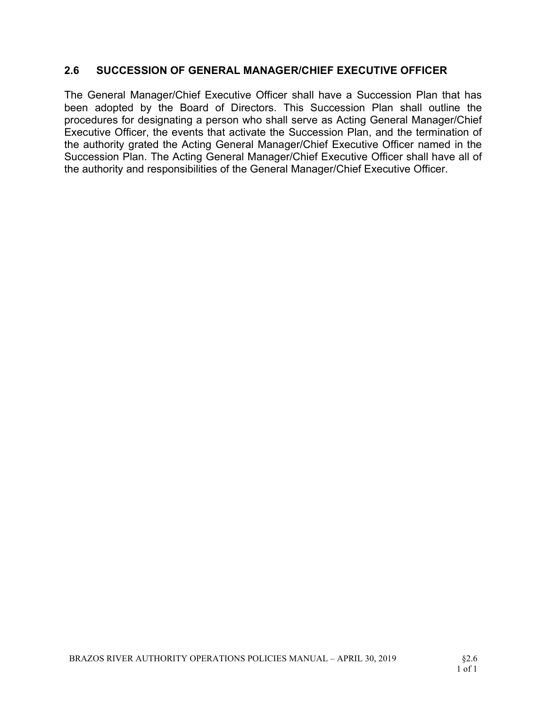# 2.6 SUCCESSION OF GENERAL MANAGER/CHIEF EXECUTIVE OFFICER

The General Manager/Chief Executive Officer shall have a Succession Plan that has been adopted by the Board of Directors. This Succession Plan shall outline the procedures for designating a person who shall serve as Acting General Manager/Chief Executive Officer, the events that activate the Succession Plan, and the termination of the authority grated the Acting General Manager/Chief Executive Officer named in the Succession Plan. The Acting General Manager/Chief Executive Officer shall have all of the authority and responsibilities of the General Manager/Chief Executive Officer.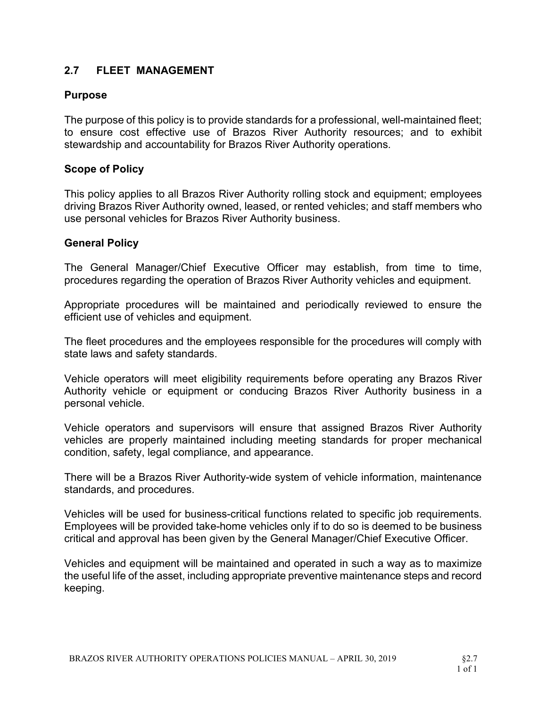# 2.7 FLEET MANAGEMENT

## Purpose

The purpose of this policy is to provide standards for a professional, well-maintained fleet; to ensure cost effective use of Brazos River Authority resources; and to exhibit stewardship and accountability for Brazos River Authority operations.

## Scope of Policy

This policy applies to all Brazos River Authority rolling stock and equipment; employees driving Brazos River Authority owned, leased, or rented vehicles; and staff members who use personal vehicles for Brazos River Authority business.

## General Policy

The General Manager/Chief Executive Officer may establish, from time to time, procedures regarding the operation of Brazos River Authority vehicles and equipment.

Appropriate procedures will be maintained and periodically reviewed to ensure the efficient use of vehicles and equipment.

The fleet procedures and the employees responsible for the procedures will comply with state laws and safety standards.

Vehicle operators will meet eligibility requirements before operating any Brazos River Authority vehicle or equipment or conducing Brazos River Authority business in a personal vehicle.

Vehicle operators and supervisors will ensure that assigned Brazos River Authority vehicles are properly maintained including meeting standards for proper mechanical condition, safety, legal compliance, and appearance.

There will be a Brazos River Authority-wide system of vehicle information, maintenance standards, and procedures.

Vehicles will be used for business-critical functions related to specific job requirements. Employees will be provided take-home vehicles only if to do so is deemed to be business critical and approval has been given by the General Manager/Chief Executive Officer.

Vehicles and equipment will be maintained and operated in such a way as to maximize the useful life of the asset, including appropriate preventive maintenance steps and record keeping.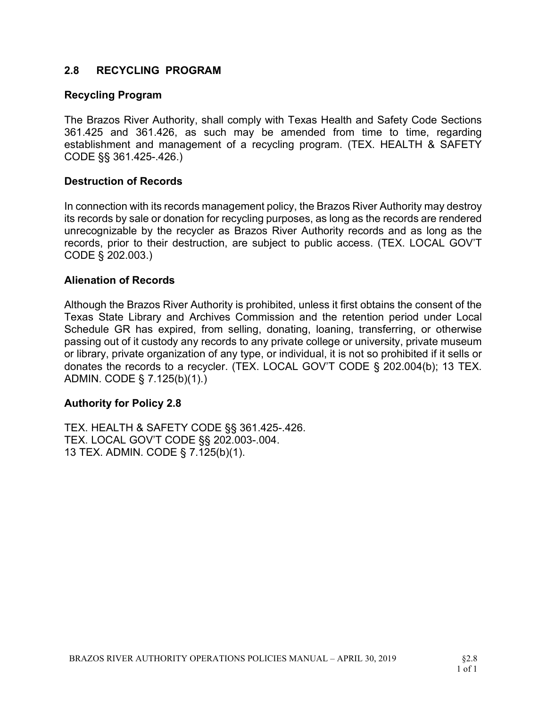### 2.8 RECYCLING PROGRAM

#### Recycling Program

The Brazos River Authority, shall comply with Texas Health and Safety Code Sections 361.425 and 361.426, as such may be amended from time to time, regarding establishment and management of a recycling program. (TEX. HEALTH & SAFETY CODE §§ 361.425-.426.)

#### Destruction of Records

In connection with its records management policy, the Brazos River Authority may destroy its records by sale or donation for recycling purposes, as long as the records are rendered unrecognizable by the recycler as Brazos River Authority records and as long as the records, prior to their destruction, are subject to public access. (TEX. LOCAL GOV'T CODE § 202.003.)

#### Alienation of Records

Although the Brazos River Authority is prohibited, unless it first obtains the consent of the Texas State Library and Archives Commission and the retention period under Local Schedule GR has expired, from selling, donating, loaning, transferring, or otherwise passing out of it custody any records to any private college or university, private museum or library, private organization of any type, or individual, it is not so prohibited if it sells or donates the records to a recycler. (TEX. LOCAL GOV'T CODE § 202.004(b); 13 TEX. ADMIN. CODE § 7.125(b)(1).)

#### Authority for Policy 2.8

TEX. HEALTH & SAFETY CODE §§ 361.425-.426. TEX. LOCAL GOV'T CODE §§ 202.003-.004. 13 TEX. ADMIN. CODE § 7.125(b)(1).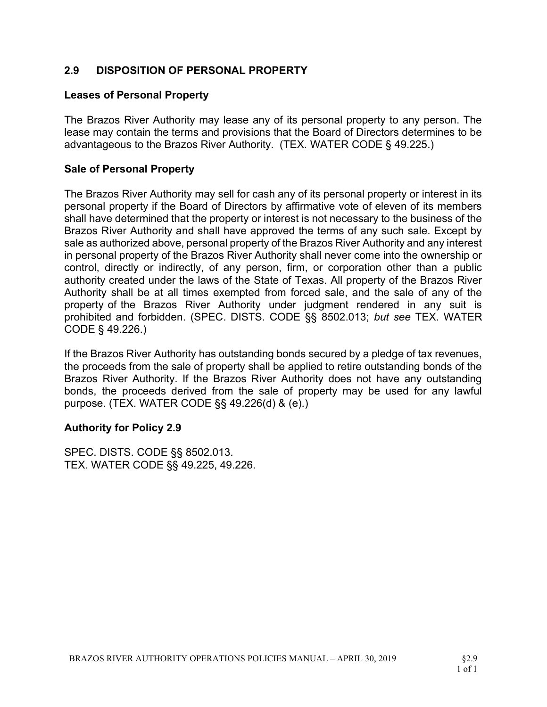## 2.9 DISPOSITION OF PERSONAL PROPERTY

#### Leases of Personal Property

The Brazos River Authority may lease any of its personal property to any person. The lease may contain the terms and provisions that the Board of Directors determines to be advantageous to the Brazos River Authority. (TEX. WATER CODE § 49.225.)

#### Sale of Personal Property

The Brazos River Authority may sell for cash any of its personal property or interest in its personal property if the Board of Directors by affirmative vote of eleven of its members shall have determined that the property or interest is not necessary to the business of the Brazos River Authority and shall have approved the terms of any such sale. Except by sale as authorized above, personal property of the Brazos River Authority and any interest in personal property of the Brazos River Authority shall never come into the ownership or control, directly or indirectly, of any person, firm, or corporation other than a public authority created under the laws of the State of Texas. All property of the Brazos River Authority shall be at all times exempted from forced sale, and the sale of any of the property of the Brazos River Authority under judgment rendered in any suit is prohibited and forbidden. (SPEC. DISTS. CODE §§ 8502.013; but see TEX. WATER CODE § 49.226.)

If the Brazos River Authority has outstanding bonds secured by a pledge of tax revenues, the proceeds from the sale of property shall be applied to retire outstanding bonds of the Brazos River Authority. If the Brazos River Authority does not have any outstanding bonds, the proceeds derived from the sale of property may be used for any lawful purpose. (TEX. WATER CODE §§ 49.226(d) & (e).)

#### Authority for Policy 2.9

SPEC. DISTS. CODE §§ 8502.013. TEX. WATER CODE §§ 49.225, 49.226.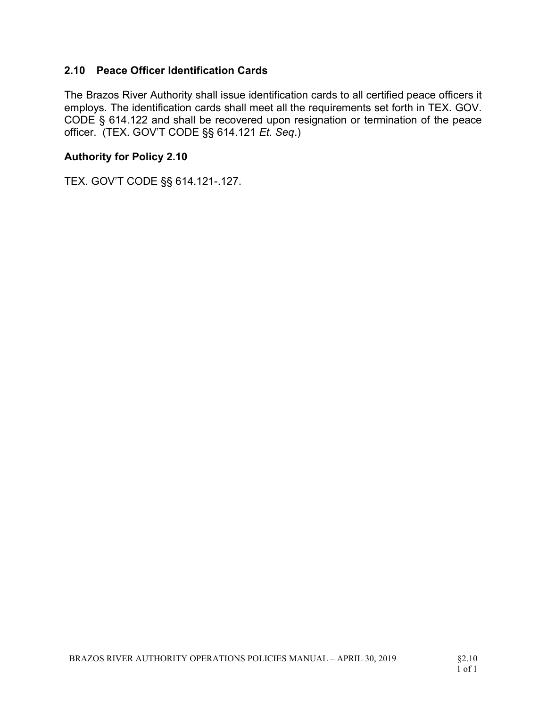## 2.10 Peace Officer Identification Cards

The Brazos River Authority shall issue identification cards to all certified peace officers it employs. The identification cards shall meet all the requirements set forth in TEX. GOV. CODE § 614.122 and shall be recovered upon resignation or termination of the peace officer. (TEX. GOV'T CODE §§ 614.121 Et. Seq.)

#### Authority for Policy 2.10

TEX. GOV'T CODE §§ 614.121-.127.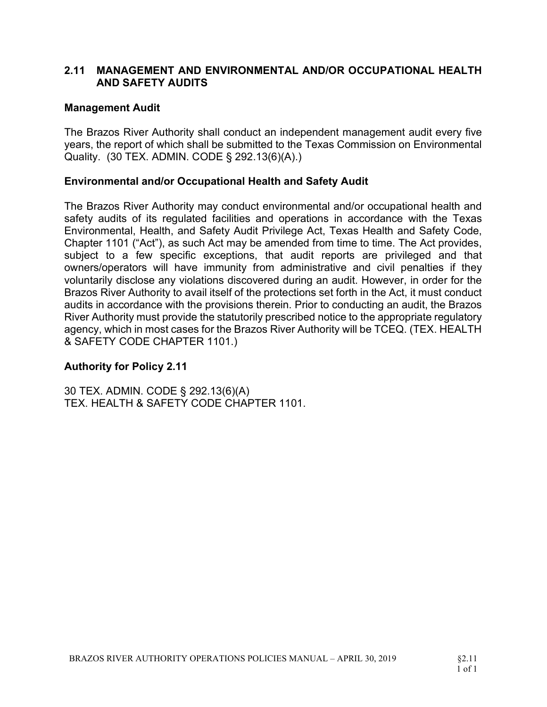### 2.11 MANAGEMENT AND ENVIRONMENTAL AND/OR OCCUPATIONAL HEALTH AND SAFETY AUDITS

### Management Audit

The Brazos River Authority shall conduct an independent management audit every five years, the report of which shall be submitted to the Texas Commission on Environmental Quality. (30 TEX. ADMIN. CODE § 292.13(6)(A).)

### Environmental and/or Occupational Health and Safety Audit

The Brazos River Authority may conduct environmental and/or occupational health and safety audits of its regulated facilities and operations in accordance with the Texas Environmental, Health, and Safety Audit Privilege Act, Texas Health and Safety Code, Chapter 1101 ("Act"), as such Act may be amended from time to time. The Act provides, subject to a few specific exceptions, that audit reports are privileged and that owners/operators will have immunity from administrative and civil penalties if they voluntarily disclose any violations discovered during an audit. However, in order for the Brazos River Authority to avail itself of the protections set forth in the Act, it must conduct audits in accordance with the provisions therein. Prior to conducting an audit, the Brazos River Authority must provide the statutorily prescribed notice to the appropriate regulatory agency, which in most cases for the Brazos River Authority will be TCEQ. (TEX. HEALTH & SAFETY CODE CHAPTER 1101.)

## Authority for Policy 2.11

30 TEX. ADMIN. CODE § 292.13(6)(A) TEX. HEALTH & SAFETY CODE CHAPTER 1101.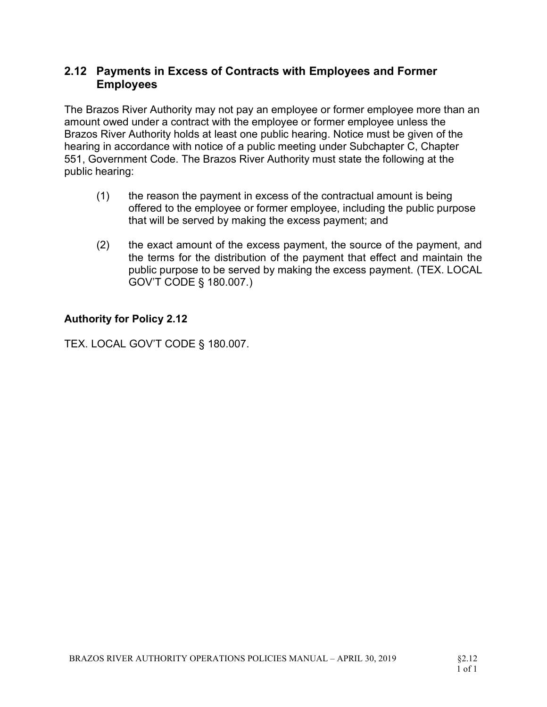# 2.12 Payments in Excess of Contracts with Employees and Former Employees

The Brazos River Authority may not pay an employee or former employee more than an amount owed under a contract with the employee or former employee unless the Brazos River Authority holds at least one public hearing. Notice must be given of the hearing in accordance with notice of a public meeting under Subchapter C, Chapter 551, Government Code. The Brazos River Authority must state the following at the public hearing:

- (1) the reason the payment in excess of the contractual amount is being offered to the employee or former employee, including the public purpose that will be served by making the excess payment; and
- (2) the exact amount of the excess payment, the source of the payment, and the terms for the distribution of the payment that effect and maintain the public purpose to be served by making the excess payment. (TEX. LOCAL GOV'T CODE § 180.007.)

# Authority for Policy 2.12

TEX. LOCAL GOV'T CODE § 180.007.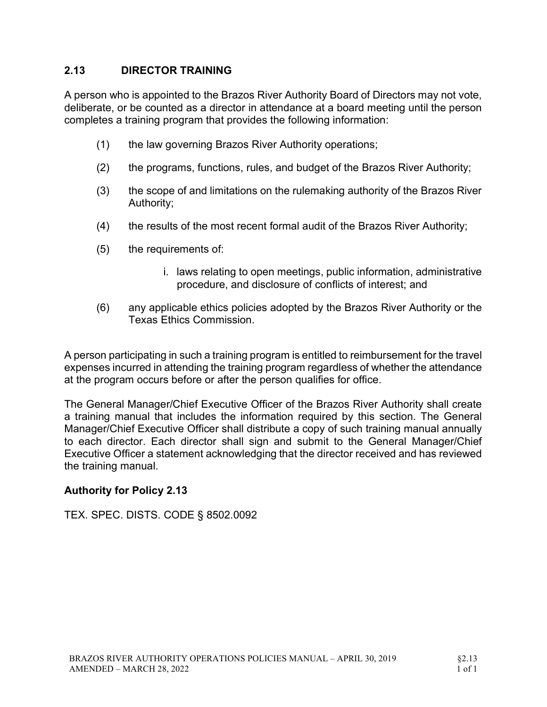## 2.13 DIRECTOR TRAINING

A person who is appointed to the Brazos River Authority Board of Directors may not vote, deliberate, or be counted as a director in attendance at a board meeting until the person completes a training program that provides the following information:

- (1) the law governing Brazos River Authority operations;
- (2) the programs, functions, rules, and budget of the Brazos River Authority;
- (3) the scope of and limitations on the rulemaking authority of the Brazos River Authority;
- (4) the results of the most recent formal audit of the Brazos River Authority;
- (5) the requirements of:
	- i. laws relating to open meetings, public information, administrative procedure, and disclosure of conflicts of interest; and
- (6) any applicable ethics policies adopted by the Brazos River Authority or the Texas Ethics Commission.

A person participating in such a training program is entitled to reimbursement for the travel expenses incurred in attending the training program regardless of whether the attendance at the program occurs before or after the person qualifies for office.

The General Manager/Chief Executive Officer of the Brazos River Authority shall create a training manual that includes the information required by this section. The General Manager/Chief Executive Officer shall distribute a copy of such training manual annually to each director. Each director shall sign and submit to the General Manager/Chief Executive Officer a statement acknowledging that the director received and has reviewed the training manual.

#### Authority for Policy 2.13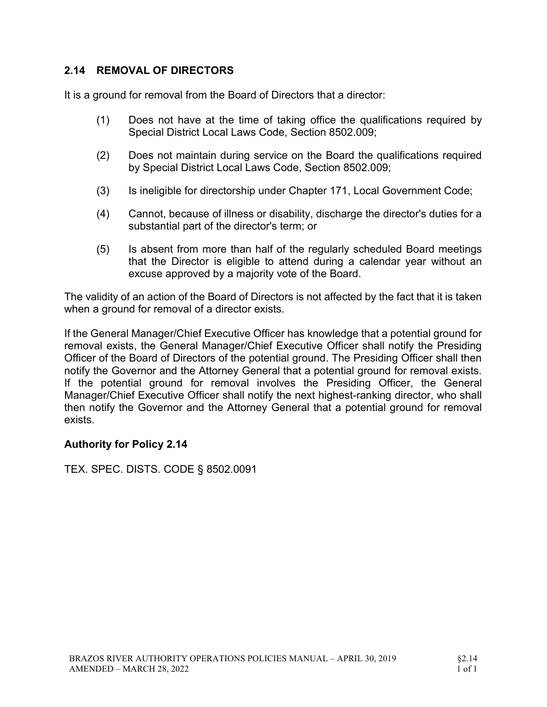## 2.14 REMOVAL OF DIRECTORS

It is a ground for removal from the Board of Directors that a director:

- (1) Does not have at the time of taking office the qualifications required by Special District Local Laws Code, Section 8502.009;
- (2) Does not maintain during service on the Board the qualifications required by Special District Local Laws Code, Section 8502.009;
- (3) Is ineligible for directorship under Chapter 171, Local Government Code;
- (4) Cannot, because of illness or disability, discharge the director's duties for a substantial part of the director's term; or
- (5) Is absent from more than half of the regularly scheduled Board meetings that the Director is eligible to attend during a calendar year without an excuse approved by a majority vote of the Board.

The validity of an action of the Board of Directors is not affected by the fact that it is taken when a ground for removal of a director exists.

If the General Manager/Chief Executive Officer has knowledge that a potential ground for removal exists, the General Manager/Chief Executive Officer shall notify the Presiding Officer of the Board of Directors of the potential ground. The Presiding Officer shall then notify the Governor and the Attorney General that a potential ground for removal exists. If the potential ground for removal involves the Presiding Officer, the General Manager/Chief Executive Officer shall notify the next highest-ranking director, who shall then notify the Governor and the Attorney General that a potential ground for removal exists.

#### Authority for Policy 2.14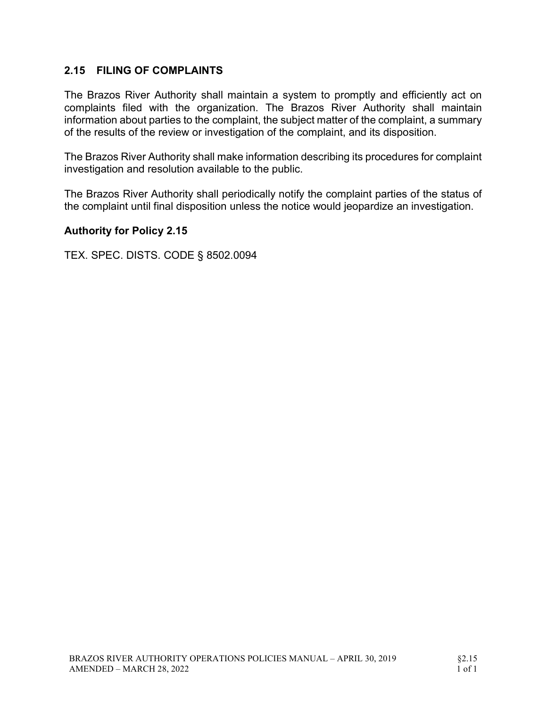## 2.15 FILING OF COMPLAINTS

The Brazos River Authority shall maintain a system to promptly and efficiently act on complaints filed with the organization. The Brazos River Authority shall maintain information about parties to the complaint, the subject matter of the complaint, a summary of the results of the review or investigation of the complaint, and its disposition.

The Brazos River Authority shall make information describing its procedures for complaint investigation and resolution available to the public.

The Brazos River Authority shall periodically notify the complaint parties of the status of the complaint until final disposition unless the notice would jeopardize an investigation.

#### Authority for Policy 2.15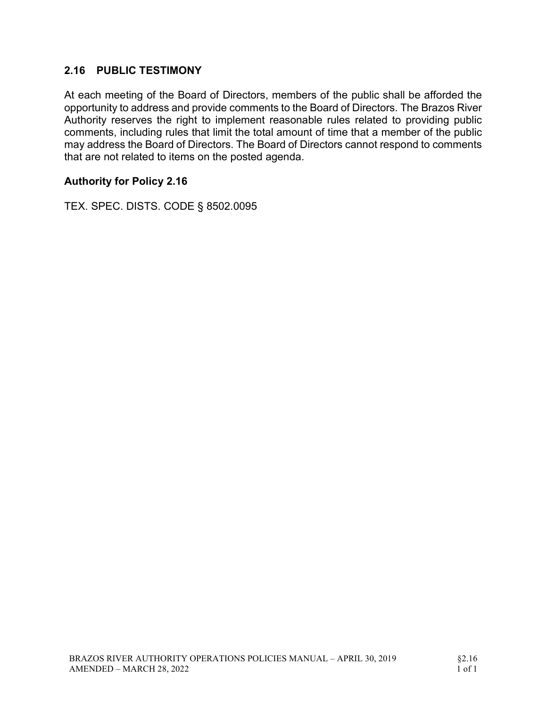## 2.16 PUBLIC TESTIMONY

At each meeting of the Board of Directors, members of the public shall be afforded the opportunity to address and provide comments to the Board of Directors. The Brazos River Authority reserves the right to implement reasonable rules related to providing public comments, including rules that limit the total amount of time that a member of the public may address the Board of Directors. The Board of Directors cannot respond to comments that are not related to items on the posted agenda.

### Authority for Policy 2.16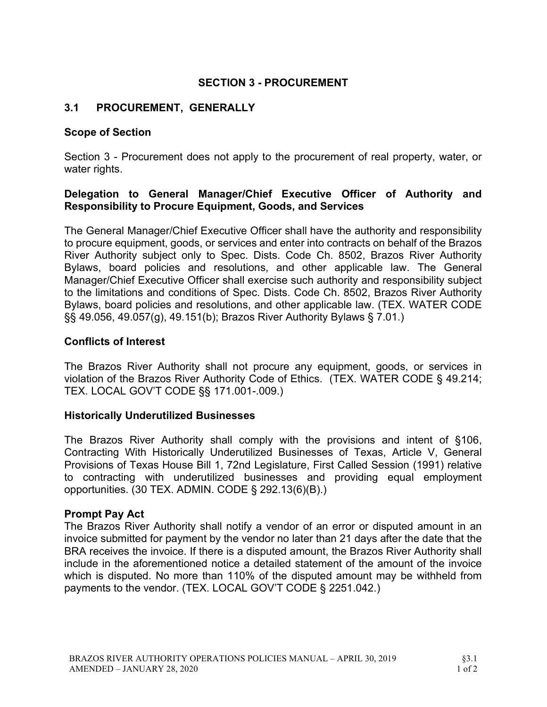## SECTION 3 - PROCUREMENT

### 3.1 PROCUREMENT, GENERALLY

#### Scope of Section

Section 3 - Procurement does not apply to the procurement of real property, water, or water rights.

#### Delegation to General Manager/Chief Executive Officer of Authority and Responsibility to Procure Equipment, Goods, and Services

The General Manager/Chief Executive Officer shall have the authority and responsibility to procure equipment, goods, or services and enter into contracts on behalf of the Brazos River Authority subject only to Spec. Dists. Code Ch. 8502, Brazos River Authority Bylaws, board policies and resolutions, and other applicable law. The General Manager/Chief Executive Officer shall exercise such authority and responsibility subject to the limitations and conditions of Spec. Dists. Code Ch. 8502, Brazos River Authority Bylaws, board policies and resolutions, and other applicable law. (TEX. WATER CODE §§ 49.056, 49.057(g), 49.151(b); Brazos River Authority Bylaws § 7.01.)

#### Conflicts of Interest

The Brazos River Authority shall not procure any equipment, goods, or services in violation of the Brazos River Authority Code of Ethics. (TEX. WATER CODE § 49.214; TEX. LOCAL GOV'T CODE §§ 171.001-.009.)

#### Historically Underutilized Businesses

The Brazos River Authority shall comply with the provisions and intent of §106, Contracting With Historically Underutilized Businesses of Texas, Article V, General Provisions of Texas House Bill 1, 72nd Legislature, First Called Session (1991) relative to contracting with underutilized businesses and providing equal employment opportunities. (30 TEX. ADMIN. CODE § 292.13(6)(B).)

#### Prompt Pay Act

The Brazos River Authority shall notify a vendor of an error or disputed amount in an invoice submitted for payment by the vendor no later than 21 days after the date that the BRA receives the invoice. If there is a disputed amount, the Brazos River Authority shall include in the aforementioned notice a detailed statement of the amount of the invoice which is disputed. No more than 110% of the disputed amount may be withheld from payments to the vendor. (TEX. LOCAL GOV'T CODE § 2251.042.)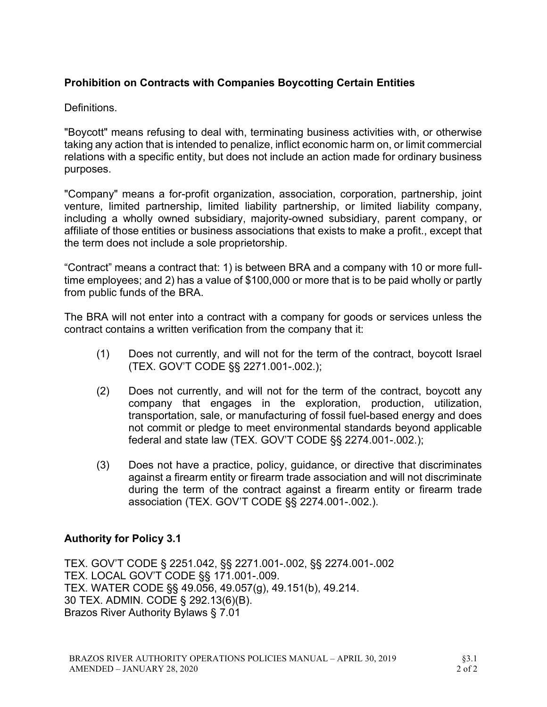# Prohibition on Contracts with Companies Boycotting Certain Entities

Definitions.

"Boycott" means refusing to deal with, terminating business activities with, or otherwise taking any action that is intended to penalize, inflict economic harm on, or limit commercial relations with a specific entity, but does not include an action made for ordinary business purposes.

"Company" means a for-profit organization, association, corporation, partnership, joint venture, limited partnership, limited liability partnership, or limited liability company, including a wholly owned subsidiary, majority-owned subsidiary, parent company, or affiliate of those entities or business associations that exists to make a profit., except that the term does not include a sole proprietorship.

"Contract" means a contract that: 1) is between BRA and a company with 10 or more fulltime employees; and 2) has a value of \$100,000 or more that is to be paid wholly or partly from public funds of the BRA.

The BRA will not enter into a contract with a company for goods or services unless the contract contains a written verification from the company that it:

- (1) Does not currently, and will not for the term of the contract, boycott Israel (TEX. GOV'T CODE §§ 2271.001-.002.);
- (2) Does not currently, and will not for the term of the contract, boycott any company that engages in the exploration, production, utilization, transportation, sale, or manufacturing of fossil fuel-based energy and does not commit or pledge to meet environmental standards beyond applicable federal and state law (TEX. GOV'T CODE §§ 2274.001-.002.);
- (3) Does not have a practice, policy, guidance, or directive that discriminates against a firearm entity or firearm trade association and will not discriminate during the term of the contract against a firearm entity or firearm trade association (TEX. GOV'T CODE §§ 2274.001-.002.).

#### Authority for Policy 3.1

TEX. GOV'T CODE § 2251.042, §§ 2271.001-.002, §§ 2274.001-.002 TEX. LOCAL GOV'T CODE §§ 171.001-.009. TEX. WATER CODE §§ 49.056, 49.057(g), 49.151(b), 49.214. 30 TEX. ADMIN. CODE § 292.13(6)(B). Brazos River Authority Bylaws § 7.01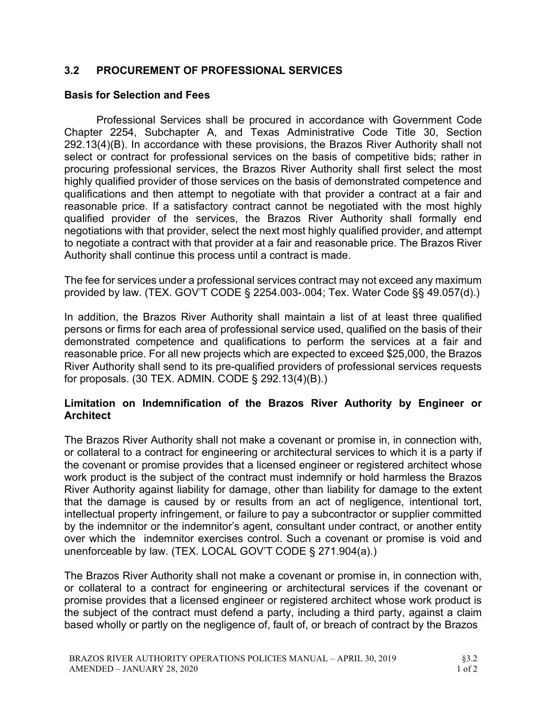## 3.2 PROCUREMENT OF PROFESSIONAL SERVICES

#### Basis for Selection and Fees

Professional Services shall be procured in accordance with Government Code Chapter 2254, Subchapter A, and Texas Administrative Code Title 30, Section 292.13(4)(B). In accordance with these provisions, the Brazos River Authority shall not select or contract for professional services on the basis of competitive bids; rather in procuring professional services, the Brazos River Authority shall first select the most highly qualified provider of those services on the basis of demonstrated competence and qualifications and then attempt to negotiate with that provider a contract at a fair and reasonable price. If a satisfactory contract cannot be negotiated with the most highly qualified provider of the services, the Brazos River Authority shall formally end negotiations with that provider, select the next most highly qualified provider, and attempt to negotiate a contract with that provider at a fair and reasonable price. The Brazos River Authority shall continue this process until a contract is made.

The fee for services under a professional services contract may not exceed any maximum provided by law. (TEX. GOV'T CODE § 2254.003-.004; Tex. Water Code §§ 49.057(d).)

In addition, the Brazos River Authority shall maintain a list of at least three qualified persons or firms for each area of professional service used, qualified on the basis of their demonstrated competence and qualifications to perform the services at a fair and reasonable price. For all new projects which are expected to exceed \$25,000, the Brazos River Authority shall send to its pre-qualified providers of professional services requests for proposals. (30 TEX. ADMIN. CODE § 292.13(4)(B).)

#### Limitation on Indemnification of the Brazos River Authority by Engineer or **Architect**

The Brazos River Authority shall not make a covenant or promise in, in connection with, or collateral to a contract for engineering or architectural services to which it is a party if the covenant or promise provides that a licensed engineer or registered architect whose work product is the subject of the contract must indemnify or hold harmless the Brazos River Authority against liability for damage, other than liability for damage to the extent that the damage is caused by or results from an act of negligence, intentional tort, intellectual property infringement, or failure to pay a subcontractor or supplier committed by the indemnitor or the indemnitor's agent, consultant under contract, or another entity over which the indemnitor exercises control. Such a covenant or promise is void and unenforceable by law. (TEX. LOCAL GOV'T CODE § 271.904(a).)

The Brazos River Authority shall not make a covenant or promise in, in connection with, or collateral to a contract for engineering or architectural services if the covenant or promise provides that a licensed engineer or registered architect whose work product is the subject of the contract must defend a party, including a third party, against a claim based wholly or partly on the negligence of, fault of, or breach of contract by the Brazos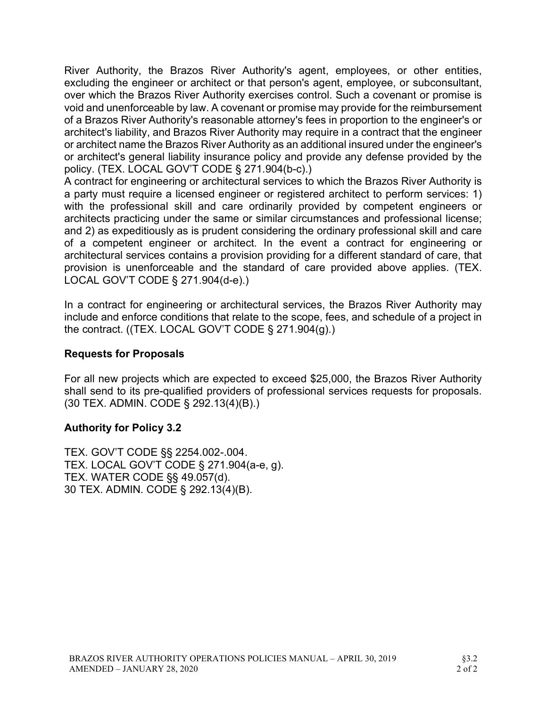River Authority, the Brazos River Authority's agent, employees, or other entities, excluding the engineer or architect or that person's agent, employee, or subconsultant, over which the Brazos River Authority exercises control. Such a covenant or promise is void and unenforceable by law. A covenant or promise may provide for the reimbursement of a Brazos River Authority's reasonable attorney's fees in proportion to the engineer's or architect's liability, and Brazos River Authority may require in a contract that the engineer or architect name the Brazos River Authority as an additional insured under the engineer's or architect's general liability insurance policy and provide any defense provided by the policy. (TEX. LOCAL GOV'T CODE § 271.904(b-c).)

A contract for engineering or architectural services to which the Brazos River Authority is a party must require a licensed engineer or registered architect to perform services: 1) with the professional skill and care ordinarily provided by competent engineers or architects practicing under the same or similar circumstances and professional license; and 2) as expeditiously as is prudent considering the ordinary professional skill and care of a competent engineer or architect. In the event a contract for engineering or architectural services contains a provision providing for a different standard of care, that provision is unenforceable and the standard of care provided above applies. (TEX. LOCAL GOV'T CODE § 271.904(d-e).)

In a contract for engineering or architectural services, the Brazos River Authority may include and enforce conditions that relate to the scope, fees, and schedule of a project in the contract. ((TEX. LOCAL GOV'T CODE § 271.904(g).)

## Requests for Proposals

For all new projects which are expected to exceed \$25,000, the Brazos River Authority shall send to its pre-qualified providers of professional services requests for proposals. (30 TEX. ADMIN. CODE § 292.13(4)(B).)

#### Authority for Policy 3.2

TEX. GOV'T CODE §§ 2254.002-.004. TEX. LOCAL GOV'T CODE § 271.904(a-e, g). TEX. WATER CODE §§ 49.057(d). 30 TEX. ADMIN. CODE § 292.13(4)(B).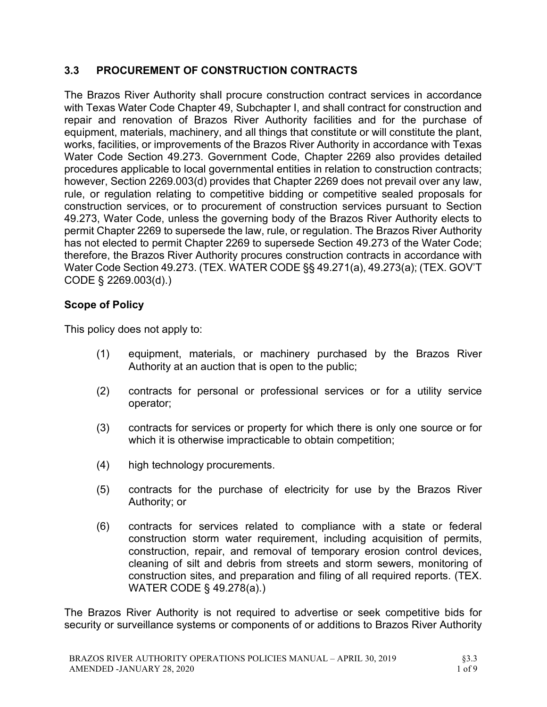# 3.3 PROCUREMENT OF CONSTRUCTION CONTRACTS

The Brazos River Authority shall procure construction contract services in accordance with Texas Water Code Chapter 49, Subchapter I, and shall contract for construction and repair and renovation of Brazos River Authority facilities and for the purchase of equipment, materials, machinery, and all things that constitute or will constitute the plant, works, facilities, or improvements of the Brazos River Authority in accordance with Texas Water Code Section 49.273. Government Code, Chapter 2269 also provides detailed procedures applicable to local governmental entities in relation to construction contracts; however, Section 2269.003(d) provides that Chapter 2269 does not prevail over any law, rule, or regulation relating to competitive bidding or competitive sealed proposals for construction services, or to procurement of construction services pursuant to Section 49.273, Water Code, unless the governing body of the Brazos River Authority elects to permit Chapter 2269 to supersede the law, rule, or regulation. The Brazos River Authority has not elected to permit Chapter 2269 to supersede Section 49.273 of the Water Code; therefore, the Brazos River Authority procures construction contracts in accordance with Water Code Section 49.273. (TEX. WATER CODE §§ 49.271(a), 49.273(a); (TEX. GOV'T CODE § 2269.003(d).)

## Scope of Policy

This policy does not apply to:

- (1) equipment, materials, or machinery purchased by the Brazos River Authority at an auction that is open to the public;
- (2) contracts for personal or professional services or for a utility service operator;
- (3) contracts for services or property for which there is only one source or for which it is otherwise impracticable to obtain competition;
- (4) high technology procurements.
- (5) contracts for the purchase of electricity for use by the Brazos River Authority; or
- (6) contracts for services related to compliance with a state or federal construction storm water requirement, including acquisition of permits, construction, repair, and removal of temporary erosion control devices, cleaning of silt and debris from streets and storm sewers, monitoring of construction sites, and preparation and filing of all required reports. (TEX. WATER CODE § 49.278(a).)

The Brazos River Authority is not required to advertise or seek competitive bids for security or surveillance systems or components of or additions to Brazos River Authority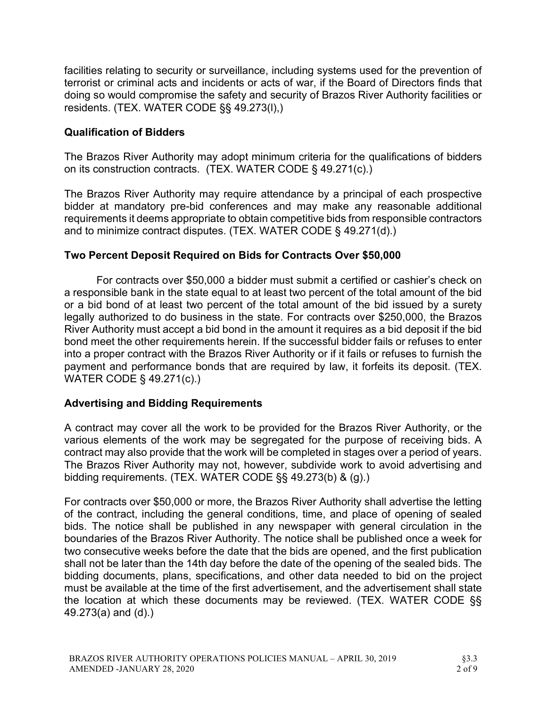facilities relating to security or surveillance, including systems used for the prevention of terrorist or criminal acts and incidents or acts of war, if the Board of Directors finds that doing so would compromise the safety and security of Brazos River Authority facilities or residents. (TEX. WATER CODE §§ 49.273(l),)

## Qualification of Bidders

The Brazos River Authority may adopt minimum criteria for the qualifications of bidders on its construction contracts. (TEX. WATER CODE § 49.271(c).)

The Brazos River Authority may require attendance by a principal of each prospective bidder at mandatory pre-bid conferences and may make any reasonable additional requirements it deems appropriate to obtain competitive bids from responsible contractors and to minimize contract disputes. (TEX. WATER CODE § 49.271(d).)

### Two Percent Deposit Required on Bids for Contracts Over \$50,000

For contracts over \$50,000 a bidder must submit a certified or cashier's check on a responsible bank in the state equal to at least two percent of the total amount of the bid or a bid bond of at least two percent of the total amount of the bid issued by a surety legally authorized to do business in the state. For contracts over \$250,000, the Brazos River Authority must accept a bid bond in the amount it requires as a bid deposit if the bid bond meet the other requirements herein. If the successful bidder fails or refuses to enter into a proper contract with the Brazos River Authority or if it fails or refuses to furnish the payment and performance bonds that are required by law, it forfeits its deposit. (TEX. WATER CODE § 49.271(c).)

#### Advertising and Bidding Requirements

A contract may cover all the work to be provided for the Brazos River Authority, or the various elements of the work may be segregated for the purpose of receiving bids. A contract may also provide that the work will be completed in stages over a period of years. The Brazos River Authority may not, however, subdivide work to avoid advertising and bidding requirements. (TEX. WATER CODE §§ 49.273(b) & (g).)

For contracts over \$50,000 or more, the Brazos River Authority shall advertise the letting of the contract, including the general conditions, time, and place of opening of sealed bids. The notice shall be published in any newspaper with general circulation in the boundaries of the Brazos River Authority. The notice shall be published once a week for two consecutive weeks before the date that the bids are opened, and the first publication shall not be later than the 14th day before the date of the opening of the sealed bids. The bidding documents, plans, specifications, and other data needed to bid on the project must be available at the time of the first advertisement, and the advertisement shall state the location at which these documents may be reviewed. (TEX. WATER CODE §§ 49.273(a) and (d).)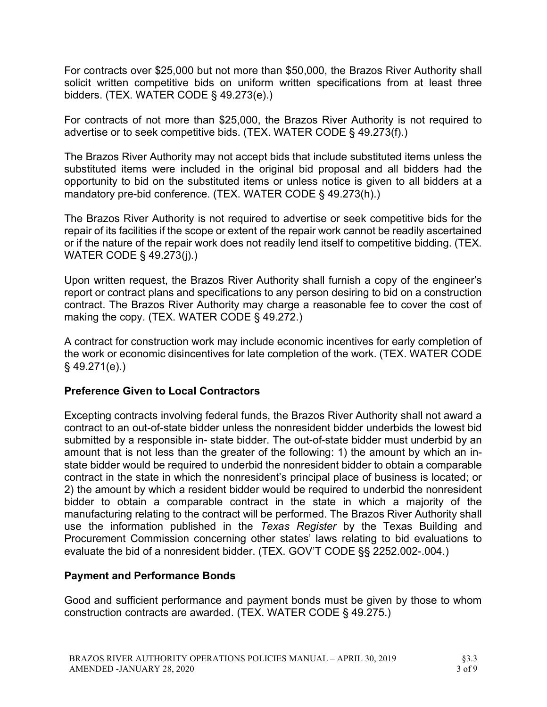For contracts over \$25,000 but not more than \$50,000, the Brazos River Authority shall solicit written competitive bids on uniform written specifications from at least three bidders. (TEX. WATER CODE § 49.273(e).)

For contracts of not more than \$25,000, the Brazos River Authority is not required to advertise or to seek competitive bids. (TEX. WATER CODE § 49.273(f).)

The Brazos River Authority may not accept bids that include substituted items unless the substituted items were included in the original bid proposal and all bidders had the opportunity to bid on the substituted items or unless notice is given to all bidders at a mandatory pre-bid conference. (TEX. WATER CODE § 49.273(h).)

The Brazos River Authority is not required to advertise or seek competitive bids for the repair of its facilities if the scope or extent of the repair work cannot be readily ascertained or if the nature of the repair work does not readily lend itself to competitive bidding. (TEX. WATER CODE § 49.273(j).)

Upon written request, the Brazos River Authority shall furnish a copy of the engineer's report or contract plans and specifications to any person desiring to bid on a construction contract. The Brazos River Authority may charge a reasonable fee to cover the cost of making the copy. (TEX. WATER CODE § 49.272.)

A contract for construction work may include economic incentives for early completion of the work or economic disincentives for late completion of the work. (TEX. WATER CODE § 49.271(e).)

## Preference Given to Local Contractors

Excepting contracts involving federal funds, the Brazos River Authority shall not award a contract to an out-of-state bidder unless the nonresident bidder underbids the lowest bid submitted by a responsible in- state bidder. The out-of-state bidder must underbid by an amount that is not less than the greater of the following: 1) the amount by which an instate bidder would be required to underbid the nonresident bidder to obtain a comparable contract in the state in which the nonresident's principal place of business is located; or 2) the amount by which a resident bidder would be required to underbid the nonresident bidder to obtain a comparable contract in the state in which a majority of the manufacturing relating to the contract will be performed. The Brazos River Authority shall use the information published in the Texas Register by the Texas Building and Procurement Commission concerning other states' laws relating to bid evaluations to evaluate the bid of a nonresident bidder. (TEX. GOV'T CODE §§ 2252.002-.004.)

#### Payment and Performance Bonds

Good and sufficient performance and payment bonds must be given by those to whom construction contracts are awarded. (TEX. WATER CODE § 49.275.)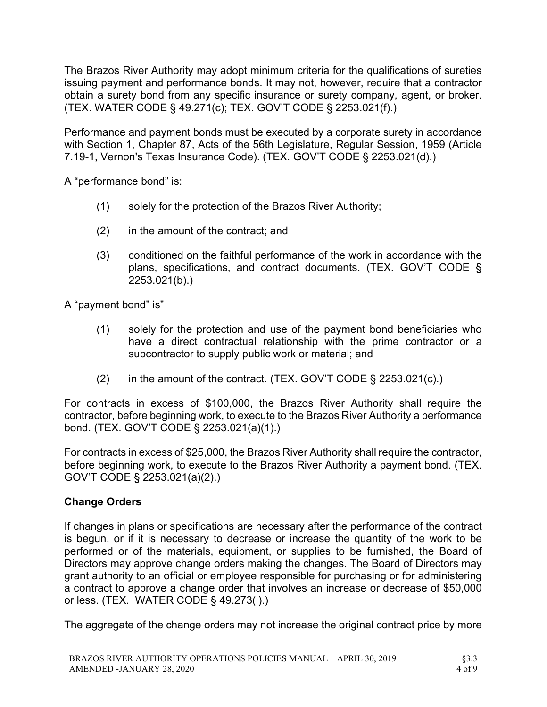The Brazos River Authority may adopt minimum criteria for the qualifications of sureties issuing payment and performance bonds. It may not, however, require that a contractor obtain a surety bond from any specific insurance or surety company, agent, or broker. (TEX. WATER CODE § 49.271(c); TEX. GOV'T CODE § 2253.021(f).)

Performance and payment bonds must be executed by a corporate surety in accordance with Section 1, Chapter 87, Acts of the 56th Legislature, Regular Session, 1959 (Article 7.19-1, Vernon's Texas Insurance Code). (TEX. GOV'T CODE § 2253.021(d).)

A "performance bond" is:

- (1) solely for the protection of the Brazos River Authority;
- (2) in the amount of the contract; and
- (3) conditioned on the faithful performance of the work in accordance with the plans, specifications, and contract documents. (TEX. GOV'T CODE § 2253.021(b).)

A "payment bond" is"

- (1) solely for the protection and use of the payment bond beneficiaries who have a direct contractual relationship with the prime contractor or a subcontractor to supply public work or material; and
- (2) in the amount of the contract. (TEX. GOV'T CODE  $\S$  2253.021(c).)

For contracts in excess of \$100,000, the Brazos River Authority shall require the contractor, before beginning work, to execute to the Brazos River Authority a performance bond. (TEX. GOV'T CODE § 2253.021(a)(1).)

For contracts in excess of \$25,000, the Brazos River Authority shall require the contractor, before beginning work, to execute to the Brazos River Authority a payment bond. (TEX. GOV'T CODE § 2253.021(a)(2).)

#### Change Orders

If changes in plans or specifications are necessary after the performance of the contract is begun, or if it is necessary to decrease or increase the quantity of the work to be performed or of the materials, equipment, or supplies to be furnished, the Board of Directors may approve change orders making the changes. The Board of Directors may grant authority to an official or employee responsible for purchasing or for administering a contract to approve a change order that involves an increase or decrease of \$50,000 or less. (TEX. WATER CODE § 49.273(i).)

The aggregate of the change orders may not increase the original contract price by more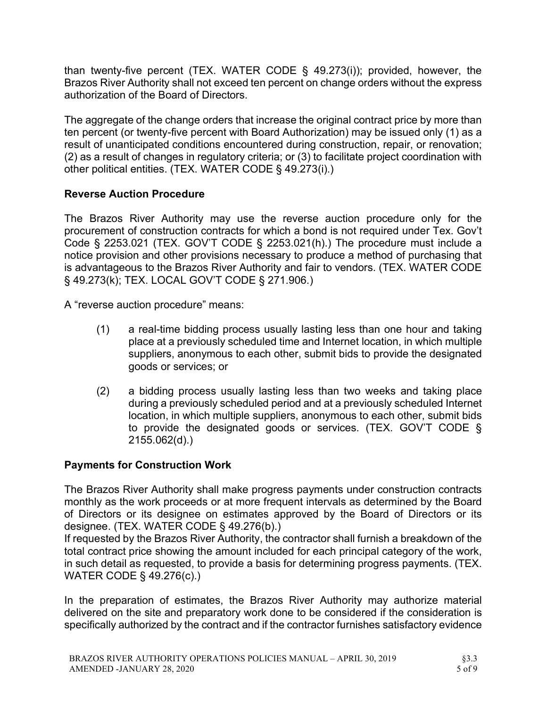than twenty-five percent (TEX. WATER CODE § 49.273(i)); provided, however, the Brazos River Authority shall not exceed ten percent on change orders without the express authorization of the Board of Directors.

The aggregate of the change orders that increase the original contract price by more than ten percent (or twenty-five percent with Board Authorization) may be issued only (1) as a result of unanticipated conditions encountered during construction, repair, or renovation; (2) as a result of changes in regulatory criteria; or (3) to facilitate project coordination with other political entities. (TEX. WATER CODE § 49.273(i).)

# Reverse Auction Procedure

The Brazos River Authority may use the reverse auction procedure only for the procurement of construction contracts for which a bond is not required under Tex. Gov't Code § 2253.021 (TEX. GOV'T CODE § 2253.021(h).) The procedure must include a notice provision and other provisions necessary to produce a method of purchasing that is advantageous to the Brazos River Authority and fair to vendors. (TEX. WATER CODE § 49.273(k); TEX. LOCAL GOV'T CODE § 271.906.)

A "reverse auction procedure" means:

- (1) a real-time bidding process usually lasting less than one hour and taking place at a previously scheduled time and Internet location, in which multiple suppliers, anonymous to each other, submit bids to provide the designated goods or services; or
- (2) a bidding process usually lasting less than two weeks and taking place during a previously scheduled period and at a previously scheduled Internet location, in which multiple suppliers, anonymous to each other, submit bids to provide the designated goods or services. (TEX. GOV'T CODE § 2155.062(d).)

## Payments for Construction Work

The Brazos River Authority shall make progress payments under construction contracts monthly as the work proceeds or at more frequent intervals as determined by the Board of Directors or its designee on estimates approved by the Board of Directors or its designee. (TEX. WATER CODE § 49.276(b).)

If requested by the Brazos River Authority, the contractor shall furnish a breakdown of the total contract price showing the amount included for each principal category of the work, in such detail as requested, to provide a basis for determining progress payments. (TEX. WATER CODE § 49.276(c).)

In the preparation of estimates, the Brazos River Authority may authorize material delivered on the site and preparatory work done to be considered if the consideration is specifically authorized by the contract and if the contractor furnishes satisfactory evidence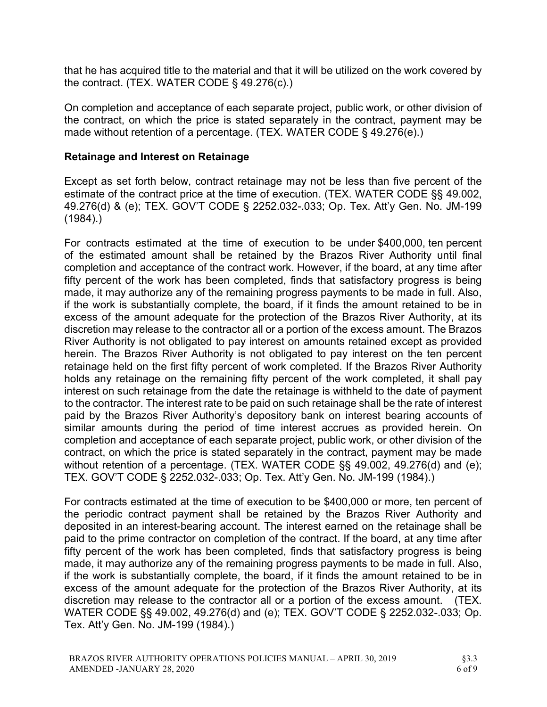that he has acquired title to the material and that it will be utilized on the work covered by the contract. (TEX. WATER CODE § 49.276(c).)

On completion and acceptance of each separate project, public work, or other division of the contract, on which the price is stated separately in the contract, payment may be made without retention of a percentage. (TEX. WATER CODE § 49.276(e).)

## Retainage and Interest on Retainage

Except as set forth below, contract retainage may not be less than five percent of the estimate of the contract price at the time of execution. (TEX. WATER CODE §§ 49.002, 49.276(d) & (e); TEX. GOV'T CODE § 2252.032-.033; Op. Tex. Att'y Gen. No. JM-199 (1984).)

For contracts estimated at the time of execution to be under \$400,000, ten percent of the estimated amount shall be retained by the Brazos River Authority until final completion and acceptance of the contract work. However, if the board, at any time after fifty percent of the work has been completed, finds that satisfactory progress is being made, it may authorize any of the remaining progress payments to be made in full. Also, if the work is substantially complete, the board, if it finds the amount retained to be in excess of the amount adequate for the protection of the Brazos River Authority, at its discretion may release to the contractor all or a portion of the excess amount. The Brazos River Authority is not obligated to pay interest on amounts retained except as provided herein. The Brazos River Authority is not obligated to pay interest on the ten percent retainage held on the first fifty percent of work completed. If the Brazos River Authority holds any retainage on the remaining fifty percent of the work completed, it shall pay interest on such retainage from the date the retainage is withheld to the date of payment to the contractor. The interest rate to be paid on such retainage shall be the rate of interest paid by the Brazos River Authority's depository bank on interest bearing accounts of similar amounts during the period of time interest accrues as provided herein. On completion and acceptance of each separate project, public work, or other division of the contract, on which the price is stated separately in the contract, payment may be made without retention of a percentage. (TEX. WATER CODE §§ 49.002, 49.276(d) and (e); TEX. GOV'T CODE § 2252.032-.033; Op. Tex. Att'y Gen. No. JM-199 (1984).)

For contracts estimated at the time of execution to be \$400,000 or more, ten percent of the periodic contract payment shall be retained by the Brazos River Authority and deposited in an interest-bearing account. The interest earned on the retainage shall be paid to the prime contractor on completion of the contract. If the board, at any time after fifty percent of the work has been completed, finds that satisfactory progress is being made, it may authorize any of the remaining progress payments to be made in full. Also, if the work is substantially complete, the board, if it finds the amount retained to be in excess of the amount adequate for the protection of the Brazos River Authority, at its discretion may release to the contractor all or a portion of the excess amount. (TEX. WATER CODE §§ 49.002, 49.276(d) and (e); TEX. GOV'T CODE § 2252.032-.033; Op. Tex. Att'y Gen. No. JM-199 (1984).)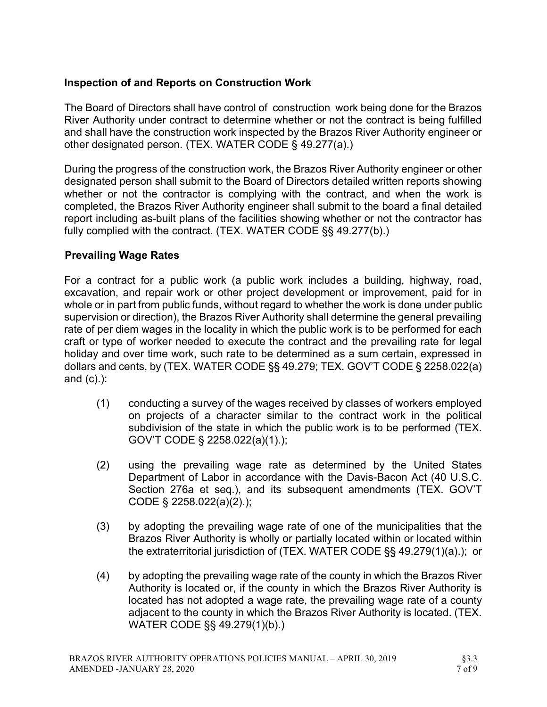## Inspection of and Reports on Construction Work

The Board of Directors shall have control of construction work being done for the Brazos River Authority under contract to determine whether or not the contract is being fulfilled and shall have the construction work inspected by the Brazos River Authority engineer or other designated person. (TEX. WATER CODE § 49.277(a).)

During the progress of the construction work, the Brazos River Authority engineer or other designated person shall submit to the Board of Directors detailed written reports showing whether or not the contractor is complying with the contract, and when the work is completed, the Brazos River Authority engineer shall submit to the board a final detailed report including as-built plans of the facilities showing whether or not the contractor has fully complied with the contract. (TEX. WATER CODE §§ 49.277(b).)

## Prevailing Wage Rates

For a contract for a public work (a public work includes a building, highway, road, excavation, and repair work or other project development or improvement, paid for in whole or in part from public funds, without regard to whether the work is done under public supervision or direction), the Brazos River Authority shall determine the general prevailing rate of per diem wages in the locality in which the public work is to be performed for each craft or type of worker needed to execute the contract and the prevailing rate for legal holiday and over time work, such rate to be determined as a sum certain, expressed in dollars and cents, by (TEX. WATER CODE §§ 49.279; TEX. GOV'T CODE § 2258.022(a) and (c).):

- (1) conducting a survey of the wages received by classes of workers employed on projects of a character similar to the contract work in the political subdivision of the state in which the public work is to be performed (TEX. GOV'T CODE § 2258.022(a)(1).);
- (2) using the prevailing wage rate as determined by the United States Department of Labor in accordance with the Davis-Bacon Act (40 U.S.C. Section 276a et seq.), and its subsequent amendments (TEX. GOV'T CODE § 2258.022(a)(2).);
- (3) by adopting the prevailing wage rate of one of the municipalities that the Brazos River Authority is wholly or partially located within or located within the extraterritorial jurisdiction of (TEX. WATER CODE §§ 49.279(1)(a).); or
- (4) by adopting the prevailing wage rate of the county in which the Brazos River Authority is located or, if the county in which the Brazos River Authority is located has not adopted a wage rate, the prevailing wage rate of a county adjacent to the county in which the Brazos River Authority is located. (TEX. WATER CODE §§ 49.279(1)(b).)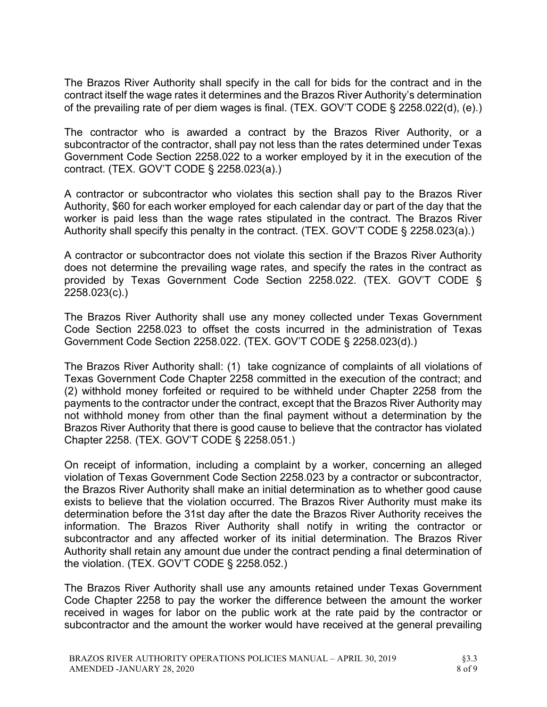The Brazos River Authority shall specify in the call for bids for the contract and in the contract itself the wage rates it determines and the Brazos River Authority's determination of the prevailing rate of per diem wages is final. (TEX. GOV'T CODE § 2258.022(d), (e).)

The contractor who is awarded a contract by the Brazos River Authority, or a subcontractor of the contractor, shall pay not less than the rates determined under Texas Government Code Section 2258.022 to a worker employed by it in the execution of the contract. (TEX. GOV'T CODE § 2258.023(a).)

A contractor or subcontractor who violates this section shall pay to the Brazos River Authority, \$60 for each worker employed for each calendar day or part of the day that the worker is paid less than the wage rates stipulated in the contract. The Brazos River Authority shall specify this penalty in the contract. (TEX. GOV'T CODE § 2258.023(a).)

A contractor or subcontractor does not violate this section if the Brazos River Authority does not determine the prevailing wage rates, and specify the rates in the contract as provided by Texas Government Code Section 2258.022. (TEX. GOV'T CODE § 2258.023(c).)

The Brazos River Authority shall use any money collected under Texas Government Code Section 2258.023 to offset the costs incurred in the administration of Texas Government Code Section 2258.022. (TEX. GOV'T CODE § 2258.023(d).)

The Brazos River Authority shall: (1) take cognizance of complaints of all violations of Texas Government Code Chapter 2258 committed in the execution of the contract; and (2) withhold money forfeited or required to be withheld under Chapter 2258 from the payments to the contractor under the contract, except that the Brazos River Authority may not withhold money from other than the final payment without a determination by the Brazos River Authority that there is good cause to believe that the contractor has violated Chapter 2258. (TEX. GOV'T CODE § 2258.051.)

On receipt of information, including a complaint by a worker, concerning an alleged violation of Texas Government Code Section 2258.023 by a contractor or subcontractor, the Brazos River Authority shall make an initial determination as to whether good cause exists to believe that the violation occurred. The Brazos River Authority must make its determination before the 31st day after the date the Brazos River Authority receives the information. The Brazos River Authority shall notify in writing the contractor or subcontractor and any affected worker of its initial determination. The Brazos River Authority shall retain any amount due under the contract pending a final determination of the violation. (TEX. GOV'T CODE § 2258.052.)

The Brazos River Authority shall use any amounts retained under Texas Government Code Chapter 2258 to pay the worker the difference between the amount the worker received in wages for labor on the public work at the rate paid by the contractor or subcontractor and the amount the worker would have received at the general prevailing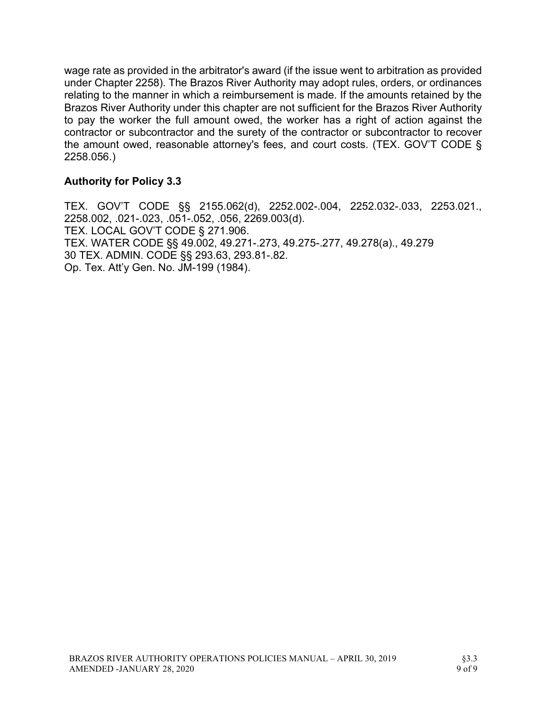wage rate as provided in the arbitrator's award (if the issue went to arbitration as provided under Chapter 2258). The Brazos River Authority may adopt rules, orders, or ordinances relating to the manner in which a reimbursement is made. If the amounts retained by the Brazos River Authority under this chapter are not sufficient for the Brazos River Authority to pay the worker the full amount owed, the worker has a right of action against the contractor or subcontractor and the surety of the contractor or subcontractor to recover the amount owed, reasonable attorney's fees, and court costs. (TEX. GOV'T CODE § 2258.056.)

### Authority for Policy 3.3

TEX. GOV'T CODE §§ 2155.062(d), 2252.002-.004, 2252.032-.033, 2253.021., 2258.002, .021-.023, .051-.052, .056, 2269.003(d). TEX. LOCAL GOV'T CODE § 271.906. TEX. WATER CODE §§ 49.002, 49.271-.273, 49.275-.277, 49.278(a)., 49.279 30 TEX. ADMIN. CODE §§ 293.63, 293.81-.82. Op. Tex. Att'y Gen. No. JM-199 (1984).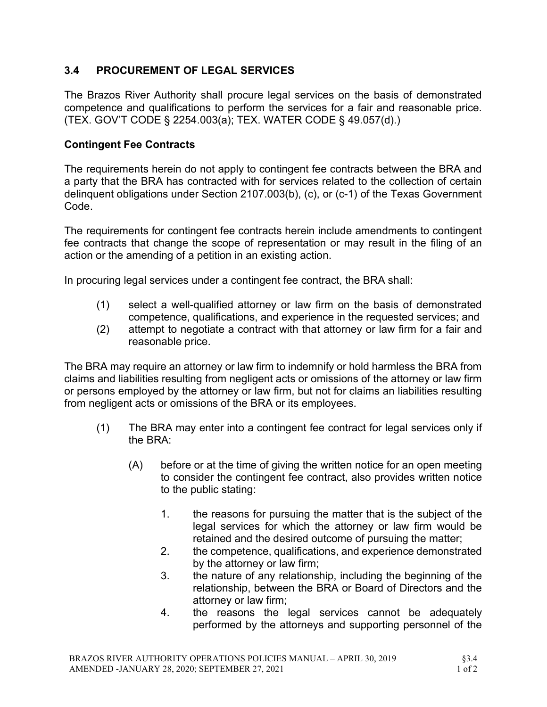# 3.4 PROCUREMENT OF LEGAL SERVICES

The Brazos River Authority shall procure legal services on the basis of demonstrated competence and qualifications to perform the services for a fair and reasonable price. (TEX. GOV'T CODE § 2254.003(a); TEX. WATER CODE § 49.057(d).)

## Contingent Fee Contracts

The requirements herein do not apply to contingent fee contracts between the BRA and a party that the BRA has contracted with for services related to the collection of certain delinquent obligations under Section 2107.003(b), (c), or (c-1) of the Texas Government Code.

The requirements for contingent fee contracts herein include amendments to contingent fee contracts that change the scope of representation or may result in the filing of an action or the amending of a petition in an existing action.

In procuring legal services under a contingent fee contract, the BRA shall:

- (1) select a well-qualified attorney or law firm on the basis of demonstrated competence, qualifications, and experience in the requested services; and
- (2) attempt to negotiate a contract with that attorney or law firm for a fair and reasonable price.

The BRA may require an attorney or law firm to indemnify or hold harmless the BRA from claims and liabilities resulting from negligent acts or omissions of the attorney or law firm or persons employed by the attorney or law firm, but not for claims an liabilities resulting from negligent acts or omissions of the BRA or its employees.

- (1) The BRA may enter into a contingent fee contract for legal services only if the BRA:
	- (A) before or at the time of giving the written notice for an open meeting to consider the contingent fee contract, also provides written notice to the public stating:
		- 1. the reasons for pursuing the matter that is the subject of the legal services for which the attorney or law firm would be retained and the desired outcome of pursuing the matter;
		- 2. the competence, qualifications, and experience demonstrated by the attorney or law firm;
		- 3. the nature of any relationship, including the beginning of the relationship, between the BRA or Board of Directors and the attorney or law firm;
		- 4. the reasons the legal services cannot be adequately performed by the attorneys and supporting personnel of the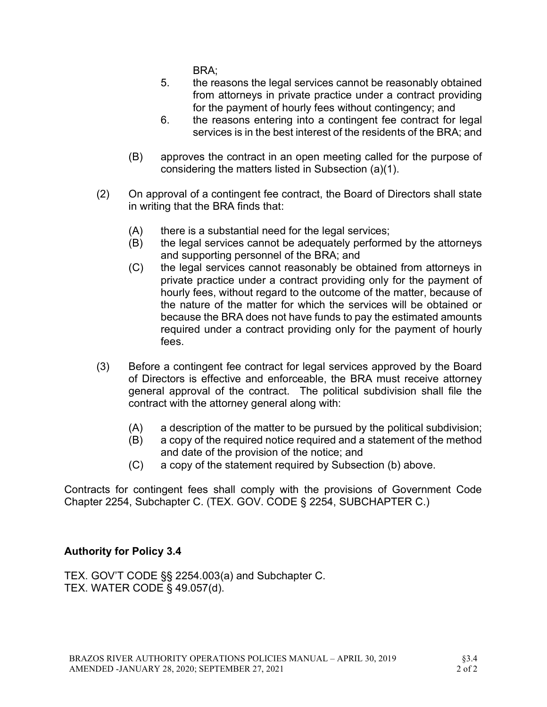BRA;

- 5. the reasons the legal services cannot be reasonably obtained from attorneys in private practice under a contract providing for the payment of hourly fees without contingency; and
- 6. the reasons entering into a contingent fee contract for legal services is in the best interest of the residents of the BRA; and
- (B) approves the contract in an open meeting called for the purpose of considering the matters listed in Subsection (a)(1).
- (2) On approval of a contingent fee contract, the Board of Directors shall state in writing that the BRA finds that:
	- (A) there is a substantial need for the legal services;
	- (B) the legal services cannot be adequately performed by the attorneys and supporting personnel of the BRA; and
	- (C) the legal services cannot reasonably be obtained from attorneys in private practice under a contract providing only for the payment of hourly fees, without regard to the outcome of the matter, because of the nature of the matter for which the services will be obtained or because the BRA does not have funds to pay the estimated amounts required under a contract providing only for the payment of hourly fees.
- (3) Before a contingent fee contract for legal services approved by the Board of Directors is effective and enforceable, the BRA must receive attorney general approval of the contract. The political subdivision shall file the contract with the attorney general along with:
	- (A) a description of the matter to be pursued by the political subdivision;
	- (B) a copy of the required notice required and a statement of the method and date of the provision of the notice; and
	- (C) a copy of the statement required by Subsection (b) above.

Contracts for contingent fees shall comply with the provisions of Government Code Chapter 2254, Subchapter C. (TEX. GOV. CODE § 2254, SUBCHAPTER C.)

## Authority for Policy 3.4

TEX. GOV'T CODE §§ 2254.003(a) and Subchapter C. TEX. WATER CODE § 49.057(d).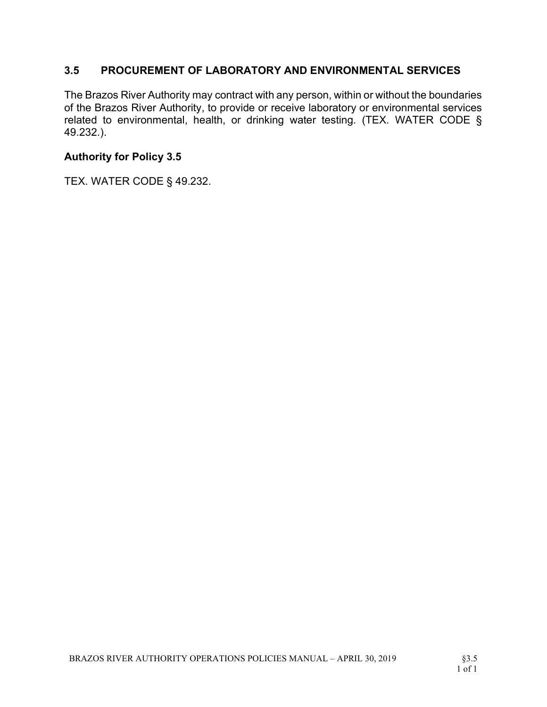## 3.5 PROCUREMENT OF LABORATORY AND ENVIRONMENTAL SERVICES

The Brazos River Authority may contract with any person, within or without the boundaries of the Brazos River Authority, to provide or receive laboratory or environmental services related to environmental, health, or drinking water testing. (TEX. WATER CODE § 49.232.).

### Authority for Policy 3.5

TEX. WATER CODE § 49.232.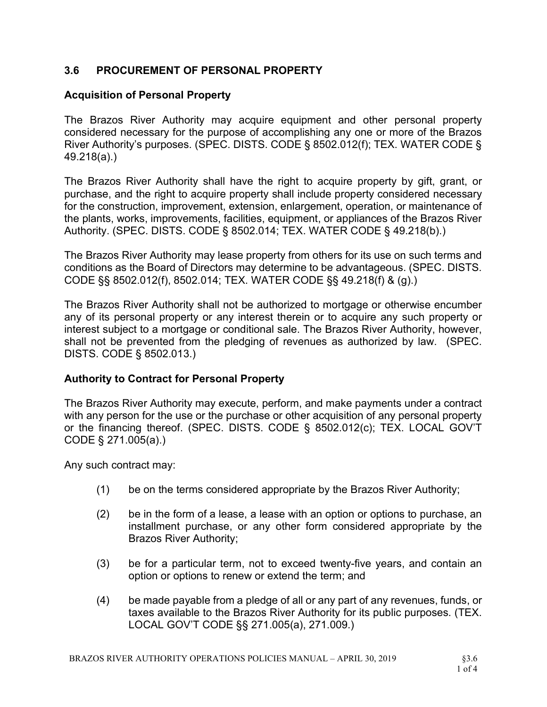## 3.6 PROCUREMENT OF PERSONAL PROPERTY

### Acquisition of Personal Property

The Brazos River Authority may acquire equipment and other personal property considered necessary for the purpose of accomplishing any one or more of the Brazos River Authority's purposes. (SPEC. DISTS. CODE § 8502.012(f); TEX. WATER CODE § 49.218(a).)

The Brazos River Authority shall have the right to acquire property by gift, grant, or purchase, and the right to acquire property shall include property considered necessary for the construction, improvement, extension, enlargement, operation, or maintenance of the plants, works, improvements, facilities, equipment, or appliances of the Brazos River Authority. (SPEC. DISTS. CODE § 8502.014; TEX. WATER CODE § 49.218(b).)

The Brazos River Authority may lease property from others for its use on such terms and conditions as the Board of Directors may determine to be advantageous. (SPEC. DISTS. CODE §§ 8502.012(f), 8502.014; TEX. WATER CODE §§ 49.218(f) & (g).)

The Brazos River Authority shall not be authorized to mortgage or otherwise encumber any of its personal property or any interest therein or to acquire any such property or interest subject to a mortgage or conditional sale. The Brazos River Authority, however, shall not be prevented from the pledging of revenues as authorized by law. (SPEC. DISTS. CODE § 8502.013.)

## Authority to Contract for Personal Property

The Brazos River Authority may execute, perform, and make payments under a contract with any person for the use or the purchase or other acquisition of any personal property or the financing thereof. (SPEC. DISTS. CODE § 8502.012(c); TEX. LOCAL GOV'T CODE § 271.005(a).)

Any such contract may:

- (1) be on the terms considered appropriate by the Brazos River Authority;
- (2) be in the form of a lease, a lease with an option or options to purchase, an installment purchase, or any other form considered appropriate by the Brazos River Authority;
- (3) be for a particular term, not to exceed twenty-five years, and contain an option or options to renew or extend the term; and
- (4) be made payable from a pledge of all or any part of any revenues, funds, or taxes available to the Brazos River Authority for its public purposes. (TEX. LOCAL GOV'T CODE §§ 271.005(a), 271.009.)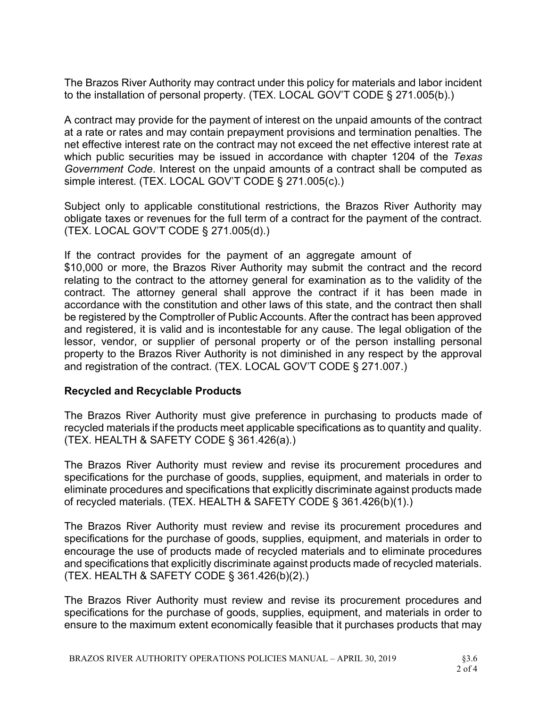The Brazos River Authority may contract under this policy for materials and labor incident to the installation of personal property. (TEX. LOCAL GOV'T CODE § 271.005(b).)

A contract may provide for the payment of interest on the unpaid amounts of the contract at a rate or rates and may contain prepayment provisions and termination penalties. The net effective interest rate on the contract may not exceed the net effective interest rate at which public securities may be issued in accordance with chapter 1204 of the Texas Government Code. Interest on the unpaid amounts of a contract shall be computed as simple interest. (TEX. LOCAL GOV'T CODE § 271.005(c).)

Subject only to applicable constitutional restrictions, the Brazos River Authority may obligate taxes or revenues for the full term of a contract for the payment of the contract. (TEX. LOCAL GOV'T CODE § 271.005(d).)

If the contract provides for the payment of an aggregate amount of \$10,000 or more, the Brazos River Authority may submit the contract and the record relating to the contract to the attorney general for examination as to the validity of the contract. The attorney general shall approve the contract if it has been made in accordance with the constitution and other laws of this state, and the contract then shall be registered by the Comptroller of Public Accounts. After the contract has been approved and registered, it is valid and is incontestable for any cause. The legal obligation of the lessor, vendor, or supplier of personal property or of the person installing personal property to the Brazos River Authority is not diminished in any respect by the approval and registration of the contract. (TEX. LOCAL GOV'T CODE § 271.007.)

#### Recycled and Recyclable Products

The Brazos River Authority must give preference in purchasing to products made of recycled materials if the products meet applicable specifications as to quantity and quality. (TEX. HEALTH & SAFETY CODE § 361.426(a).)

The Brazos River Authority must review and revise its procurement procedures and specifications for the purchase of goods, supplies, equipment, and materials in order to eliminate procedures and specifications that explicitly discriminate against products made of recycled materials. (TEX. HEALTH & SAFETY CODE § 361.426(b)(1).)

The Brazos River Authority must review and revise its procurement procedures and specifications for the purchase of goods, supplies, equipment, and materials in order to encourage the use of products made of recycled materials and to eliminate procedures and specifications that explicitly discriminate against products made of recycled materials. (TEX. HEALTH & SAFETY CODE § 361.426(b)(2).)

The Brazos River Authority must review and revise its procurement procedures and specifications for the purchase of goods, supplies, equipment, and materials in order to ensure to the maximum extent economically feasible that it purchases products that may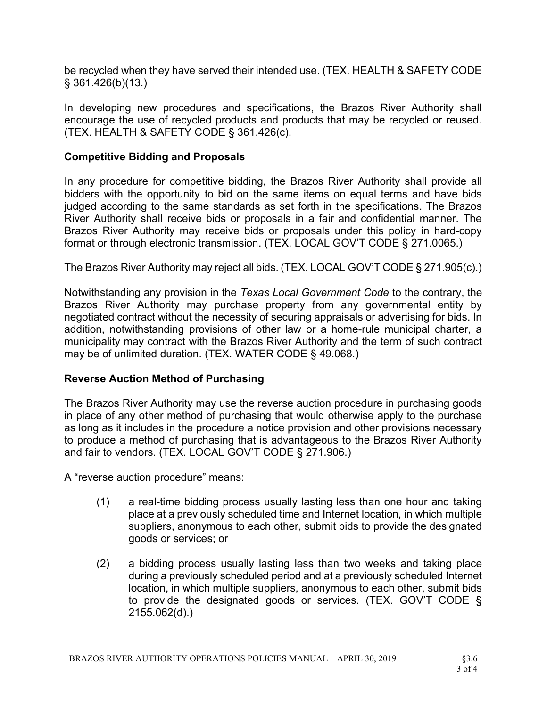be recycled when they have served their intended use. (TEX. HEALTH & SAFETY CODE § 361.426(b)(13.)

In developing new procedures and specifications, the Brazos River Authority shall encourage the use of recycled products and products that may be recycled or reused. (TEX. HEALTH & SAFETY CODE § 361.426(c).

## Competitive Bidding and Proposals

In any procedure for competitive bidding, the Brazos River Authority shall provide all bidders with the opportunity to bid on the same items on equal terms and have bids judged according to the same standards as set forth in the specifications. The Brazos River Authority shall receive bids or proposals in a fair and confidential manner. The Brazos River Authority may receive bids or proposals under this policy in hard-copy format or through electronic transmission. (TEX. LOCAL GOV'T CODE § 271.0065.)

The Brazos River Authority may reject all bids. (TEX. LOCAL GOV'T CODE § 271.905(c).)

Notwithstanding any provision in the Texas Local Government Code to the contrary, the Brazos River Authority may purchase property from any governmental entity by negotiated contract without the necessity of securing appraisals or advertising for bids. In addition, notwithstanding provisions of other law or a home-rule municipal charter, a municipality may contract with the Brazos River Authority and the term of such contract may be of unlimited duration. (TEX. WATER CODE § 49.068.)

## Reverse Auction Method of Purchasing

The Brazos River Authority may use the reverse auction procedure in purchasing goods in place of any other method of purchasing that would otherwise apply to the purchase as long as it includes in the procedure a notice provision and other provisions necessary to produce a method of purchasing that is advantageous to the Brazos River Authority and fair to vendors. (TEX. LOCAL GOV'T CODE § 271.906.)

A "reverse auction procedure" means:

- (1) a real-time bidding process usually lasting less than one hour and taking place at a previously scheduled time and Internet location, in which multiple suppliers, anonymous to each other, submit bids to provide the designated goods or services; or
- (2) a bidding process usually lasting less than two weeks and taking place during a previously scheduled period and at a previously scheduled Internet location, in which multiple suppliers, anonymous to each other, submit bids to provide the designated goods or services. (TEX. GOV'T CODE § 2155.062(d).)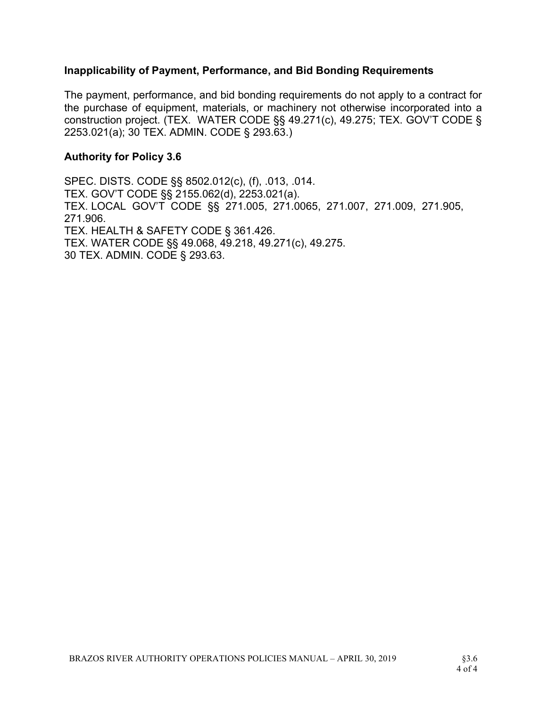#### Inapplicability of Payment, Performance, and Bid Bonding Requirements

The payment, performance, and bid bonding requirements do not apply to a contract for the purchase of equipment, materials, or machinery not otherwise incorporated into a construction project. (TEX. WATER CODE §§ 49.271(c), 49.275; TEX. GOV'T CODE § 2253.021(a); 30 TEX. ADMIN. CODE § 293.63.)

#### Authority for Policy 3.6

SPEC. DISTS. CODE §§ 8502.012(c), (f), .013, .014. TEX. GOV'T CODE §§ 2155.062(d), 2253.021(a). TEX. LOCAL GOV'T CODE §§ 271.005, 271.0065, 271.007, 271.009, 271.905, 271.906. TEX. HEALTH & SAFETY CODE § 361.426. TEX. WATER CODE §§ 49.068, 49.218, 49.271(c), 49.275. 30 TEX. ADMIN. CODE § 293.63.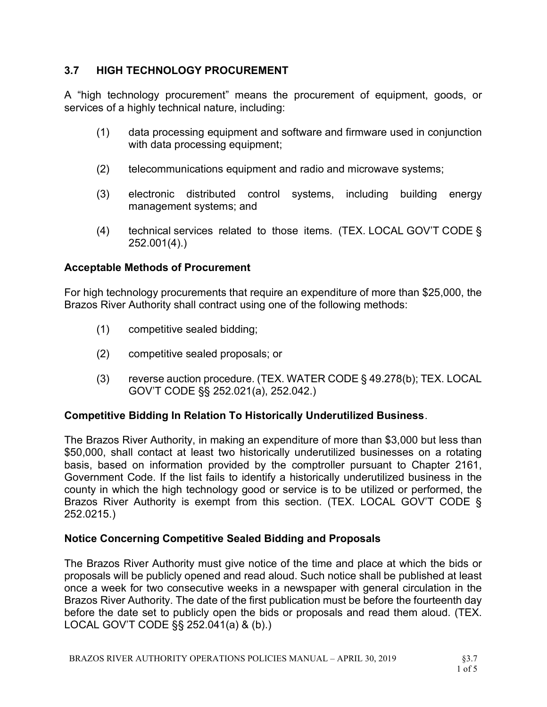## 3.7 HIGH TECHNOLOGY PROCUREMENT

A "high technology procurement" means the procurement of equipment, goods, or services of a highly technical nature, including:

- (1) data processing equipment and software and firmware used in conjunction with data processing equipment;
- (2) telecommunications equipment and radio and microwave systems;
- (3) electronic distributed control systems, including building energy management systems; and
- (4) technical services related to those items. (TEX. LOCAL GOV'T CODE § 252.001(4).)

### Acceptable Methods of Procurement

For high technology procurements that require an expenditure of more than \$25,000, the Brazos River Authority shall contract using one of the following methods:

- (1) competitive sealed bidding;
- (2) competitive sealed proposals; or
- (3) reverse auction procedure. (TEX. WATER CODE § 49.278(b); TEX. LOCAL GOV'T CODE §§ 252.021(a), 252.042.)

#### Competitive Bidding In Relation To Historically Underutilized Business.

The Brazos River Authority, in making an expenditure of more than \$3,000 but less than \$50,000, shall contact at least two historically underutilized businesses on a rotating basis, based on information provided by the comptroller pursuant to Chapter 2161, Government Code. If the list fails to identify a historically underutilized business in the county in which the high technology good or service is to be utilized or performed, the Brazos River Authority is exempt from this section. (TEX. LOCAL GOV'T CODE § 252.0215.)

#### Notice Concerning Competitive Sealed Bidding and Proposals

The Brazos River Authority must give notice of the time and place at which the bids or proposals will be publicly opened and read aloud. Such notice shall be published at least once a week for two consecutive weeks in a newspaper with general circulation in the Brazos River Authority. The date of the first publication must be before the fourteenth day before the date set to publicly open the bids or proposals and read them aloud. (TEX. LOCAL GOV'T CODE §§ 252.041(a) & (b).)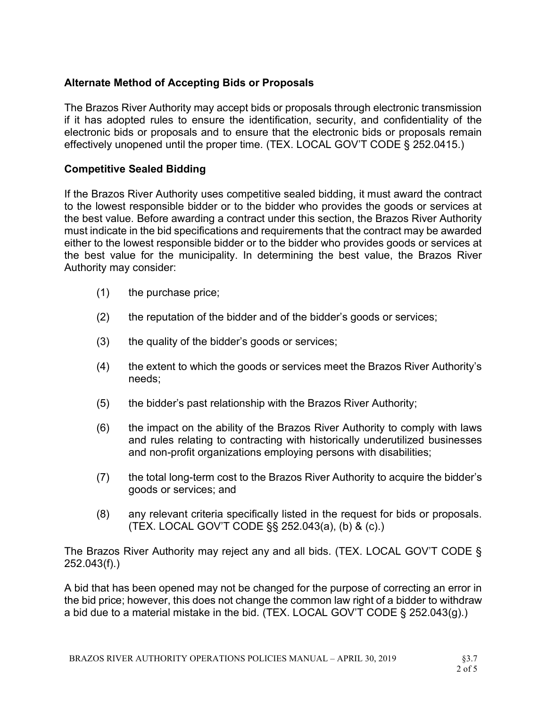## Alternate Method of Accepting Bids or Proposals

The Brazos River Authority may accept bids or proposals through electronic transmission if it has adopted rules to ensure the identification, security, and confidentiality of the electronic bids or proposals and to ensure that the electronic bids or proposals remain effectively unopened until the proper time. (TEX. LOCAL GOV'T CODE § 252.0415.)

## Competitive Sealed Bidding

If the Brazos River Authority uses competitive sealed bidding, it must award the contract to the lowest responsible bidder or to the bidder who provides the goods or services at the best value. Before awarding a contract under this section, the Brazos River Authority must indicate in the bid specifications and requirements that the contract may be awarded either to the lowest responsible bidder or to the bidder who provides goods or services at the best value for the municipality. In determining the best value, the Brazos River Authority may consider:

- (1) the purchase price;
- (2) the reputation of the bidder and of the bidder's goods or services;
- (3) the quality of the bidder's goods or services;
- (4) the extent to which the goods or services meet the Brazos River Authority's needs;
- (5) the bidder's past relationship with the Brazos River Authority;
- (6) the impact on the ability of the Brazos River Authority to comply with laws and rules relating to contracting with historically underutilized businesses and non-profit organizations employing persons with disabilities;
- (7) the total long-term cost to the Brazos River Authority to acquire the bidder's goods or services; and
- (8) any relevant criteria specifically listed in the request for bids or proposals. (TEX. LOCAL GOV'T CODE §§ 252.043(a), (b) & (c).)

The Brazos River Authority may reject any and all bids. (TEX. LOCAL GOV'T CODE § 252.043(f).)

A bid that has been opened may not be changed for the purpose of correcting an error in the bid price; however, this does not change the common law right of a bidder to withdraw a bid due to a material mistake in the bid. (TEX. LOCAL GOV'T CODE § 252.043(g).)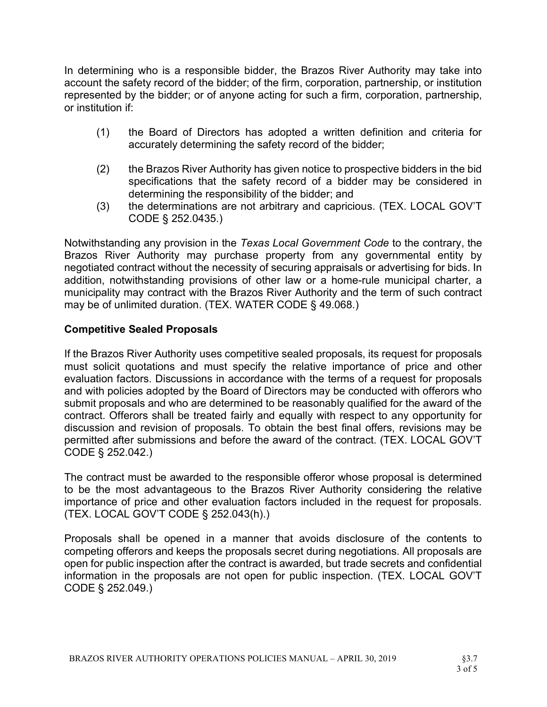In determining who is a responsible bidder, the Brazos River Authority may take into account the safety record of the bidder; of the firm, corporation, partnership, or institution represented by the bidder; or of anyone acting for such a firm, corporation, partnership, or institution if:

- (1) the Board of Directors has adopted a written definition and criteria for accurately determining the safety record of the bidder;
- (2) the Brazos River Authority has given notice to prospective bidders in the bid specifications that the safety record of a bidder may be considered in determining the responsibility of the bidder; and
- (3) the determinations are not arbitrary and capricious. (TEX. LOCAL GOV'T CODE § 252.0435.)

Notwithstanding any provision in the Texas Local Government Code to the contrary, the Brazos River Authority may purchase property from any governmental entity by negotiated contract without the necessity of securing appraisals or advertising for bids. In addition, notwithstanding provisions of other law or a home-rule municipal charter, a municipality may contract with the Brazos River Authority and the term of such contract may be of unlimited duration. (TEX. WATER CODE § 49.068.)

## Competitive Sealed Proposals

If the Brazos River Authority uses competitive sealed proposals, its request for proposals must solicit quotations and must specify the relative importance of price and other evaluation factors. Discussions in accordance with the terms of a request for proposals and with policies adopted by the Board of Directors may be conducted with offerors who submit proposals and who are determined to be reasonably qualified for the award of the contract. Offerors shall be treated fairly and equally with respect to any opportunity for discussion and revision of proposals. To obtain the best final offers, revisions may be permitted after submissions and before the award of the contract. (TEX. LOCAL GOV'T CODE § 252.042.)

The contract must be awarded to the responsible offeror whose proposal is determined to be the most advantageous to the Brazos River Authority considering the relative importance of price and other evaluation factors included in the request for proposals. (TEX. LOCAL GOV'T CODE § 252.043(h).)

Proposals shall be opened in a manner that avoids disclosure of the contents to competing offerors and keeps the proposals secret during negotiations. All proposals are open for public inspection after the contract is awarded, but trade secrets and confidential information in the proposals are not open for public inspection. (TEX. LOCAL GOV'T CODE § 252.049.)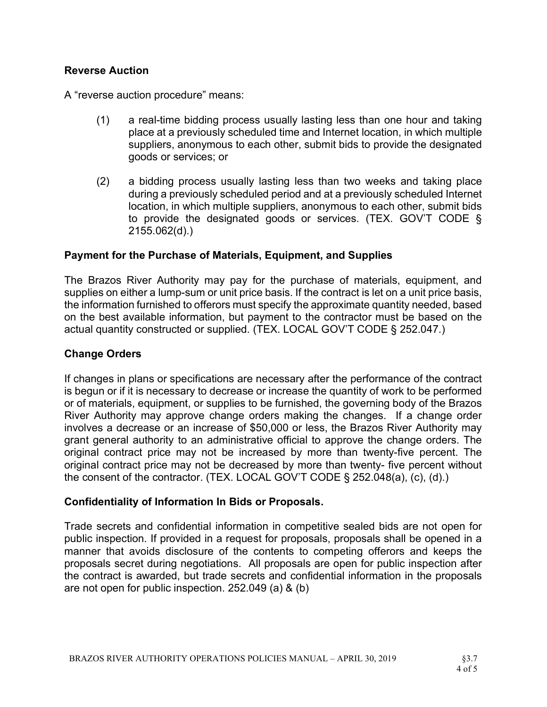### Reverse Auction

A "reverse auction procedure" means:

- (1) a real-time bidding process usually lasting less than one hour and taking place at a previously scheduled time and Internet location, in which multiple suppliers, anonymous to each other, submit bids to provide the designated goods or services; or
- (2) a bidding process usually lasting less than two weeks and taking place during a previously scheduled period and at a previously scheduled Internet location, in which multiple suppliers, anonymous to each other, submit bids to provide the designated goods or services. (TEX. GOV'T CODE § 2155.062(d).)

### Payment for the Purchase of Materials, Equipment, and Supplies

The Brazos River Authority may pay for the purchase of materials, equipment, and supplies on either a lump-sum or unit price basis. If the contract is let on a unit price basis, the information furnished to offerors must specify the approximate quantity needed, based on the best available information, but payment to the contractor must be based on the actual quantity constructed or supplied. (TEX. LOCAL GOV'T CODE § 252.047.)

### Change Orders

If changes in plans or specifications are necessary after the performance of the contract is begun or if it is necessary to decrease or increase the quantity of work to be performed or of materials, equipment, or supplies to be furnished, the governing body of the Brazos River Authority may approve change orders making the changes. If a change order involves a decrease or an increase of \$50,000 or less, the Brazos River Authority may grant general authority to an administrative official to approve the change orders. The original contract price may not be increased by more than twenty-five percent. The original contract price may not be decreased by more than twenty- five percent without the consent of the contractor. (TEX. LOCAL GOV'T CODE § 252.048(a), (c), (d).)

#### Confidentiality of Information In Bids or Proposals.

Trade secrets and confidential information in competitive sealed bids are not open for public inspection. If provided in a request for proposals, proposals shall be opened in a manner that avoids disclosure of the contents to competing offerors and keeps the proposals secret during negotiations. All proposals are open for public inspection after the contract is awarded, but trade secrets and confidential information in the proposals are not open for public inspection. 252.049 (a) & (b)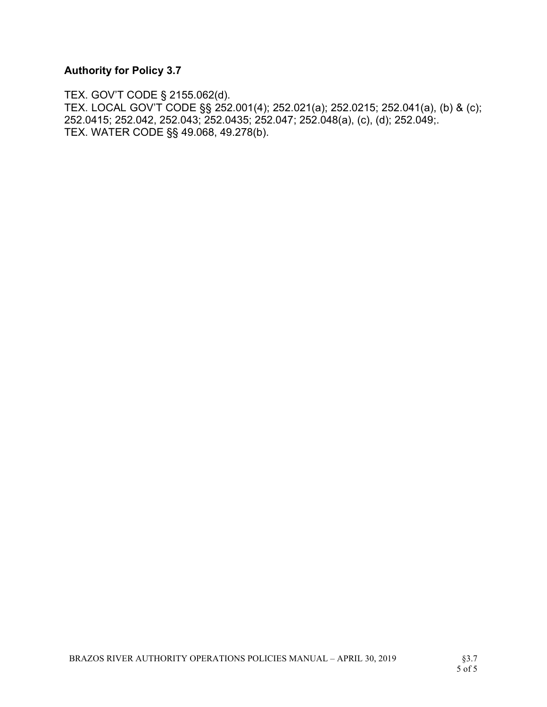# Authority for Policy 3.7

TEX. GOV'T CODE § 2155.062(d). TEX. LOCAL GOV'T CODE §§ 252.001(4); 252.021(a); 252.0215; 252.041(a), (b) & (c); 252.0415; 252.042, 252.043; 252.0435; 252.047; 252.048(a), (c), (d); 252.049;. TEX. WATER CODE §§ 49.068, 49.278(b).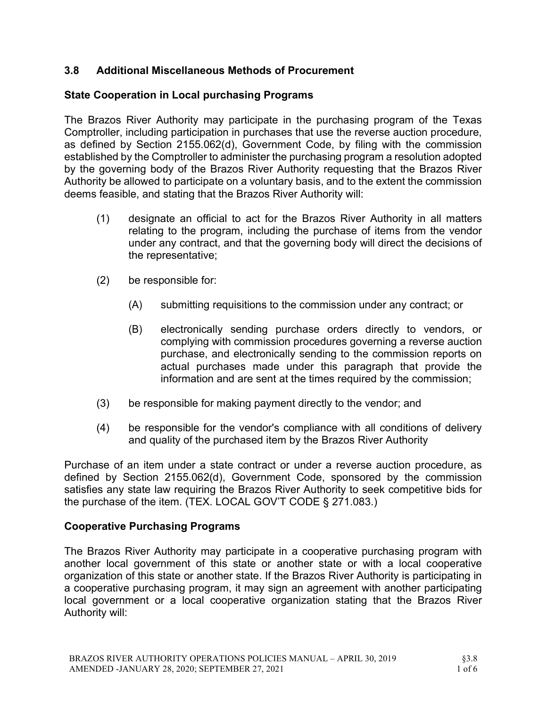## 3.8 Additional Miscellaneous Methods of Procurement

# State Cooperation in Local purchasing Programs

The Brazos River Authority may participate in the purchasing program of the Texas Comptroller, including participation in purchases that use the reverse auction procedure, as defined by Section 2155.062(d), Government Code, by filing with the commission established by the Comptroller to administer the purchasing program a resolution adopted by the governing body of the Brazos River Authority requesting that the Brazos River Authority be allowed to participate on a voluntary basis, and to the extent the commission deems feasible, and stating that the Brazos River Authority will:

- (1) designate an official to act for the Brazos River Authority in all matters relating to the program, including the purchase of items from the vendor under any contract, and that the governing body will direct the decisions of the representative;
- (2) be responsible for:
	- (A) submitting requisitions to the commission under any contract; or
	- (B) electronically sending purchase orders directly to vendors, or complying with commission procedures governing a reverse auction purchase, and electronically sending to the commission reports on actual purchases made under this paragraph that provide the information and are sent at the times required by the commission;
- (3) be responsible for making payment directly to the vendor; and
- (4) be responsible for the vendor's compliance with all conditions of delivery and quality of the purchased item by the Brazos River Authority

Purchase of an item under a state contract or under a reverse auction procedure, as defined by Section 2155.062(d), Government Code, sponsored by the commission satisfies any state law requiring the Brazos River Authority to seek competitive bids for the purchase of the item. (TEX. LOCAL GOV'T CODE § 271.083.)

## Cooperative Purchasing Programs

The Brazos River Authority may participate in a cooperative purchasing program with another local government of this state or another state or with a local cooperative organization of this state or another state. If the Brazos River Authority is participating in a cooperative purchasing program, it may sign an agreement with another participating local government or a local cooperative organization stating that the Brazos River Authority will: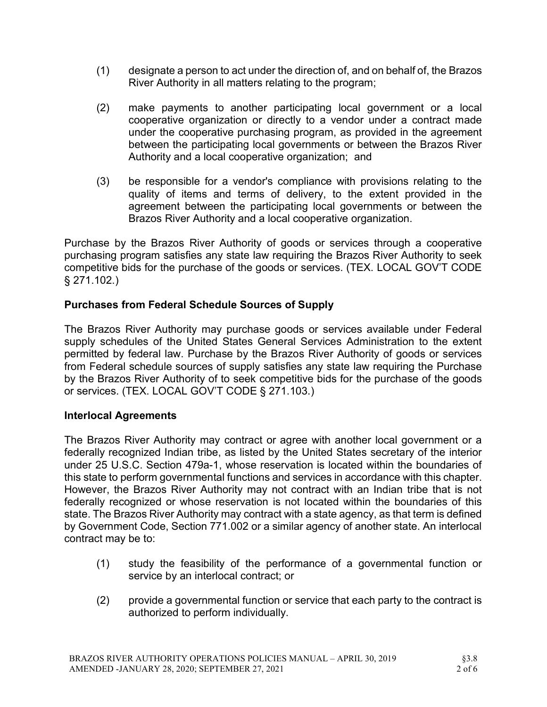- (1) designate a person to act under the direction of, and on behalf of, the Brazos River Authority in all matters relating to the program;
- (2) make payments to another participating local government or a local cooperative organization or directly to a vendor under a contract made under the cooperative purchasing program, as provided in the agreement between the participating local governments or between the Brazos River Authority and a local cooperative organization; and
- (3) be responsible for a vendor's compliance with provisions relating to the quality of items and terms of delivery, to the extent provided in the agreement between the participating local governments or between the Brazos River Authority and a local cooperative organization.

Purchase by the Brazos River Authority of goods or services through a cooperative purchasing program satisfies any state law requiring the Brazos River Authority to seek competitive bids for the purchase of the goods or services. (TEX. LOCAL GOV'T CODE § 271.102.)

## Purchases from Federal Schedule Sources of Supply

The Brazos River Authority may purchase goods or services available under Federal supply schedules of the United States General Services Administration to the extent permitted by federal law. Purchase by the Brazos River Authority of goods or services from Federal schedule sources of supply satisfies any state law requiring the Purchase by the Brazos River Authority of to seek competitive bids for the purchase of the goods or services. (TEX. LOCAL GOV'T CODE § 271.103.)

## Interlocal Agreements

The Brazos River Authority may contract or agree with another local government or a federally recognized Indian tribe, as listed by the United States secretary of the interior under 25 U.S.C. Section 479a-1, whose reservation is located within the boundaries of this state to perform governmental functions and services in accordance with this chapter. However, the Brazos River Authority may not contract with an Indian tribe that is not federally recognized or whose reservation is not located within the boundaries of this state. The Brazos River Authority may contract with a state agency, as that term is defined by Government Code, Section 771.002 or a similar agency of another state. An interlocal contract may be to:

- (1) study the feasibility of the performance of a governmental function or service by an interlocal contract; or
- (2) provide a governmental function or service that each party to the contract is authorized to perform individually.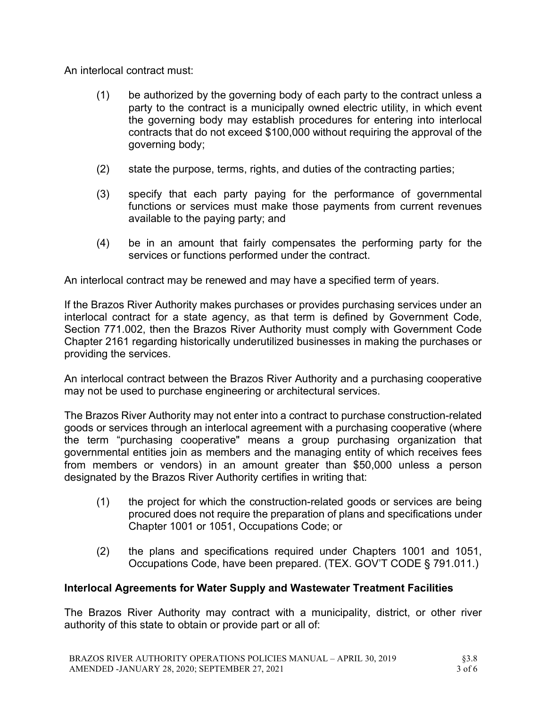An interlocal contract must:

- (1) be authorized by the governing body of each party to the contract unless a party to the contract is a municipally owned electric utility, in which event the governing body may establish procedures for entering into interlocal contracts that do not exceed \$100,000 without requiring the approval of the governing body;
- (2) state the purpose, terms, rights, and duties of the contracting parties;
- (3) specify that each party paying for the performance of governmental functions or services must make those payments from current revenues available to the paying party; and
- (4) be in an amount that fairly compensates the performing party for the services or functions performed under the contract.

An interlocal contract may be renewed and may have a specified term of years.

If the Brazos River Authority makes purchases or provides purchasing services under an interlocal contract for a state agency, as that term is defined by Government Code, Section 771.002, then the Brazos River Authority must comply with Government Code Chapter 2161 regarding historically underutilized businesses in making the purchases or providing the services.

An interlocal contract between the Brazos River Authority and a purchasing cooperative may not be used to purchase engineering or architectural services.

The Brazos River Authority may not enter into a contract to purchase construction-related goods or services through an interlocal agreement with a purchasing cooperative (where the term "purchasing cooperative" means a group purchasing organization that governmental entities join as members and the managing entity of which receives fees from members or vendors) in an amount greater than \$50,000 unless a person designated by the Brazos River Authority certifies in writing that:

- (1) the project for which the construction-related goods or services are being procured does not require the preparation of plans and specifications under Chapter 1001 or 1051, Occupations Code; or
- (2) the plans and specifications required under Chapters 1001 and 1051, Occupations Code, have been prepared. (TEX. GOV'T CODE § 791.011.)

### Interlocal Agreements for Water Supply and Wastewater Treatment Facilities

The Brazos River Authority may contract with a municipality, district, or other river authority of this state to obtain or provide part or all of: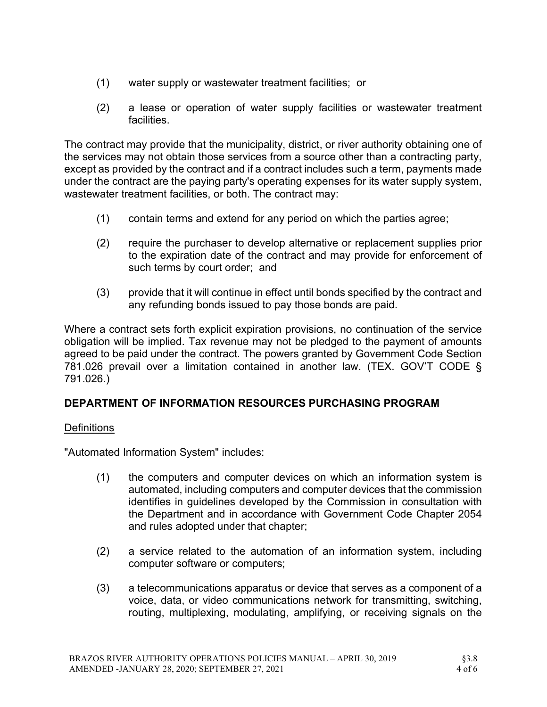- (1) water supply or wastewater treatment facilities; or
- (2) a lease or operation of water supply facilities or wastewater treatment facilities.

The contract may provide that the municipality, district, or river authority obtaining one of the services may not obtain those services from a source other than a contracting party, except as provided by the contract and if a contract includes such a term, payments made under the contract are the paying party's operating expenses for its water supply system, wastewater treatment facilities, or both. The contract may:

- (1) contain terms and extend for any period on which the parties agree;
- (2) require the purchaser to develop alternative or replacement supplies prior to the expiration date of the contract and may provide for enforcement of such terms by court order; and
- (3) provide that it will continue in effect until bonds specified by the contract and any refunding bonds issued to pay those bonds are paid.

Where a contract sets forth explicit expiration provisions, no continuation of the service obligation will be implied. Tax revenue may not be pledged to the payment of amounts agreed to be paid under the contract. The powers granted by Government Code Section 781.026 prevail over a limitation contained in another law. (TEX. GOV'T CODE § 791.026.)

### DEPARTMENT OF INFORMATION RESOURCES PURCHASING PROGRAM

#### **Definitions**

"Automated Information System" includes:

- (1) the computers and computer devices on which an information system is automated, including computers and computer devices that the commission identifies in guidelines developed by the Commission in consultation with the Department and in accordance with Government Code Chapter 2054 and rules adopted under that chapter;
- (2) a service related to the automation of an information system, including computer software or computers;
- (3) a telecommunications apparatus or device that serves as a component of a voice, data, or video communications network for transmitting, switching, routing, multiplexing, modulating, amplifying, or receiving signals on the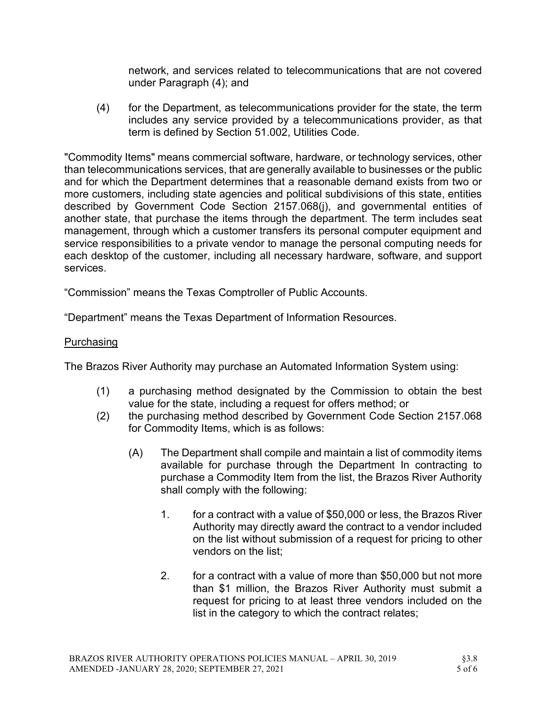network, and services related to telecommunications that are not covered under Paragraph (4); and

(4) for the Department, as telecommunications provider for the state, the term includes any service provided by a telecommunications provider, as that term is defined by Section 51.002, Utilities Code.

"Commodity Items" means commercial software, hardware, or technology services, other than telecommunications services, that are generally available to businesses or the public and for which the Department determines that a reasonable demand exists from two or more customers, including state agencies and political subdivisions of this state, entities described by Government Code Section 2157.068(j), and governmental entities of another state, that purchase the items through the department. The term includes seat management, through which a customer transfers its personal computer equipment and service responsibilities to a private vendor to manage the personal computing needs for each desktop of the customer, including all necessary hardware, software, and support services.

"Commission" means the Texas Comptroller of Public Accounts.

"Department" means the Texas Department of Information Resources.

#### **Purchasing**

The Brazos River Authority may purchase an Automated Information System using:

- (1) a purchasing method designated by the Commission to obtain the best value for the state, including a request for offers method; or
- (2) the purchasing method described by Government Code Section 2157.068 for Commodity Items, which is as follows:
	- (A) The Department shall compile and maintain a list of commodity items available for purchase through the Department In contracting to purchase a Commodity Item from the list, the Brazos River Authority shall comply with the following:
		- 1. for a contract with a value of \$50,000 or less, the Brazos River Authority may directly award the contract to a vendor included on the list without submission of a request for pricing to other vendors on the list;
		- 2. for a contract with a value of more than \$50,000 but not more than \$1 million, the Brazos River Authority must submit a request for pricing to at least three vendors included on the list in the category to which the contract relates;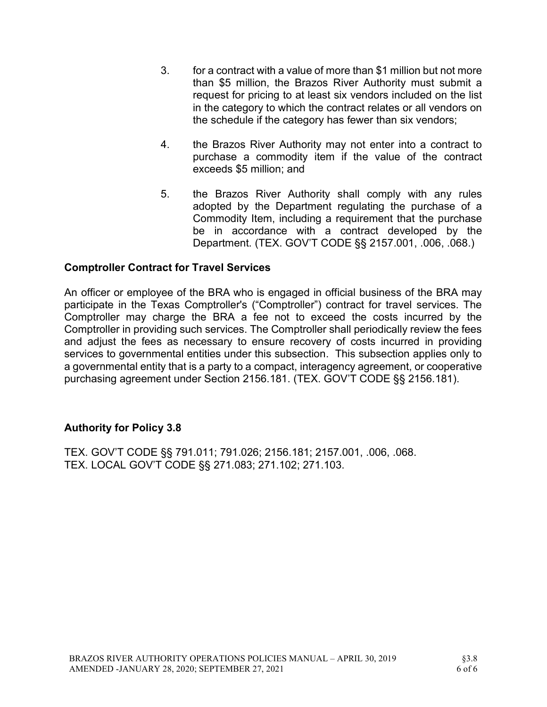- 3. for a contract with a value of more than \$1 million but not more than \$5 million, the Brazos River Authority must submit a request for pricing to at least six vendors included on the list in the category to which the contract relates or all vendors on the schedule if the category has fewer than six vendors;
- 4. the Brazos River Authority may not enter into a contract to purchase a commodity item if the value of the contract exceeds \$5 million; and
- 5. the Brazos River Authority shall comply with any rules adopted by the Department regulating the purchase of a Commodity Item, including a requirement that the purchase be in accordance with a contract developed by the Department. (TEX. GOV'T CODE §§ 2157.001, .006, .068.)

#### Comptroller Contract for Travel Services

An officer or employee of the BRA who is engaged in official business of the BRA may participate in the Texas Comptroller's ("Comptroller") contract for travel services. The Comptroller may charge the BRA a fee not to exceed the costs incurred by the Comptroller in providing such services. The Comptroller shall periodically review the fees and adjust the fees as necessary to ensure recovery of costs incurred in providing services to governmental entities under this subsection. This subsection applies only to a governmental entity that is a party to a compact, interagency agreement, or cooperative purchasing agreement under Section 2156.181. (TEX. GOV'T CODE §§ 2156.181).

#### Authority for Policy 3.8

TEX. GOV'T CODE §§ 791.011; 791.026; 2156.181; 2157.001, .006, .068. TEX. LOCAL GOV'T CODE §§ 271.083; 271.102; 271.103.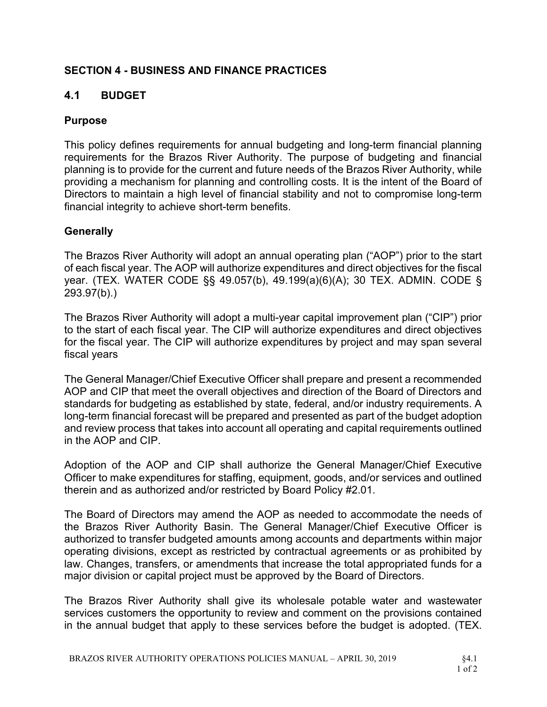## SECTION 4 - BUSINESS AND FINANCE PRACTICES

## 4.1 BUDGET

### Purpose

This policy defines requirements for annual budgeting and long-term financial planning requirements for the Brazos River Authority. The purpose of budgeting and financial planning is to provide for the current and future needs of the Brazos River Authority, while providing a mechanism for planning and controlling costs. It is the intent of the Board of Directors to maintain a high level of financial stability and not to compromise long-term financial integrity to achieve short-term benefits.

#### **Generally**

The Brazos River Authority will adopt an annual operating plan ("AOP") prior to the start of each fiscal year. The AOP will authorize expenditures and direct objectives for the fiscal year. (TEX. WATER CODE §§ 49.057(b), 49.199(a)(6)(A); 30 TEX. ADMIN. CODE § 293.97(b).)

The Brazos River Authority will adopt a multi-year capital improvement plan ("CIP") prior to the start of each fiscal year. The CIP will authorize expenditures and direct objectives for the fiscal year. The CIP will authorize expenditures by project and may span several fiscal years

The General Manager/Chief Executive Officer shall prepare and present a recommended AOP and CIP that meet the overall objectives and direction of the Board of Directors and standards for budgeting as established by state, federal, and/or industry requirements. A long-term financial forecast will be prepared and presented as part of the budget adoption and review process that takes into account all operating and capital requirements outlined in the AOP and CIP.

Adoption of the AOP and CIP shall authorize the General Manager/Chief Executive Officer to make expenditures for staffing, equipment, goods, and/or services and outlined therein and as authorized and/or restricted by Board Policy #2.01.

The Board of Directors may amend the AOP as needed to accommodate the needs of the Brazos River Authority Basin. The General Manager/Chief Executive Officer is authorized to transfer budgeted amounts among accounts and departments within major operating divisions, except as restricted by contractual agreements or as prohibited by law. Changes, transfers, or amendments that increase the total appropriated funds for a major division or capital project must be approved by the Board of Directors.

The Brazos River Authority shall give its wholesale potable water and wastewater services customers the opportunity to review and comment on the provisions contained in the annual budget that apply to these services before the budget is adopted. (TEX.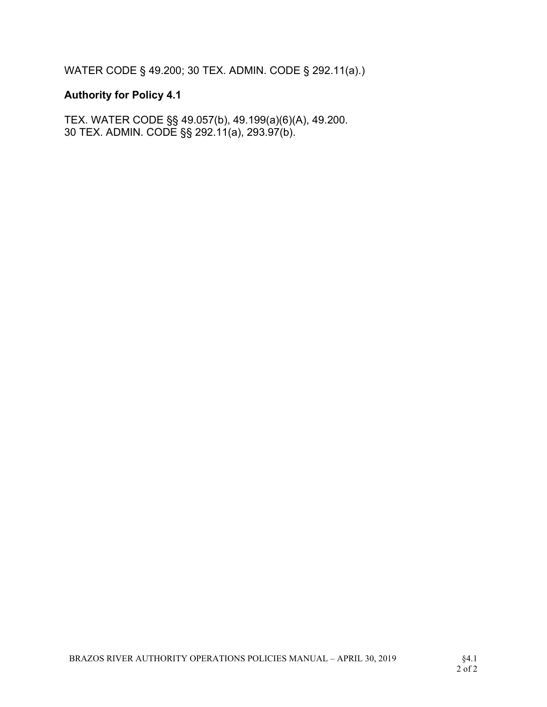WATER CODE § 49.200; 30 TEX. ADMIN. CODE § 292.11(a).)

# Authority for Policy 4.1

TEX. WATER CODE §§ 49.057(b), 49.199(a)(6)(A), 49.200. 30 TEX. ADMIN. CODE §§ 292.11(a), 293.97(b).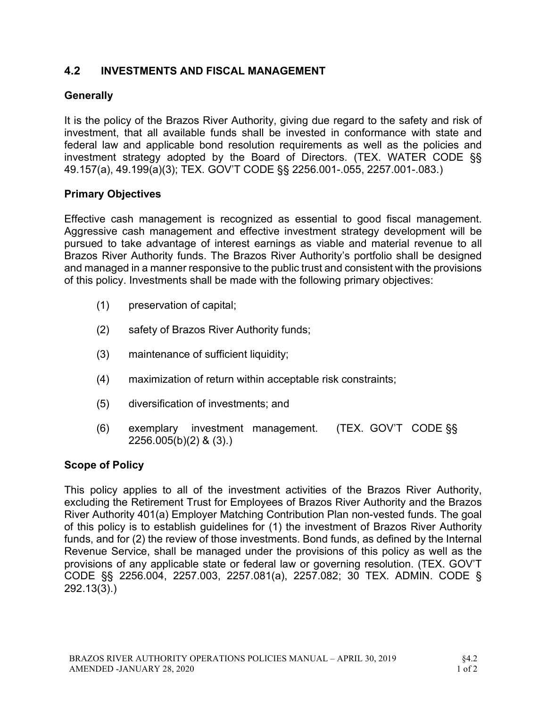## 4.2 INVESTMENTS AND FISCAL MANAGEMENT

## **Generally**

It is the policy of the Brazos River Authority, giving due regard to the safety and risk of investment, that all available funds shall be invested in conformance with state and federal law and applicable bond resolution requirements as well as the policies and investment strategy adopted by the Board of Directors. (TEX. WATER CODE §§ 49.157(a), 49.199(a)(3); TEX. GOV'T CODE §§ 2256.001-.055, 2257.001-.083.)

#### Primary Objectives

Effective cash management is recognized as essential to good fiscal management. Aggressive cash management and effective investment strategy development will be pursued to take advantage of interest earnings as viable and material revenue to all Brazos River Authority funds. The Brazos River Authority's portfolio shall be designed and managed in a manner responsive to the public trust and consistent with the provisions of this policy. Investments shall be made with the following primary objectives:

- (1) preservation of capital;
- (2) safety of Brazos River Authority funds;
- (3) maintenance of sufficient liquidity;
- (4) maximization of return within acceptable risk constraints;
- (5) diversification of investments; and
- (6) exemplary investment management. (TEX. GOV'T CODE §§ 2256.005(b)(2) & (3).)

#### Scope of Policy

This policy applies to all of the investment activities of the Brazos River Authority, excluding the Retirement Trust for Employees of Brazos River Authority and the Brazos River Authority 401(a) Employer Matching Contribution Plan non-vested funds. The goal of this policy is to establish guidelines for (1) the investment of Brazos River Authority funds, and for (2) the review of those investments. Bond funds, as defined by the Internal Revenue Service, shall be managed under the provisions of this policy as well as the provisions of any applicable state or federal law or governing resolution. (TEX. GOV'T CODE §§ 2256.004, 2257.003, 2257.081(a), 2257.082; 30 TEX. ADMIN. CODE § 292.13(3).)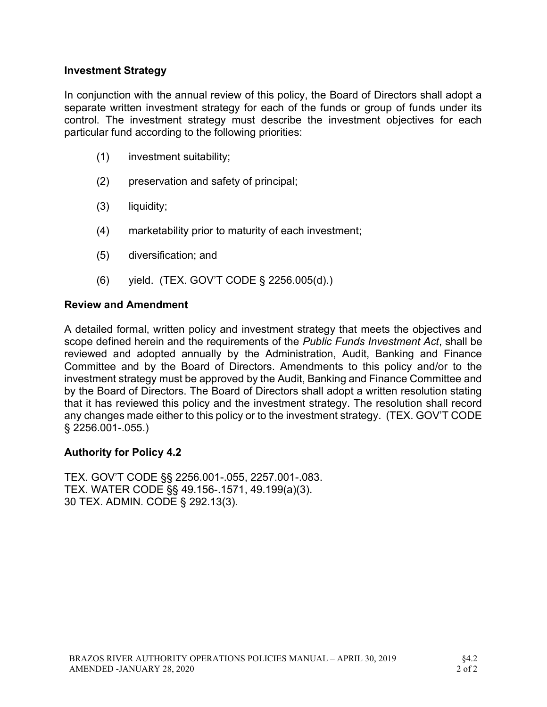#### Investment Strategy

In conjunction with the annual review of this policy, the Board of Directors shall adopt a separate written investment strategy for each of the funds or group of funds under its control. The investment strategy must describe the investment objectives for each particular fund according to the following priorities:

- (1) investment suitability;
- (2) preservation and safety of principal;
- (3) liquidity;
- (4) marketability prior to maturity of each investment;
- (5) diversification; and
- (6) yield. (TEX. GOV'T CODE § 2256.005(d).)

#### Review and Amendment

A detailed formal, written policy and investment strategy that meets the objectives and scope defined herein and the requirements of the Public Funds Investment Act, shall be reviewed and adopted annually by the Administration, Audit, Banking and Finance Committee and by the Board of Directors. Amendments to this policy and/or to the investment strategy must be approved by the Audit, Banking and Finance Committee and by the Board of Directors. The Board of Directors shall adopt a written resolution stating that it has reviewed this policy and the investment strategy. The resolution shall record any changes made either to this policy or to the investment strategy. (TEX. GOV'T CODE § 2256.001-.055.)

#### Authority for Policy 4.2

TEX. GOV'T CODE §§ 2256.001-.055, 2257.001-.083. TEX. WATER CODE §§ 49.156-.1571, 49.199(a)(3). 30 TEX. ADMIN. CODE § 292.13(3).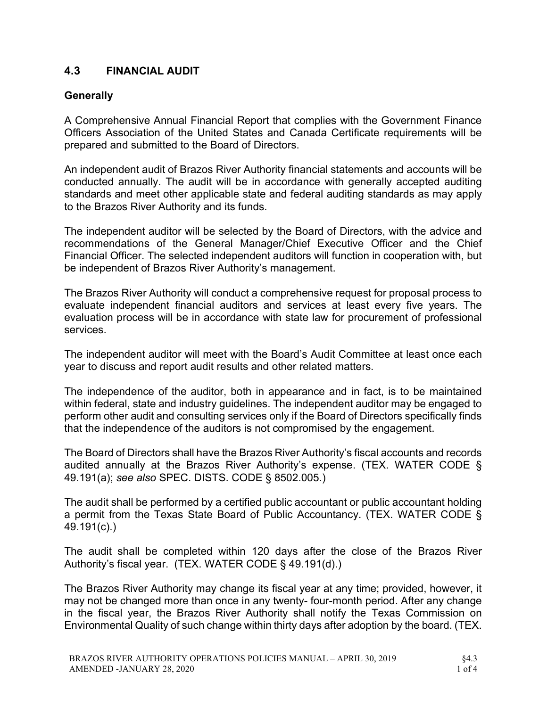## 4.3 FINANCIAL AUDIT

### **Generally**

A Comprehensive Annual Financial Report that complies with the Government Finance Officers Association of the United States and Canada Certificate requirements will be prepared and submitted to the Board of Directors.

An independent audit of Brazos River Authority financial statements and accounts will be conducted annually. The audit will be in accordance with generally accepted auditing standards and meet other applicable state and federal auditing standards as may apply to the Brazos River Authority and its funds.

The independent auditor will be selected by the Board of Directors, with the advice and recommendations of the General Manager/Chief Executive Officer and the Chief Financial Officer. The selected independent auditors will function in cooperation with, but be independent of Brazos River Authority's management.

The Brazos River Authority will conduct a comprehensive request for proposal process to evaluate independent financial auditors and services at least every five years. The evaluation process will be in accordance with state law for procurement of professional services.

The independent auditor will meet with the Board's Audit Committee at least once each year to discuss and report audit results and other related matters.

The independence of the auditor, both in appearance and in fact, is to be maintained within federal, state and industry guidelines. The independent auditor may be engaged to perform other audit and consulting services only if the Board of Directors specifically finds that the independence of the auditors is not compromised by the engagement.

The Board of Directors shall have the Brazos River Authority's fiscal accounts and records audited annually at the Brazos River Authority's expense. (TEX. WATER CODE § 49.191(a); see also SPEC. DISTS. CODE § 8502.005.)

The audit shall be performed by a certified public accountant or public accountant holding a permit from the Texas State Board of Public Accountancy. (TEX. WATER CODE § 49.191(c).)

The audit shall be completed within 120 days after the close of the Brazos River Authority's fiscal year. (TEX. WATER CODE § 49.191(d).)

The Brazos River Authority may change its fiscal year at any time; provided, however, it may not be changed more than once in any twenty- four-month period. After any change in the fiscal year, the Brazos River Authority shall notify the Texas Commission on Environmental Quality of such change within thirty days after adoption by the board. (TEX.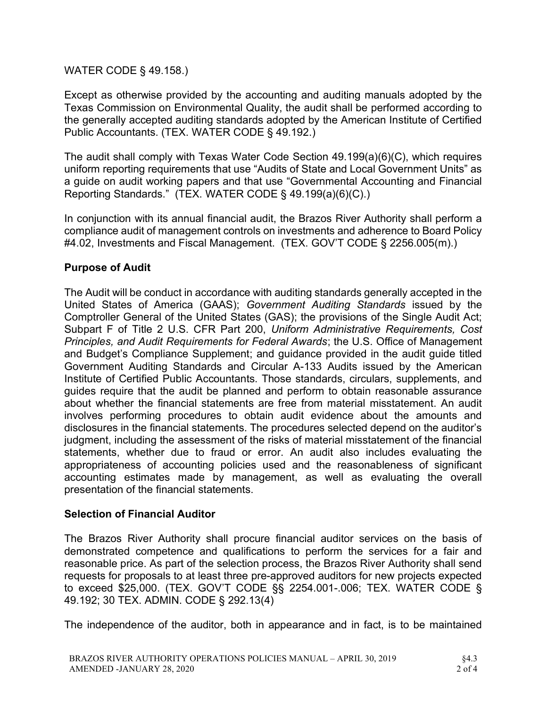#### WATER CODE § 49.158.)

Except as otherwise provided by the accounting and auditing manuals adopted by the Texas Commission on Environmental Quality, the audit shall be performed according to the generally accepted auditing standards adopted by the American Institute of Certified Public Accountants. (TEX. WATER CODE § 49.192.)

The audit shall comply with Texas Water Code Section 49.199(a)(6)(C), which requires uniform reporting requirements that use "Audits of State and Local Government Units" as a guide on audit working papers and that use "Governmental Accounting and Financial Reporting Standards." (TEX. WATER CODE § 49.199(a)(6)(C).)

In conjunction with its annual financial audit, the Brazos River Authority shall perform a compliance audit of management controls on investments and adherence to Board Policy #4.02, Investments and Fiscal Management. (TEX. GOV'T CODE § 2256.005(m).)

#### Purpose of Audit

The Audit will be conduct in accordance with auditing standards generally accepted in the United States of America (GAAS); Government Auditing Standards issued by the Comptroller General of the United States (GAS); the provisions of the Single Audit Act; Subpart F of Title 2 U.S. CFR Part 200, Uniform Administrative Requirements, Cost Principles, and Audit Requirements for Federal Awards; the U.S. Office of Management and Budget's Compliance Supplement; and guidance provided in the audit guide titled Government Auditing Standards and Circular A-133 Audits issued by the American Institute of Certified Public Accountants. Those standards, circulars, supplements, and guides require that the audit be planned and perform to obtain reasonable assurance about whether the financial statements are free from material misstatement. An audit involves performing procedures to obtain audit evidence about the amounts and disclosures in the financial statements. The procedures selected depend on the auditor's judgment, including the assessment of the risks of material misstatement of the financial statements, whether due to fraud or error. An audit also includes evaluating the appropriateness of accounting policies used and the reasonableness of significant accounting estimates made by management, as well as evaluating the overall presentation of the financial statements.

#### Selection of Financial Auditor

The Brazos River Authority shall procure financial auditor services on the basis of demonstrated competence and qualifications to perform the services for a fair and reasonable price. As part of the selection process, the Brazos River Authority shall send requests for proposals to at least three pre-approved auditors for new projects expected to exceed \$25,000. (TEX. GOV'T CODE §§ 2254.001-.006; TEX. WATER CODE § 49.192; 30 TEX. ADMIN. CODE § 292.13(4)

The independence of the auditor, both in appearance and in fact, is to be maintained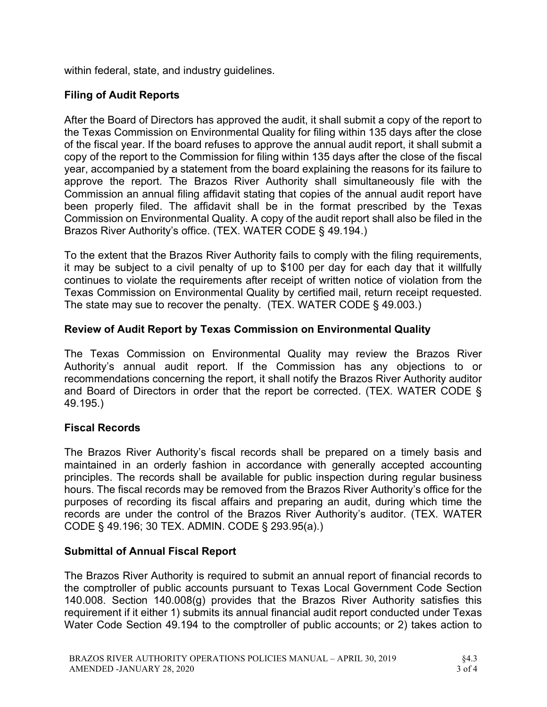within federal, state, and industry guidelines.

## Filing of Audit Reports

After the Board of Directors has approved the audit, it shall submit a copy of the report to the Texas Commission on Environmental Quality for filing within 135 days after the close of the fiscal year. If the board refuses to approve the annual audit report, it shall submit a copy of the report to the Commission for filing within 135 days after the close of the fiscal year, accompanied by a statement from the board explaining the reasons for its failure to approve the report. The Brazos River Authority shall simultaneously file with the Commission an annual filing affidavit stating that copies of the annual audit report have been properly filed. The affidavit shall be in the format prescribed by the Texas Commission on Environmental Quality. A copy of the audit report shall also be filed in the Brazos River Authority's office. (TEX. WATER CODE § 49.194.)

To the extent that the Brazos River Authority fails to comply with the filing requirements, it may be subject to a civil penalty of up to \$100 per day for each day that it willfully continues to violate the requirements after receipt of written notice of violation from the Texas Commission on Environmental Quality by certified mail, return receipt requested. The state may sue to recover the penalty. (TEX. WATER CODE § 49.003.)

### Review of Audit Report by Texas Commission on Environmental Quality

The Texas Commission on Environmental Quality may review the Brazos River Authority's annual audit report. If the Commission has any objections to or recommendations concerning the report, it shall notify the Brazos River Authority auditor and Board of Directors in order that the report be corrected. (TEX. WATER CODE § 49.195.)

#### Fiscal Records

The Brazos River Authority's fiscal records shall be prepared on a timely basis and maintained in an orderly fashion in accordance with generally accepted accounting principles. The records shall be available for public inspection during regular business hours. The fiscal records may be removed from the Brazos River Authority's office for the purposes of recording its fiscal affairs and preparing an audit, during which time the records are under the control of the Brazos River Authority's auditor. (TEX. WATER CODE § 49.196; 30 TEX. ADMIN. CODE § 293.95(a).)

### Submittal of Annual Fiscal Report

The Brazos River Authority is required to submit an annual report of financial records to the comptroller of public accounts pursuant to Texas Local Government Code Section 140.008. Section 140.008(g) provides that the Brazos River Authority satisfies this requirement if it either 1) submits its annual financial audit report conducted under Texas Water Code Section 49.194 to the comptroller of public accounts; or 2) takes action to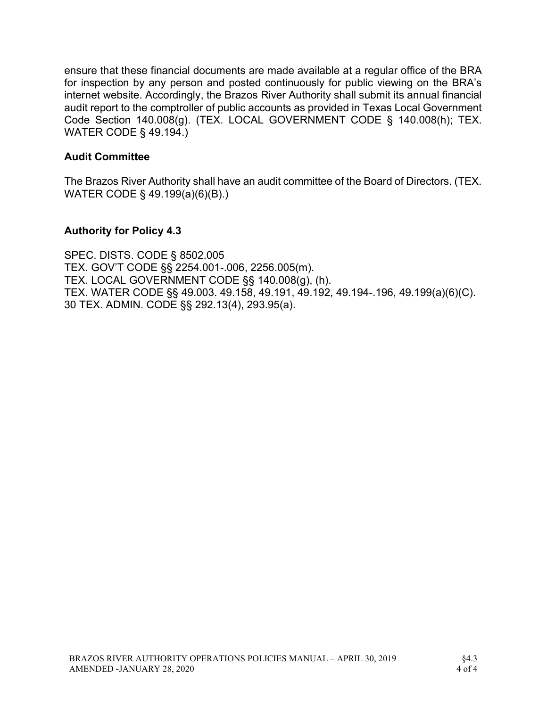ensure that these financial documents are made available at a regular office of the BRA for inspection by any person and posted continuously for public viewing on the BRA's internet website. Accordingly, the Brazos River Authority shall submit its annual financial audit report to the comptroller of public accounts as provided in Texas Local Government Code Section 140.008(g). (TEX. LOCAL GOVERNMENT CODE § 140.008(h); TEX. WATER CODE § 49.194.)

#### Audit Committee

The Brazos River Authority shall have an audit committee of the Board of Directors. (TEX. WATER CODE § 49.199(a)(6)(B).)

#### Authority for Policy 4.3

SPEC. DISTS. CODE § 8502.005 TEX. GOV'T CODE §§ 2254.001-.006, 2256.005(m). TEX. LOCAL GOVERNMENT CODE §§ 140.008(g), (h). TEX. WATER CODE §§ 49.003. 49.158, 49.191, 49.192, 49.194-.196, 49.199(a)(6)(C). 30 TEX. ADMIN. CODE §§ 292.13(4), 293.95(a).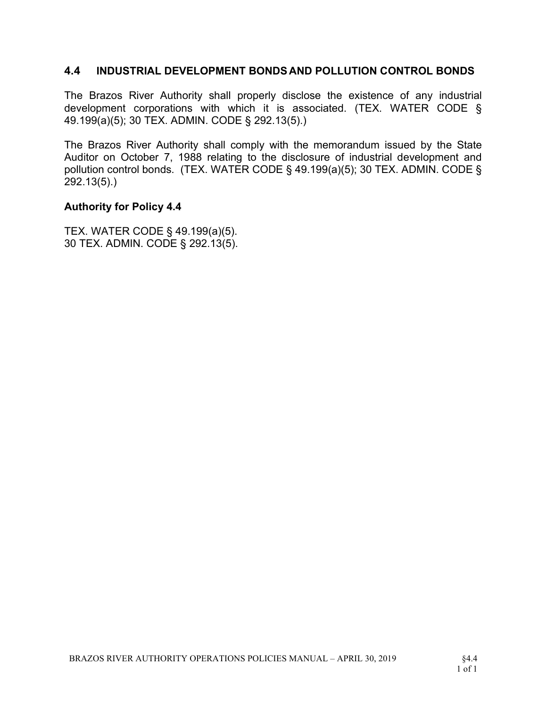#### 4.4 INDUSTRIAL DEVELOPMENT BONDS AND POLLUTION CONTROL BONDS

The Brazos River Authority shall properly disclose the existence of any industrial development corporations with which it is associated. (TEX. WATER CODE § 49.199(a)(5); 30 TEX. ADMIN. CODE § 292.13(5).)

The Brazos River Authority shall comply with the memorandum issued by the State Auditor on October 7, 1988 relating to the disclosure of industrial development and pollution control bonds. (TEX. WATER CODE § 49.199(a)(5); 30 TEX. ADMIN. CODE § 292.13(5).)

#### Authority for Policy 4.4

TEX. WATER CODE § 49.199(a)(5). 30 TEX. ADMIN. CODE § 292.13(5).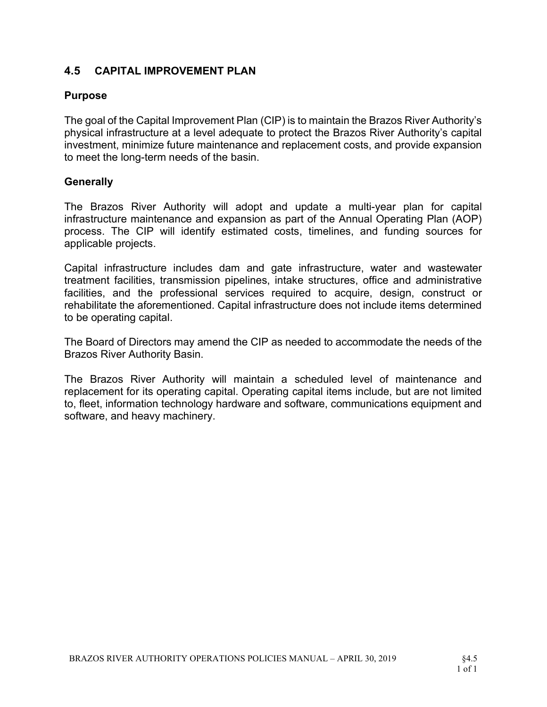## 4.5 CAPITAL IMPROVEMENT PLAN

#### Purpose

The goal of the Capital Improvement Plan (CIP) is to maintain the Brazos River Authority's physical infrastructure at a level adequate to protect the Brazos River Authority's capital investment, minimize future maintenance and replacement costs, and provide expansion to meet the long-term needs of the basin.

#### **Generally**

The Brazos River Authority will adopt and update a multi-year plan for capital infrastructure maintenance and expansion as part of the Annual Operating Plan (AOP) process. The CIP will identify estimated costs, timelines, and funding sources for applicable projects.

Capital infrastructure includes dam and gate infrastructure, water and wastewater treatment facilities, transmission pipelines, intake structures, office and administrative facilities, and the professional services required to acquire, design, construct or rehabilitate the aforementioned. Capital infrastructure does not include items determined to be operating capital.

The Board of Directors may amend the CIP as needed to accommodate the needs of the Brazos River Authority Basin.

The Brazos River Authority will maintain a scheduled level of maintenance and replacement for its operating capital. Operating capital items include, but are not limited to, fleet, information technology hardware and software, communications equipment and software, and heavy machinery.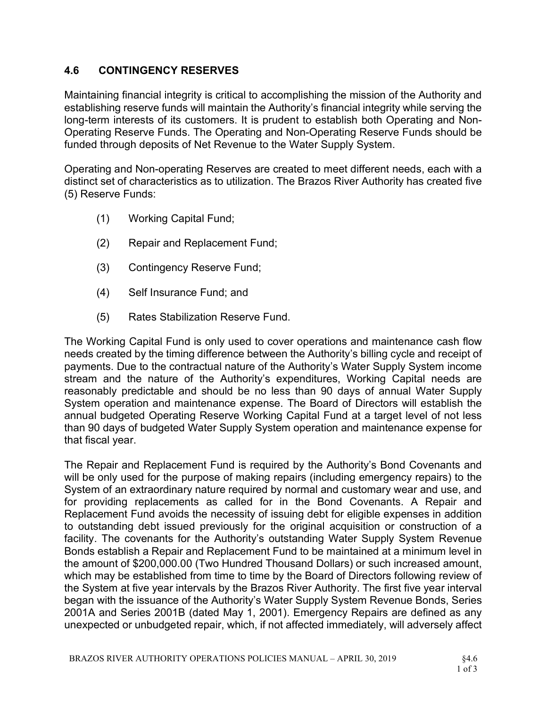### 4.6 CONTINGENCY RESERVES

Maintaining financial integrity is critical to accomplishing the mission of the Authority and establishing reserve funds will maintain the Authority's financial integrity while serving the long-term interests of its customers. It is prudent to establish both Operating and Non-Operating Reserve Funds. The Operating and Non-Operating Reserve Funds should be funded through deposits of Net Revenue to the Water Supply System.

Operating and Non-operating Reserves are created to meet different needs, each with a distinct set of characteristics as to utilization. The Brazos River Authority has created five (5) Reserve Funds:

- (1) Working Capital Fund;
- (2) Repair and Replacement Fund;
- (3) Contingency Reserve Fund;
- (4) Self Insurance Fund; and
- (5) Rates Stabilization Reserve Fund.

The Working Capital Fund is only used to cover operations and maintenance cash flow needs created by the timing difference between the Authority's billing cycle and receipt of payments. Due to the contractual nature of the Authority's Water Supply System income stream and the nature of the Authority's expenditures, Working Capital needs are reasonably predictable and should be no less than 90 days of annual Water Supply System operation and maintenance expense. The Board of Directors will establish the annual budgeted Operating Reserve Working Capital Fund at a target level of not less than 90 days of budgeted Water Supply System operation and maintenance expense for that fiscal year.

The Repair and Replacement Fund is required by the Authority's Bond Covenants and will be only used for the purpose of making repairs (including emergency repairs) to the System of an extraordinary nature required by normal and customary wear and use, and for providing replacements as called for in the Bond Covenants. A Repair and Replacement Fund avoids the necessity of issuing debt for eligible expenses in addition to outstanding debt issued previously for the original acquisition or construction of a facility. The covenants for the Authority's outstanding Water Supply System Revenue Bonds establish a Repair and Replacement Fund to be maintained at a minimum level in the amount of \$200,000.00 (Two Hundred Thousand Dollars) or such increased amount, which may be established from time to time by the Board of Directors following review of the System at five year intervals by the Brazos River Authority. The first five year interval began with the issuance of the Authority's Water Supply System Revenue Bonds, Series 2001A and Series 2001B (dated May 1, 2001). Emergency Repairs are defined as any unexpected or unbudgeted repair, which, if not affected immediately, will adversely affect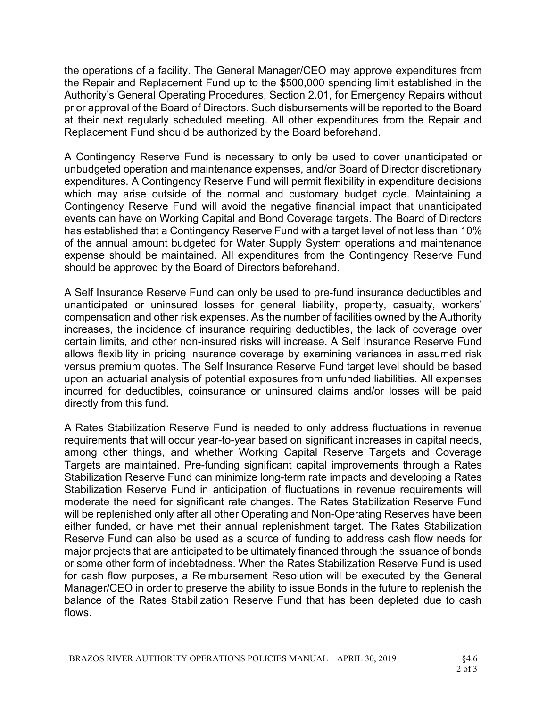the operations of a facility. The General Manager/CEO may approve expenditures from the Repair and Replacement Fund up to the \$500,000 spending limit established in the Authority's General Operating Procedures, Section 2.01, for Emergency Repairs without prior approval of the Board of Directors. Such disbursements will be reported to the Board at their next regularly scheduled meeting. All other expenditures from the Repair and Replacement Fund should be authorized by the Board beforehand.

A Contingency Reserve Fund is necessary to only be used to cover unanticipated or unbudgeted operation and maintenance expenses, and/or Board of Director discretionary expenditures. A Contingency Reserve Fund will permit flexibility in expenditure decisions which may arise outside of the normal and customary budget cycle. Maintaining a Contingency Reserve Fund will avoid the negative financial impact that unanticipated events can have on Working Capital and Bond Coverage targets. The Board of Directors has established that a Contingency Reserve Fund with a target level of not less than 10% of the annual amount budgeted for Water Supply System operations and maintenance expense should be maintained. All expenditures from the Contingency Reserve Fund should be approved by the Board of Directors beforehand.

A Self Insurance Reserve Fund can only be used to pre-fund insurance deductibles and unanticipated or uninsured losses for general liability, property, casualty, workers' compensation and other risk expenses. As the number of facilities owned by the Authority increases, the incidence of insurance requiring deductibles, the lack of coverage over certain limits, and other non-insured risks will increase. A Self Insurance Reserve Fund allows flexibility in pricing insurance coverage by examining variances in assumed risk versus premium quotes. The Self Insurance Reserve Fund target level should be based upon an actuarial analysis of potential exposures from unfunded liabilities. All expenses incurred for deductibles, coinsurance or uninsured claims and/or losses will be paid directly from this fund.

A Rates Stabilization Reserve Fund is needed to only address fluctuations in revenue requirements that will occur year-to-year based on significant increases in capital needs, among other things, and whether Working Capital Reserve Targets and Coverage Targets are maintained. Pre-funding significant capital improvements through a Rates Stabilization Reserve Fund can minimize long-term rate impacts and developing a Rates Stabilization Reserve Fund in anticipation of fluctuations in revenue requirements will moderate the need for significant rate changes. The Rates Stabilization Reserve Fund will be replenished only after all other Operating and Non-Operating Reserves have been either funded, or have met their annual replenishment target. The Rates Stabilization Reserve Fund can also be used as a source of funding to address cash flow needs for major projects that are anticipated to be ultimately financed through the issuance of bonds or some other form of indebtedness. When the Rates Stabilization Reserve Fund is used for cash flow purposes, a Reimbursement Resolution will be executed by the General Manager/CEO in order to preserve the ability to issue Bonds in the future to replenish the balance of the Rates Stabilization Reserve Fund that has been depleted due to cash flows.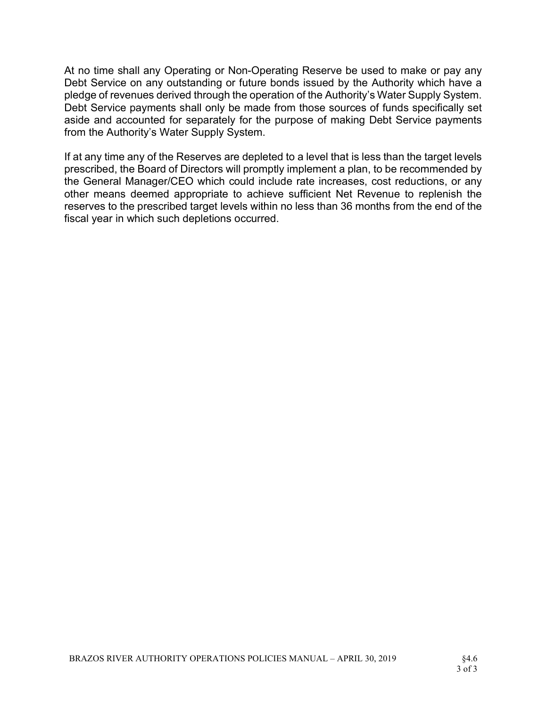At no time shall any Operating or Non-Operating Reserve be used to make or pay any Debt Service on any outstanding or future bonds issued by the Authority which have a pledge of revenues derived through the operation of the Authority's Water Supply System. Debt Service payments shall only be made from those sources of funds specifically set aside and accounted for separately for the purpose of making Debt Service payments from the Authority's Water Supply System.

If at any time any of the Reserves are depleted to a level that is less than the target levels prescribed, the Board of Directors will promptly implement a plan, to be recommended by the General Manager/CEO which could include rate increases, cost reductions, or any other means deemed appropriate to achieve sufficient Net Revenue to replenish the reserves to the prescribed target levels within no less than 36 months from the end of the fiscal year in which such depletions occurred.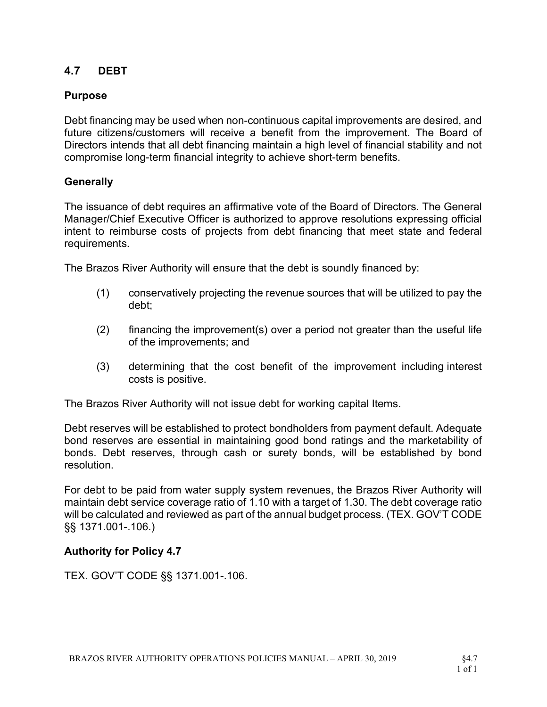## 4.7 DEBT

### Purpose

Debt financing may be used when non-continuous capital improvements are desired, and future citizens/customers will receive a benefit from the improvement. The Board of Directors intends that all debt financing maintain a high level of financial stability and not compromise long-term financial integrity to achieve short-term benefits.

#### **Generally**

The issuance of debt requires an affirmative vote of the Board of Directors. The General Manager/Chief Executive Officer is authorized to approve resolutions expressing official intent to reimburse costs of projects from debt financing that meet state and federal requirements.

The Brazos River Authority will ensure that the debt is soundly financed by:

- (1) conservatively projecting the revenue sources that will be utilized to pay the debt;
- $(2)$  financing the improvement(s) over a period not greater than the useful life of the improvements; and
- (3) determining that the cost benefit of the improvement including interest costs is positive.

The Brazos River Authority will not issue debt for working capital Items.

Debt reserves will be established to protect bondholders from payment default. Adequate bond reserves are essential in maintaining good bond ratings and the marketability of bonds. Debt reserves, through cash or surety bonds, will be established by bond resolution.

For debt to be paid from water supply system revenues, the Brazos River Authority will maintain debt service coverage ratio of 1.10 with a target of 1.30. The debt coverage ratio will be calculated and reviewed as part of the annual budget process. (TEX. GOV'T CODE §§ 1371.001-.106.)

#### Authority for Policy 4.7

TEX. GOV'T CODE §§ 1371.001-.106.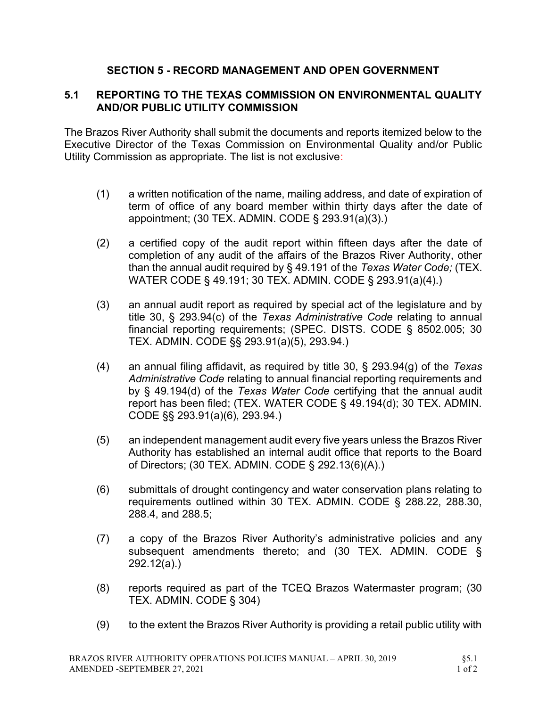## SECTION 5 - RECORD MANAGEMENT AND OPEN GOVERNMENT

### 5.1 REPORTING TO THE TEXAS COMMISSION ON ENVIRONMENTAL QUALITY AND/OR PUBLIC UTILITY COMMISSION

The Brazos River Authority shall submit the documents and reports itemized below to the Executive Director of the Texas Commission on Environmental Quality and/or Public Utility Commission as appropriate. The list is not exclusive:

- (1) a written notification of the name, mailing address, and date of expiration of term of office of any board member within thirty days after the date of appointment; (30 TEX. ADMIN. CODE § 293.91(a)(3).)
- (2) a certified copy of the audit report within fifteen days after the date of completion of any audit of the affairs of the Brazos River Authority, other than the annual audit required by § 49.191 of the Texas Water Code; (TEX. WATER CODE § 49.191; 30 TEX. ADMIN. CODE § 293.91(a)(4).)
- (3) an annual audit report as required by special act of the legislature and by title 30, § 293.94(c) of the Texas Administrative Code relating to annual financial reporting requirements; (SPEC. DISTS. CODE § 8502.005; 30 TEX. ADMIN. CODE §§ 293.91(a)(5), 293.94.)
- (4) an annual filing affidavit, as required by title 30,  $\S$  293.94(g) of the Texas Administrative Code relating to annual financial reporting requirements and by § 49.194(d) of the Texas Water Code certifying that the annual audit report has been filed; (TEX. WATER CODE § 49.194(d); 30 TEX. ADMIN. CODE §§ 293.91(a)(6), 293.94.)
- (5) an independent management audit every five years unless the Brazos River Authority has established an internal audit office that reports to the Board of Directors; (30 TEX. ADMIN. CODE § 292.13(6)(A).)
- (6) submittals of drought contingency and water conservation plans relating to requirements outlined within 30 TEX. ADMIN. CODE § 288.22, 288.30, 288.4, and 288.5;
- (7) a copy of the Brazos River Authority's administrative policies and any subsequent amendments thereto; and (30 TEX. ADMIN. CODE § 292.12(a).)
- (8) reports required as part of the TCEQ Brazos Watermaster program; (30 TEX. ADMIN. CODE § 304)
- (9) to the extent the Brazos River Authority is providing a retail public utility with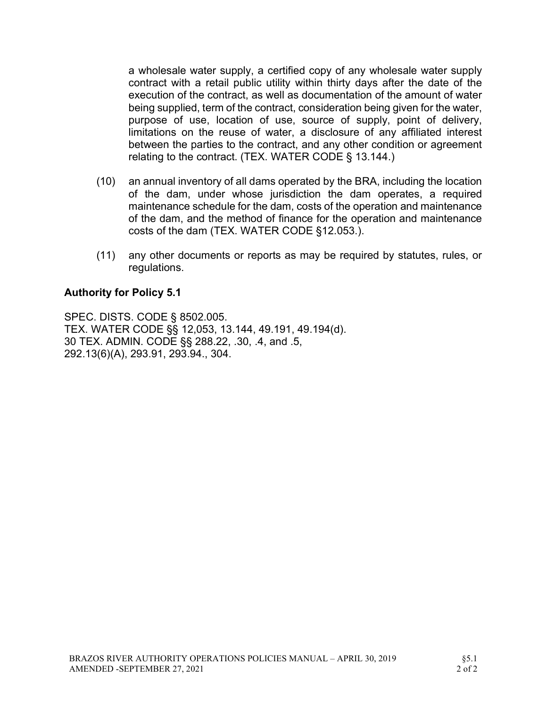a wholesale water supply, a certified copy of any wholesale water supply contract with a retail public utility within thirty days after the date of the execution of the contract, as well as documentation of the amount of water being supplied, term of the contract, consideration being given for the water, purpose of use, location of use, source of supply, point of delivery, limitations on the reuse of water, a disclosure of any affiliated interest between the parties to the contract, and any other condition or agreement relating to the contract. (TEX. WATER CODE § 13.144.)

- (10) an annual inventory of all dams operated by the BRA, including the location of the dam, under whose jurisdiction the dam operates, a required maintenance schedule for the dam, costs of the operation and maintenance of the dam, and the method of finance for the operation and maintenance costs of the dam (TEX. WATER CODE §12.053.).
- (11) any other documents or reports as may be required by statutes, rules, or regulations.

#### Authority for Policy 5.1

SPEC. DISTS. CODE § 8502.005. TEX. WATER CODE §§ 12,053, 13.144, 49.191, 49.194(d). 30 TEX. ADMIN. CODE §§ 288.22, .30, .4, and .5, 292.13(6)(A), 293.91, 293.94., 304.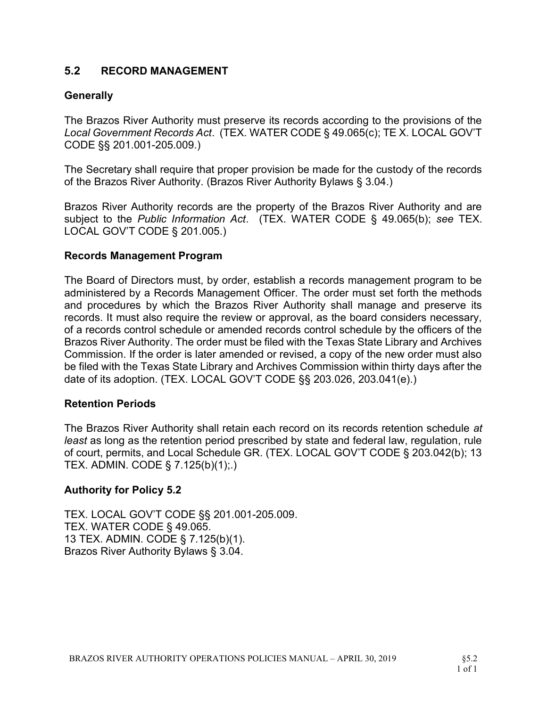### 5.2 RECORD MANAGEMENT

#### **Generally**

The Brazos River Authority must preserve its records according to the provisions of the Local Government Records Act. (TEX. WATER CODE § 49.065(c); TE X. LOCAL GOV'T CODE §§ 201.001-205.009.)

The Secretary shall require that proper provision be made for the custody of the records of the Brazos River Authority. (Brazos River Authority Bylaws § 3.04.)

Brazos River Authority records are the property of the Brazos River Authority and are subject to the Public Information Act. (TEX. WATER CODE § 49.065(b); see TEX. LOCAL GOV'T CODE § 201.005.)

#### Records Management Program

The Board of Directors must, by order, establish a records management program to be administered by a Records Management Officer. The order must set forth the methods and procedures by which the Brazos River Authority shall manage and preserve its records. It must also require the review or approval, as the board considers necessary, of a records control schedule or amended records control schedule by the officers of the Brazos River Authority. The order must be filed with the Texas State Library and Archives Commission. If the order is later amended or revised, a copy of the new order must also be filed with the Texas State Library and Archives Commission within thirty days after the date of its adoption. (TEX. LOCAL GOV'T CODE §§ 203.026, 203.041(e).)

#### Retention Periods

The Brazos River Authority shall retain each record on its records retention schedule at least as long as the retention period prescribed by state and federal law, regulation, rule of court, permits, and Local Schedule GR. (TEX. LOCAL GOV'T CODE § 203.042(b); 13 TEX. ADMIN. CODE § 7.125(b)(1);.)

#### Authority for Policy 5.2

TEX. LOCAL GOV'T CODE §§ 201.001-205.009. TEX. WATER CODE § 49.065. 13 TEX. ADMIN. CODE § 7.125(b)(1). Brazos River Authority Bylaws § 3.04.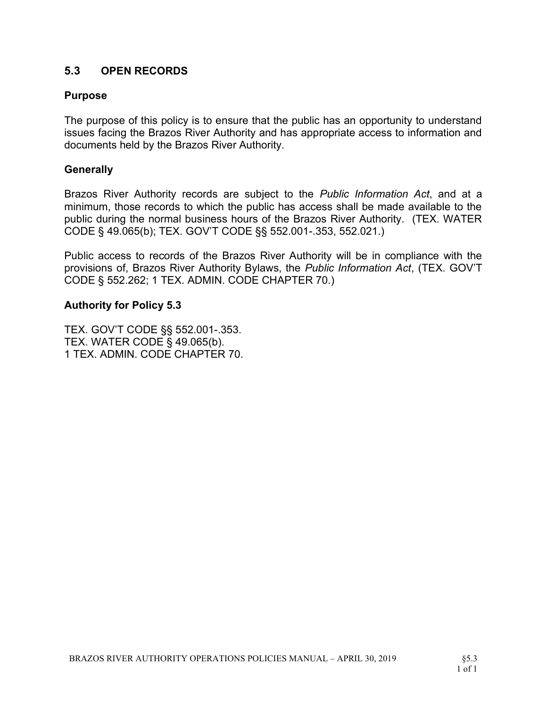## 5.3 OPEN RECORDS

#### Purpose

The purpose of this policy is to ensure that the public has an opportunity to understand issues facing the Brazos River Authority and has appropriate access to information and documents held by the Brazos River Authority.

#### **Generally**

Brazos River Authority records are subject to the *Public Information Act*, and at a minimum, those records to which the public has access shall be made available to the public during the normal business hours of the Brazos River Authority. (TEX. WATER CODE § 49.065(b); TEX. GOV'T CODE §§ 552.001-.353, 552.021.)

Public access to records of the Brazos River Authority will be in compliance with the provisions of, Brazos River Authority Bylaws, the Public Information Act, (TEX. GOV'T CODE § 552.262; 1 TEX. ADMIN. CODE CHAPTER 70.)

#### Authority for Policy 5.3

TEX. GOV'T CODE §§ 552.001-.353. TEX. WATER CODE § 49.065(b). 1 TEX. ADMIN. CODE CHAPTER 70.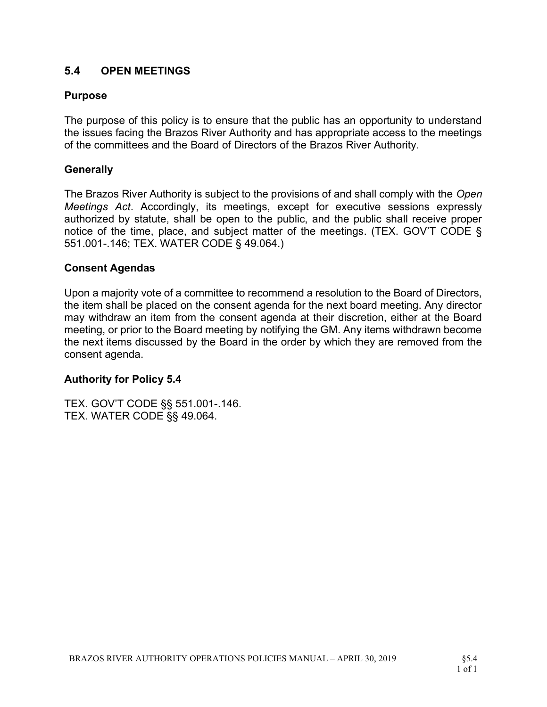## 5.4 OPEN MEETINGS

### Purpose

The purpose of this policy is to ensure that the public has an opportunity to understand the issues facing the Brazos River Authority and has appropriate access to the meetings of the committees and the Board of Directors of the Brazos River Authority.

### **Generally**

The Brazos River Authority is subject to the provisions of and shall comply with the Open Meetings Act. Accordingly, its meetings, except for executive sessions expressly authorized by statute, shall be open to the public, and the public shall receive proper notice of the time, place, and subject matter of the meetings. (TEX. GOV'T CODE § 551.001-.146; TEX. WATER CODE § 49.064.)

#### Consent Agendas

Upon a majority vote of a committee to recommend a resolution to the Board of Directors, the item shall be placed on the consent agenda for the next board meeting. Any director may withdraw an item from the consent agenda at their discretion, either at the Board meeting, or prior to the Board meeting by notifying the GM. Any items withdrawn become the next items discussed by the Board in the order by which they are removed from the consent agenda.

### Authority for Policy 5.4

TEX. GOV'T CODE §§ 551.001-.146. TEX. WATER CODE §§ 49.064.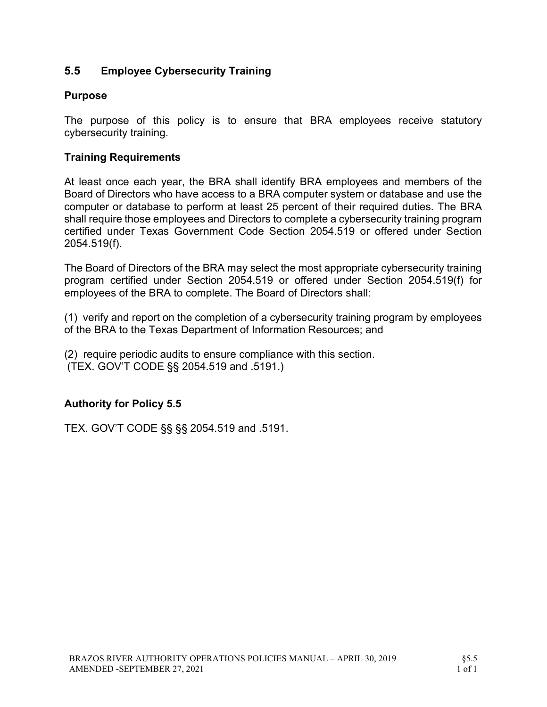## 5.5 Employee Cybersecurity Training

#### Purpose

The purpose of this policy is to ensure that BRA employees receive statutory cybersecurity training.

### Training Requirements

At least once each year, the BRA shall identify BRA employees and members of the Board of Directors who have access to a BRA computer system or database and use the computer or database to perform at least 25 percent of their required duties. The BRA shall require those employees and Directors to complete a cybersecurity training program certified under Texas Government Code Section 2054.519 or offered under Section 2054.519(f).

The Board of Directors of the BRA may select the most appropriate cybersecurity training program certified under Section 2054.519 or offered under Section 2054.519(f) for employees of the BRA to complete. The Board of Directors shall:

(1) verify and report on the completion of a cybersecurity training program by employees of the BRA to the Texas Department of Information Resources; and

(2) require periodic audits to ensure compliance with this section. (TEX. GOV'T CODE §§ 2054.519 and .5191.)

### Authority for Policy 5.5

TEX. GOV'T CODE §§ §§ 2054.519 and .5191.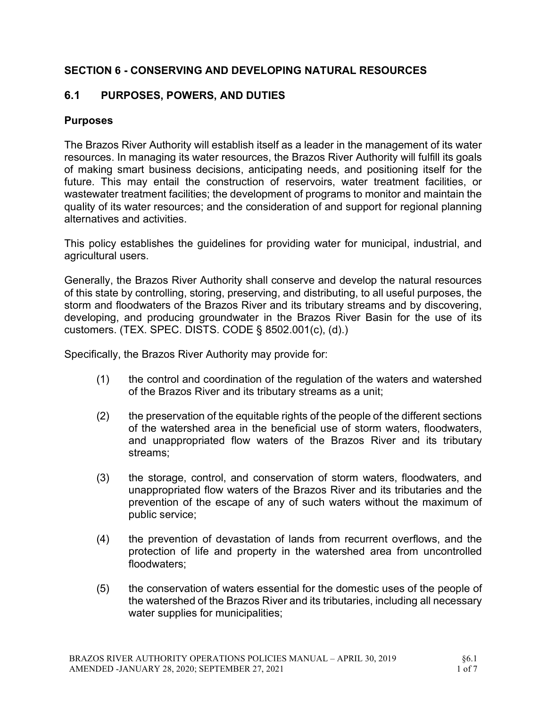## SECTION 6 - CONSERVING AND DEVELOPING NATURAL RESOURCES

## 6.1 PURPOSES, POWERS, AND DUTIES

### **Purposes**

The Brazos River Authority will establish itself as a leader in the management of its water resources. In managing its water resources, the Brazos River Authority will fulfill its goals of making smart business decisions, anticipating needs, and positioning itself for the future. This may entail the construction of reservoirs, water treatment facilities, or wastewater treatment facilities; the development of programs to monitor and maintain the quality of its water resources; and the consideration of and support for regional planning alternatives and activities.

This policy establishes the guidelines for providing water for municipal, industrial, and agricultural users.

Generally, the Brazos River Authority shall conserve and develop the natural resources of this state by controlling, storing, preserving, and distributing, to all useful purposes, the storm and floodwaters of the Brazos River and its tributary streams and by discovering, developing, and producing groundwater in the Brazos River Basin for the use of its customers. (TEX. SPEC. DISTS. CODE § 8502.001(c), (d).)

Specifically, the Brazos River Authority may provide for:

- (1) the control and coordination of the regulation of the waters and watershed of the Brazos River and its tributary streams as a unit;
- (2) the preservation of the equitable rights of the people of the different sections of the watershed area in the beneficial use of storm waters, floodwaters, and unappropriated flow waters of the Brazos River and its tributary streams;
- (3) the storage, control, and conservation of storm waters, floodwaters, and unappropriated flow waters of the Brazos River and its tributaries and the prevention of the escape of any of such waters without the maximum of public service;
- (4) the prevention of devastation of lands from recurrent overflows, and the protection of life and property in the watershed area from uncontrolled floodwaters;
- (5) the conservation of waters essential for the domestic uses of the people of the watershed of the Brazos River and its tributaries, including all necessary water supplies for municipalities;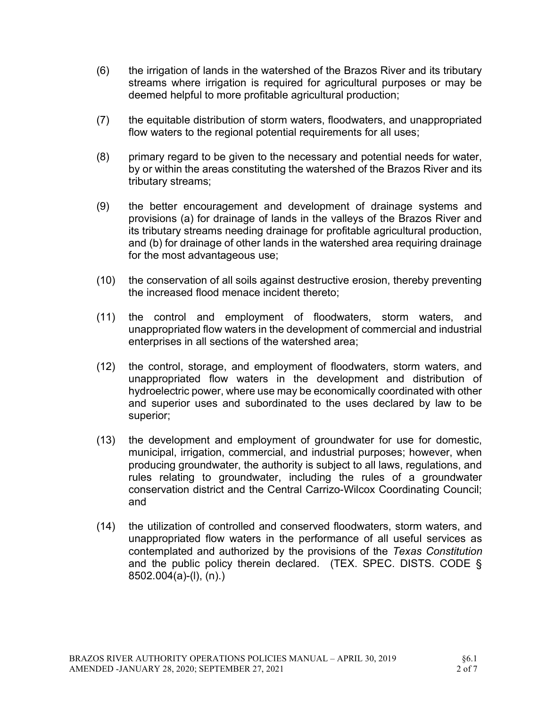- (6) the irrigation of lands in the watershed of the Brazos River and its tributary streams where irrigation is required for agricultural purposes or may be deemed helpful to more profitable agricultural production;
- (7) the equitable distribution of storm waters, floodwaters, and unappropriated flow waters to the regional potential requirements for all uses;
- (8) primary regard to be given to the necessary and potential needs for water, by or within the areas constituting the watershed of the Brazos River and its tributary streams;
- (9) the better encouragement and development of drainage systems and provisions (a) for drainage of lands in the valleys of the Brazos River and its tributary streams needing drainage for profitable agricultural production, and (b) for drainage of other lands in the watershed area requiring drainage for the most advantageous use;
- (10) the conservation of all soils against destructive erosion, thereby preventing the increased flood menace incident thereto;
- (11) the control and employment of floodwaters, storm waters, and unappropriated flow waters in the development of commercial and industrial enterprises in all sections of the watershed area;
- (12) the control, storage, and employment of floodwaters, storm waters, and unappropriated flow waters in the development and distribution of hydroelectric power, where use may be economically coordinated with other and superior uses and subordinated to the uses declared by law to be superior;
- (13) the development and employment of groundwater for use for domestic, municipal, irrigation, commercial, and industrial purposes; however, when producing groundwater, the authority is subject to all laws, regulations, and rules relating to groundwater, including the rules of a groundwater conservation district and the Central Carrizo-Wilcox Coordinating Council; and
- (14) the utilization of controlled and conserved floodwaters, storm waters, and unappropriated flow waters in the performance of all useful services as contemplated and authorized by the provisions of the Texas Constitution and the public policy therein declared. (TEX. SPEC. DISTS. CODE § 8502.004(a)-(l), (n).)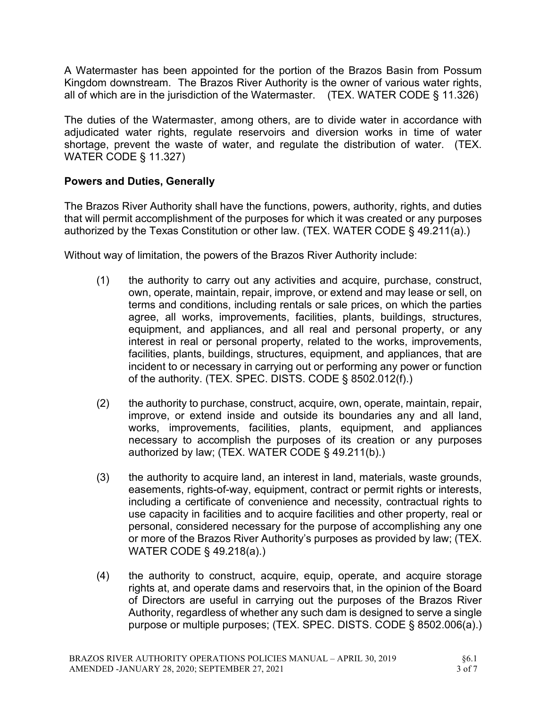A Watermaster has been appointed for the portion of the Brazos Basin from Possum Kingdom downstream. The Brazos River Authority is the owner of various water rights, all of which are in the jurisdiction of the Watermaster. (TEX. WATER CODE § 11.326)

The duties of the Watermaster, among others, are to divide water in accordance with adjudicated water rights, regulate reservoirs and diversion works in time of water shortage, prevent the waste of water, and regulate the distribution of water. (TEX. WATER CODE § 11.327)

### Powers and Duties, Generally

The Brazos River Authority shall have the functions, powers, authority, rights, and duties that will permit accomplishment of the purposes for which it was created or any purposes authorized by the Texas Constitution or other law. (TEX. WATER CODE § 49.211(a).)

Without way of limitation, the powers of the Brazos River Authority include:

- (1) the authority to carry out any activities and acquire, purchase, construct, own, operate, maintain, repair, improve, or extend and may lease or sell, on terms and conditions, including rentals or sale prices, on which the parties agree, all works, improvements, facilities, plants, buildings, structures, equipment, and appliances, and all real and personal property, or any interest in real or personal property, related to the works, improvements, facilities, plants, buildings, structures, equipment, and appliances, that are incident to or necessary in carrying out or performing any power or function of the authority. (TEX. SPEC. DISTS. CODE § 8502.012(f).)
- (2) the authority to purchase, construct, acquire, own, operate, maintain, repair, improve, or extend inside and outside its boundaries any and all land, works, improvements, facilities, plants, equipment, and appliances necessary to accomplish the purposes of its creation or any purposes authorized by law; (TEX. WATER CODE § 49.211(b).)
- (3) the authority to acquire land, an interest in land, materials, waste grounds, easements, rights-of-way, equipment, contract or permit rights or interests, including a certificate of convenience and necessity, contractual rights to use capacity in facilities and to acquire facilities and other property, real or personal, considered necessary for the purpose of accomplishing any one or more of the Brazos River Authority's purposes as provided by law; (TEX. WATER CODE § 49.218(a).)
- (4) the authority to construct, acquire, equip, operate, and acquire storage rights at, and operate dams and reservoirs that, in the opinion of the Board of Directors are useful in carrying out the purposes of the Brazos River Authority, regardless of whether any such dam is designed to serve a single purpose or multiple purposes; (TEX. SPEC. DISTS. CODE § 8502.006(a).)

§6.1 3 of 7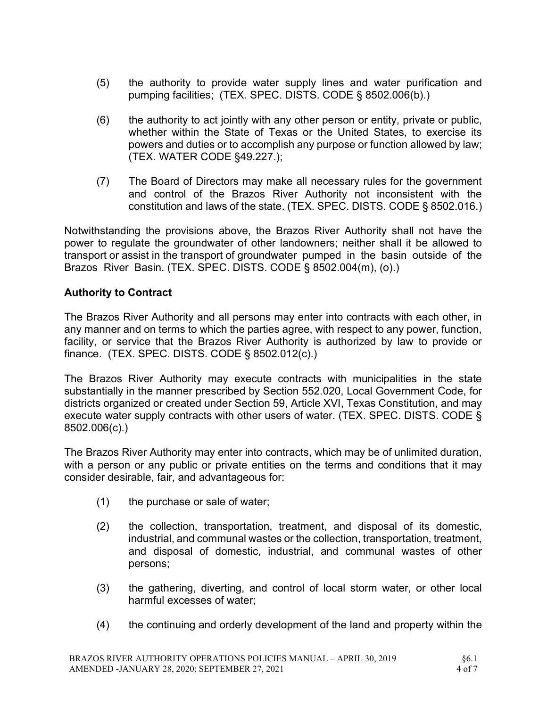- (5) the authority to provide water supply lines and water purification and pumping facilities; (TEX. SPEC. DISTS. CODE § 8502.006(b).)
- (6) the authority to act jointly with any other person or entity, private or public, whether within the State of Texas or the United States, to exercise its powers and duties or to accomplish any purpose or function allowed by law; (TEX. WATER CODE §49.227.);
- (7) The Board of Directors may make all necessary rules for the government and control of the Brazos River Authority not inconsistent with the constitution and laws of the state. (TEX. SPEC. DISTS. CODE § 8502.016.)

Notwithstanding the provisions above, the Brazos River Authority shall not have the power to regulate the groundwater of other landowners; neither shall it be allowed to transport or assist in the transport of groundwater pumped in the basin outside of the Brazos River Basin. (TEX. SPEC. DISTS. CODE § 8502.004(m), (o).)

### Authority to Contract

The Brazos River Authority and all persons may enter into contracts with each other, in any manner and on terms to which the parties agree, with respect to any power, function, facility, or service that the Brazos River Authority is authorized by law to provide or finance. (TEX. SPEC. DISTS. CODE § 8502.012(c).)

The Brazos River Authority may execute contracts with municipalities in the state substantially in the manner prescribed by Section 552.020, Local Government Code, for districts organized or created under Section 59, Article XVI, Texas Constitution, and may execute water supply contracts with other users of water. (TEX. SPEC. DISTS. CODE § 8502.006(c).)

The Brazos River Authority may enter into contracts, which may be of unlimited duration, with a person or any public or private entities on the terms and conditions that it may consider desirable, fair, and advantageous for:

- (1) the purchase or sale of water;
- (2) the collection, transportation, treatment, and disposal of its domestic, industrial, and communal wastes or the collection, transportation, treatment, and disposal of domestic, industrial, and communal wastes of other persons;
- (3) the gathering, diverting, and control of local storm water, or other local harmful excesses of water;
- (4) the continuing and orderly development of the land and property within the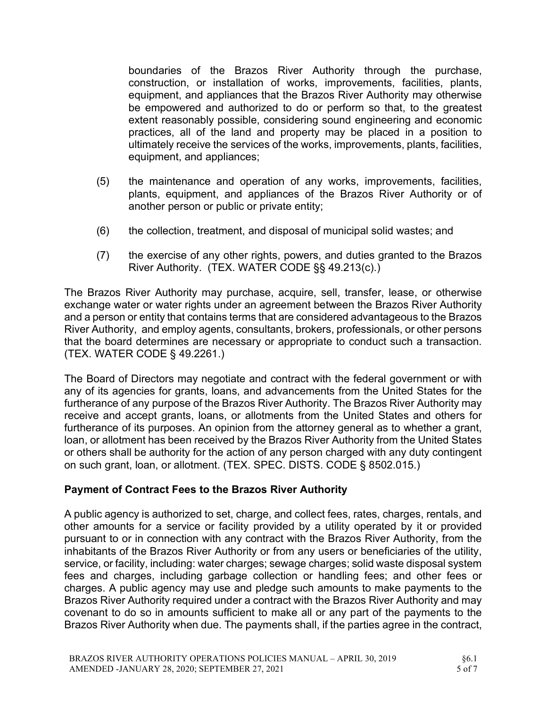boundaries of the Brazos River Authority through the purchase, construction, or installation of works, improvements, facilities, plants, equipment, and appliances that the Brazos River Authority may otherwise be empowered and authorized to do or perform so that, to the greatest extent reasonably possible, considering sound engineering and economic practices, all of the land and property may be placed in a position to ultimately receive the services of the works, improvements, plants, facilities, equipment, and appliances;

- (5) the maintenance and operation of any works, improvements, facilities, plants, equipment, and appliances of the Brazos River Authority or of another person or public or private entity;
- (6) the collection, treatment, and disposal of municipal solid wastes; and
- (7) the exercise of any other rights, powers, and duties granted to the Brazos River Authority. (TEX. WATER CODE §§ 49.213(c).)

The Brazos River Authority may purchase, acquire, sell, transfer, lease, or otherwise exchange water or water rights under an agreement between the Brazos River Authority and a person or entity that contains terms that are considered advantageous to the Brazos River Authority, and employ agents, consultants, brokers, professionals, or other persons that the board determines are necessary or appropriate to conduct such a transaction. (TEX. WATER CODE § 49.2261.)

The Board of Directors may negotiate and contract with the federal government or with any of its agencies for grants, loans, and advancements from the United States for the furtherance of any purpose of the Brazos River Authority. The Brazos River Authority may receive and accept grants, loans, or allotments from the United States and others for furtherance of its purposes. An opinion from the attorney general as to whether a grant, loan, or allotment has been received by the Brazos River Authority from the United States or others shall be authority for the action of any person charged with any duty contingent on such grant, loan, or allotment. (TEX. SPEC. DISTS. CODE § 8502.015.)

### Payment of Contract Fees to the Brazos River Authority

A public agency is authorized to set, charge, and collect fees, rates, charges, rentals, and other amounts for a service or facility provided by a utility operated by it or provided pursuant to or in connection with any contract with the Brazos River Authority, from the inhabitants of the Brazos River Authority or from any users or beneficiaries of the utility, service, or facility, including: water charges; sewage charges; solid waste disposal system fees and charges, including garbage collection or handling fees; and other fees or charges. A public agency may use and pledge such amounts to make payments to the Brazos River Authority required under a contract with the Brazos River Authority and may covenant to do so in amounts sufficient to make all or any part of the payments to the Brazos River Authority when due. The payments shall, if the parties agree in the contract,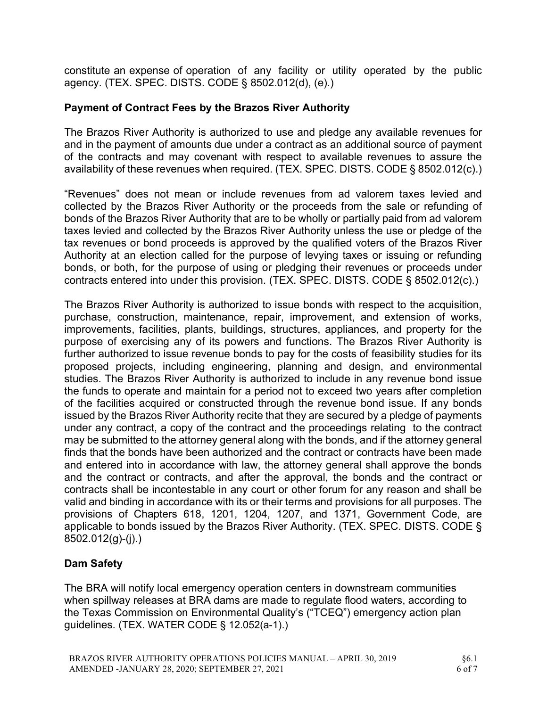constitute an expense of operation of any facility or utility operated by the public agency. (TEX. SPEC. DISTS. CODE § 8502.012(d), (e).)

### Payment of Contract Fees by the Brazos River Authority

The Brazos River Authority is authorized to use and pledge any available revenues for and in the payment of amounts due under a contract as an additional source of payment of the contracts and may covenant with respect to available revenues to assure the availability of these revenues when required. (TEX. SPEC. DISTS. CODE § 8502.012(c).)

"Revenues" does not mean or include revenues from ad valorem taxes levied and collected by the Brazos River Authority or the proceeds from the sale or refunding of bonds of the Brazos River Authority that are to be wholly or partially paid from ad valorem taxes levied and collected by the Brazos River Authority unless the use or pledge of the tax revenues or bond proceeds is approved by the qualified voters of the Brazos River Authority at an election called for the purpose of levying taxes or issuing or refunding bonds, or both, for the purpose of using or pledging their revenues or proceeds under contracts entered into under this provision. (TEX. SPEC. DISTS. CODE § 8502.012(c).)

The Brazos River Authority is authorized to issue bonds with respect to the acquisition, purchase, construction, maintenance, repair, improvement, and extension of works, improvements, facilities, plants, buildings, structures, appliances, and property for the purpose of exercising any of its powers and functions. The Brazos River Authority is further authorized to issue revenue bonds to pay for the costs of feasibility studies for its proposed projects, including engineering, planning and design, and environmental studies. The Brazos River Authority is authorized to include in any revenue bond issue the funds to operate and maintain for a period not to exceed two years after completion of the facilities acquired or constructed through the revenue bond issue. If any bonds issued by the Brazos River Authority recite that they are secured by a pledge of payments under any contract, a copy of the contract and the proceedings relating to the contract may be submitted to the attorney general along with the bonds, and if the attorney general finds that the bonds have been authorized and the contract or contracts have been made and entered into in accordance with law, the attorney general shall approve the bonds and the contract or contracts, and after the approval, the bonds and the contract or contracts shall be incontestable in any court or other forum for any reason and shall be valid and binding in accordance with its or their terms and provisions for all purposes. The provisions of Chapters 618, 1201, 1204, 1207, and 1371, Government Code, are applicable to bonds issued by the Brazos River Authority. (TEX. SPEC. DISTS. CODE § 8502.012(g)-(j).)

## Dam Safety

The BRA will notify local emergency operation centers in downstream communities when spillway releases at BRA dams are made to regulate flood waters, according to the Texas Commission on Environmental Quality's ("TCEQ") emergency action plan guidelines. (TEX. WATER CODE § 12.052(a-1).)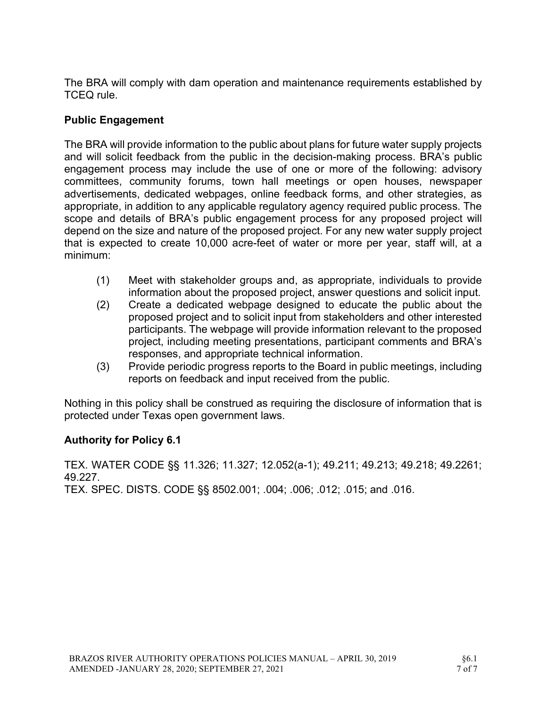The BRA will comply with dam operation and maintenance requirements established by TCEQ rule.

## Public Engagement

The BRA will provide information to the public about plans for future water supply projects and will solicit feedback from the public in the decision-making process. BRA's public engagement process may include the use of one or more of the following: advisory committees, community forums, town hall meetings or open houses, newspaper advertisements, dedicated webpages, online feedback forms, and other strategies, as appropriate, in addition to any applicable regulatory agency required public process. The scope and details of BRA's public engagement process for any proposed project will depend on the size and nature of the proposed project. For any new water supply project that is expected to create 10,000 acre-feet of water or more per year, staff will, at a minimum:

- (1) Meet with stakeholder groups and, as appropriate, individuals to provide information about the proposed project, answer questions and solicit input.
- (2) Create a dedicated webpage designed to educate the public about the proposed project and to solicit input from stakeholders and other interested participants. The webpage will provide information relevant to the proposed project, including meeting presentations, participant comments and BRA's responses, and appropriate technical information.
- (3) Provide periodic progress reports to the Board in public meetings, including reports on feedback and input received from the public.

Nothing in this policy shall be construed as requiring the disclosure of information that is protected under Texas open government laws.

### Authority for Policy 6.1

TEX. WATER CODE §§ 11.326; 11.327; 12.052(a-1); 49.211; 49.213; 49.218; 49.2261; 49.227.

TEX. SPEC. DISTS. CODE §§ 8502.001; .004; .006; .012; .015; and .016.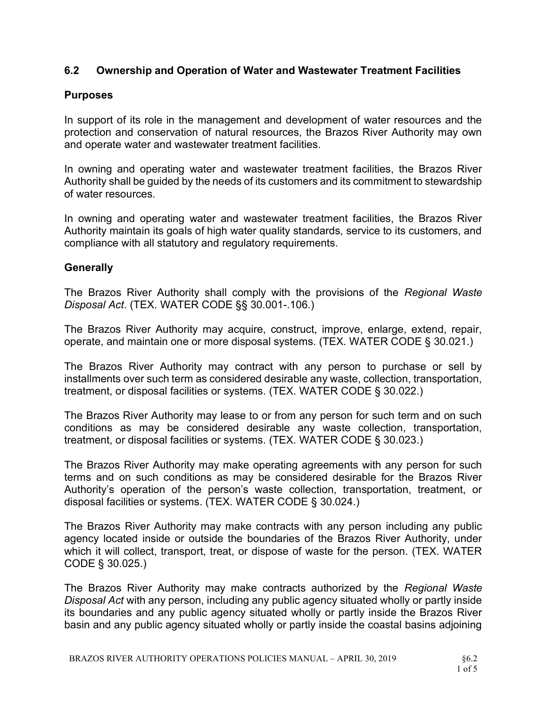### 6.2 Ownership and Operation of Water and Wastewater Treatment Facilities

#### Purposes

In support of its role in the management and development of water resources and the protection and conservation of natural resources, the Brazos River Authority may own and operate water and wastewater treatment facilities.

In owning and operating water and wastewater treatment facilities, the Brazos River Authority shall be guided by the needs of its customers and its commitment to stewardship of water resources.

In owning and operating water and wastewater treatment facilities, the Brazos River Authority maintain its goals of high water quality standards, service to its customers, and compliance with all statutory and regulatory requirements.

#### **Generally**

The Brazos River Authority shall comply with the provisions of the Regional Waste Disposal Act. (TEX. WATER CODE §§ 30.001-.106.)

The Brazos River Authority may acquire, construct, improve, enlarge, extend, repair, operate, and maintain one or more disposal systems. (TEX. WATER CODE § 30.021.)

The Brazos River Authority may contract with any person to purchase or sell by installments over such term as considered desirable any waste, collection, transportation, treatment, or disposal facilities or systems. (TEX. WATER CODE § 30.022.)

The Brazos River Authority may lease to or from any person for such term and on such conditions as may be considered desirable any waste collection, transportation, treatment, or disposal facilities or systems. (TEX. WATER CODE § 30.023.)

The Brazos River Authority may make operating agreements with any person for such terms and on such conditions as may be considered desirable for the Brazos River Authority's operation of the person's waste collection, transportation, treatment, or disposal facilities or systems. (TEX. WATER CODE § 30.024.)

The Brazos River Authority may make contracts with any person including any public agency located inside or outside the boundaries of the Brazos River Authority, under which it will collect, transport, treat, or dispose of waste for the person. (TEX. WATER CODE § 30.025.)

The Brazos River Authority may make contracts authorized by the Regional Waste Disposal Act with any person, including any public agency situated wholly or partly inside its boundaries and any public agency situated wholly or partly inside the Brazos River basin and any public agency situated wholly or partly inside the coastal basins adjoining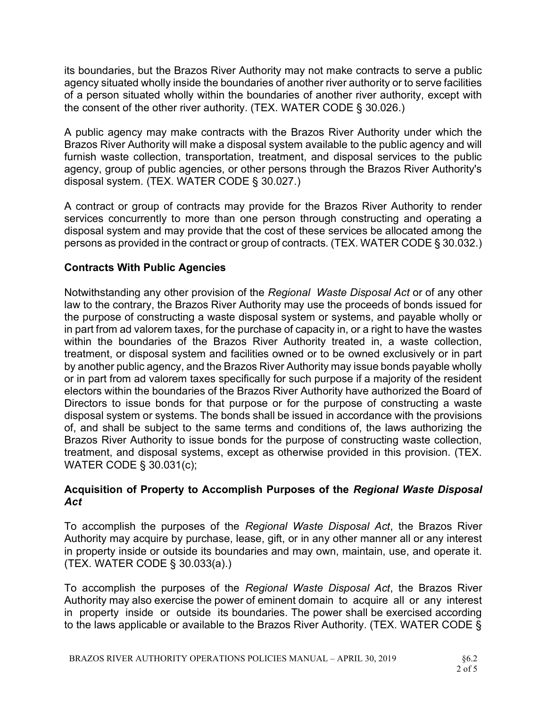its boundaries, but the Brazos River Authority may not make contracts to serve a public agency situated wholly inside the boundaries of another river authority or to serve facilities of a person situated wholly within the boundaries of another river authority, except with the consent of the other river authority. (TEX. WATER CODE § 30.026.)

A public agency may make contracts with the Brazos River Authority under which the Brazos River Authority will make a disposal system available to the public agency and will furnish waste collection, transportation, treatment, and disposal services to the public agency, group of public agencies, or other persons through the Brazos River Authority's disposal system. (TEX. WATER CODE § 30.027.)

A contract or group of contracts may provide for the Brazos River Authority to render services concurrently to more than one person through constructing and operating a disposal system and may provide that the cost of these services be allocated among the persons as provided in the contract or group of contracts. (TEX. WATER CODE § 30.032.)

### Contracts With Public Agencies

Notwithstanding any other provision of the Regional Waste Disposal Act or of any other law to the contrary, the Brazos River Authority may use the proceeds of bonds issued for the purpose of constructing a waste disposal system or systems, and payable wholly or in part from ad valorem taxes, for the purchase of capacity in, or a right to have the wastes within the boundaries of the Brazos River Authority treated in, a waste collection, treatment, or disposal system and facilities owned or to be owned exclusively or in part by another public agency, and the Brazos River Authority may issue bonds payable wholly or in part from ad valorem taxes specifically for such purpose if a majority of the resident electors within the boundaries of the Brazos River Authority have authorized the Board of Directors to issue bonds for that purpose or for the purpose of constructing a waste disposal system or systems. The bonds shall be issued in accordance with the provisions of, and shall be subject to the same terms and conditions of, the laws authorizing the Brazos River Authority to issue bonds for the purpose of constructing waste collection, treatment, and disposal systems, except as otherwise provided in this provision. (TEX. WATER CODE § 30.031(c);

#### Acquisition of Property to Accomplish Purposes of the Regional Waste Disposal Act

To accomplish the purposes of the Regional Waste Disposal Act, the Brazos River Authority may acquire by purchase, lease, gift, or in any other manner all or any interest in property inside or outside its boundaries and may own, maintain, use, and operate it. (TEX. WATER CODE § 30.033(a).)

To accomplish the purposes of the Regional Waste Disposal Act, the Brazos River Authority may also exercise the power of eminent domain to acquire all or any interest in property inside or outside its boundaries. The power shall be exercised according to the laws applicable or available to the Brazos River Authority. (TEX. WATER CODE §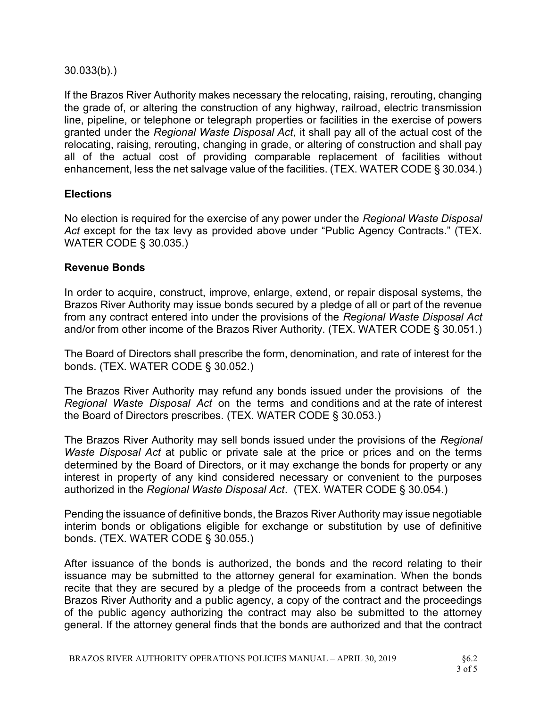30.033(b).)

If the Brazos River Authority makes necessary the relocating, raising, rerouting, changing the grade of, or altering the construction of any highway, railroad, electric transmission line, pipeline, or telephone or telegraph properties or facilities in the exercise of powers granted under the Regional Waste Disposal Act, it shall pay all of the actual cost of the relocating, raising, rerouting, changing in grade, or altering of construction and shall pay all of the actual cost of providing comparable replacement of facilities without enhancement, less the net salvage value of the facilities. (TEX. WATER CODE § 30.034.)

#### **Elections**

No election is required for the exercise of any power under the Regional Waste Disposal Act except for the tax levy as provided above under "Public Agency Contracts." (TEX. WATER CODE § 30.035.)

#### Revenue Bonds

In order to acquire, construct, improve, enlarge, extend, or repair disposal systems, the Brazos River Authority may issue bonds secured by a pledge of all or part of the revenue from any contract entered into under the provisions of the Regional Waste Disposal Act and/or from other income of the Brazos River Authority. (TEX. WATER CODE § 30.051.)

The Board of Directors shall prescribe the form, denomination, and rate of interest for the bonds. (TEX. WATER CODE § 30.052.)

The Brazos River Authority may refund any bonds issued under the provisions of the Regional Waste Disposal Act on the terms and conditions and at the rate of interest the Board of Directors prescribes. (TEX. WATER CODE § 30.053.)

The Brazos River Authority may sell bonds issued under the provisions of the Regional Waste Disposal Act at public or private sale at the price or prices and on the terms determined by the Board of Directors, or it may exchange the bonds for property or any interest in property of any kind considered necessary or convenient to the purposes authorized in the Regional Waste Disposal Act. (TEX. WATER CODE § 30.054.)

Pending the issuance of definitive bonds, the Brazos River Authority may issue negotiable interim bonds or obligations eligible for exchange or substitution by use of definitive bonds. (TEX. WATER CODE § 30.055.)

After issuance of the bonds is authorized, the bonds and the record relating to their issuance may be submitted to the attorney general for examination. When the bonds recite that they are secured by a pledge of the proceeds from a contract between the Brazos River Authority and a public agency, a copy of the contract and the proceedings of the public agency authorizing the contract may also be submitted to the attorney general. If the attorney general finds that the bonds are authorized and that the contract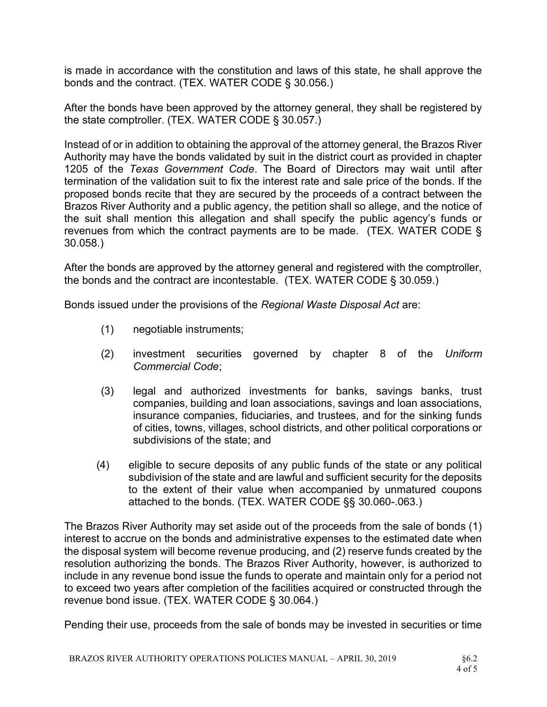is made in accordance with the constitution and laws of this state, he shall approve the bonds and the contract. (TEX. WATER CODE § 30.056.)

After the bonds have been approved by the attorney general, they shall be registered by the state comptroller. (TEX. WATER CODE § 30.057.)

Instead of or in addition to obtaining the approval of the attorney general, the Brazos River Authority may have the bonds validated by suit in the district court as provided in chapter 1205 of the Texas Government Code. The Board of Directors may wait until after termination of the validation suit to fix the interest rate and sale price of the bonds. If the proposed bonds recite that they are secured by the proceeds of a contract between the Brazos River Authority and a public agency, the petition shall so allege, and the notice of the suit shall mention this allegation and shall specify the public agency's funds or revenues from which the contract payments are to be made. (TEX. WATER CODE § 30.058.)

After the bonds are approved by the attorney general and registered with the comptroller, the bonds and the contract are incontestable. (TEX. WATER CODE § 30.059.)

Bonds issued under the provisions of the Regional Waste Disposal Act are:

- (1) negotiable instruments;
- (2) investment securities governed by chapter 8 of the Uniform Commercial Code;
- (3) legal and authorized investments for banks, savings banks, trust companies, building and loan associations, savings and loan associations, insurance companies, fiduciaries, and trustees, and for the sinking funds of cities, towns, villages, school districts, and other political corporations or subdivisions of the state; and
- (4) eligible to secure deposits of any public funds of the state or any political subdivision of the state and are lawful and sufficient security for the deposits to the extent of their value when accompanied by unmatured coupons attached to the bonds. (TEX. WATER CODE §§ 30.060-.063.)

The Brazos River Authority may set aside out of the proceeds from the sale of bonds (1) interest to accrue on the bonds and administrative expenses to the estimated date when the disposal system will become revenue producing, and (2) reserve funds created by the resolution authorizing the bonds. The Brazos River Authority, however, is authorized to include in any revenue bond issue the funds to operate and maintain only for a period not to exceed two years after completion of the facilities acquired or constructed through the revenue bond issue. (TEX. WATER CODE § 30.064.)

Pending their use, proceeds from the sale of bonds may be invested in securities or time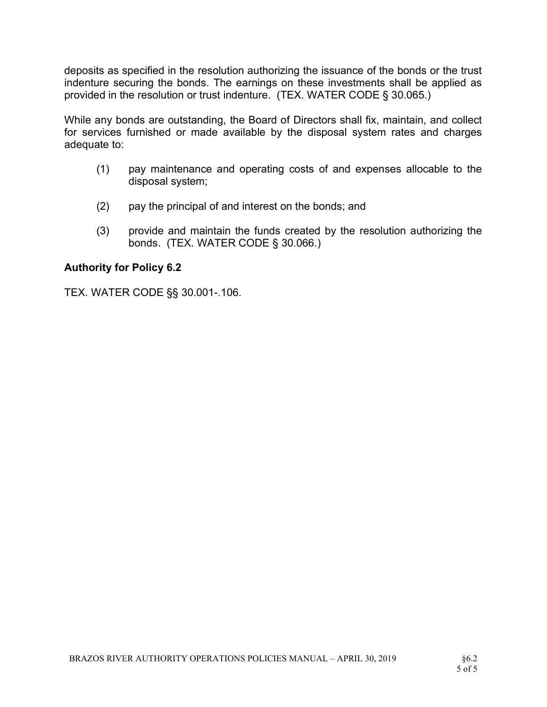deposits as specified in the resolution authorizing the issuance of the bonds or the trust indenture securing the bonds. The earnings on these investments shall be applied as provided in the resolution or trust indenture. (TEX. WATER CODE § 30.065.)

While any bonds are outstanding, the Board of Directors shall fix, maintain, and collect for services furnished or made available by the disposal system rates and charges adequate to:

- (1) pay maintenance and operating costs of and expenses allocable to the disposal system;
- (2) pay the principal of and interest on the bonds; and
- (3) provide and maintain the funds created by the resolution authorizing the bonds. (TEX. WATER CODE § 30.066.)

#### Authority for Policy 6.2

TEX. WATER CODE §§ 30.001-.106.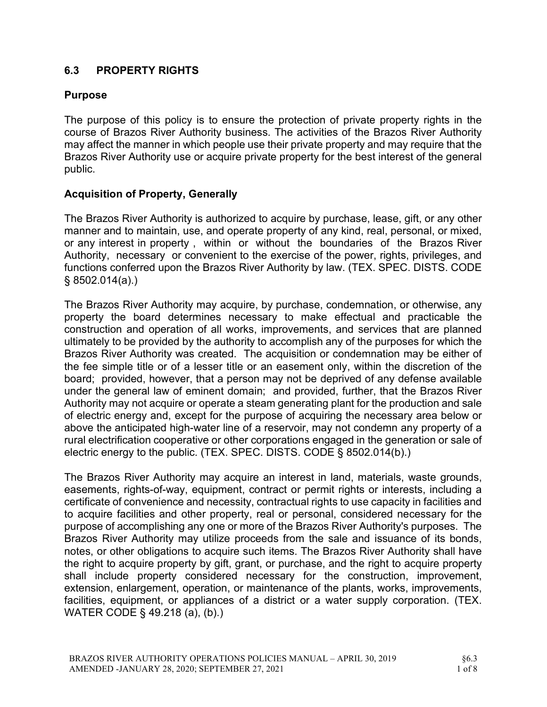# 6.3 PROPERTY RIGHTS

# Purpose

The purpose of this policy is to ensure the protection of private property rights in the course of Brazos River Authority business. The activities of the Brazos River Authority may affect the manner in which people use their private property and may require that the Brazos River Authority use or acquire private property for the best interest of the general public.

# Acquisition of Property, Generally

The Brazos River Authority is authorized to acquire by purchase, lease, gift, or any other manner and to maintain, use, and operate property of any kind, real, personal, or mixed, or any interest in property , within or without the boundaries of the Brazos River Authority, necessary or convenient to the exercise of the power, rights, privileges, and functions conferred upon the Brazos River Authority by law. (TEX. SPEC. DISTS. CODE § 8502.014(a).)

The Brazos River Authority may acquire, by purchase, condemnation, or otherwise, any property the board determines necessary to make effectual and practicable the construction and operation of all works, improvements, and services that are planned ultimately to be provided by the authority to accomplish any of the purposes for which the Brazos River Authority was created. The acquisition or condemnation may be either of the fee simple title or of a lesser title or an easement only, within the discretion of the board; provided, however, that a person may not be deprived of any defense available under the general law of eminent domain; and provided, further, that the Brazos River Authority may not acquire or operate a steam generating plant for the production and sale of electric energy and, except for the purpose of acquiring the necessary area below or above the anticipated high-water line of a reservoir, may not condemn any property of a rural electrification cooperative or other corporations engaged in the generation or sale of electric energy to the public. (TEX. SPEC. DISTS. CODE § 8502.014(b).)

The Brazos River Authority may acquire an interest in land, materials, waste grounds, easements, rights-of-way, equipment, contract or permit rights or interests, including a certificate of convenience and necessity, contractual rights to use capacity in facilities and to acquire facilities and other property, real or personal, considered necessary for the purpose of accomplishing any one or more of the Brazos River Authority's purposes. The Brazos River Authority may utilize proceeds from the sale and issuance of its bonds, notes, or other obligations to acquire such items. The Brazos River Authority shall have the right to acquire property by gift, grant, or purchase, and the right to acquire property shall include property considered necessary for the construction, improvement, extension, enlargement, operation, or maintenance of the plants, works, improvements, facilities, equipment, or appliances of a district or a water supply corporation. (TEX. WATER CODE § 49.218 (a), (b).)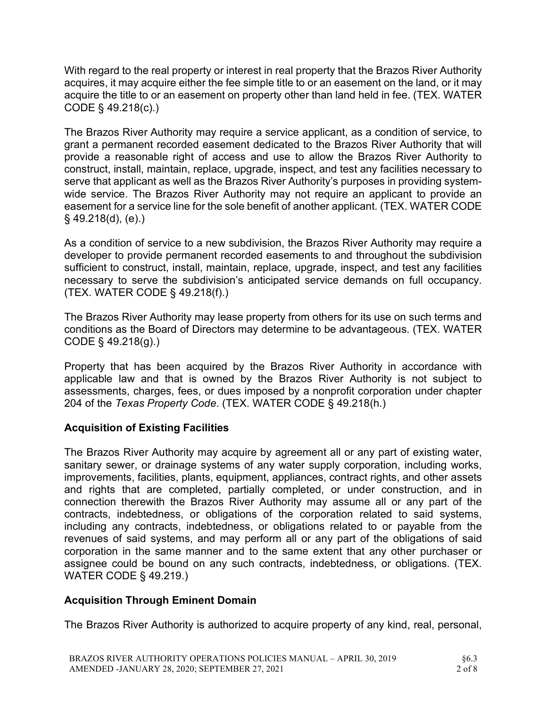With regard to the real property or interest in real property that the Brazos River Authority acquires, it may acquire either the fee simple title to or an easement on the land, or it may acquire the title to or an easement on property other than land held in fee. (TEX. WATER CODE § 49.218(c).)

The Brazos River Authority may require a service applicant, as a condition of service, to grant a permanent recorded easement dedicated to the Brazos River Authority that will provide a reasonable right of access and use to allow the Brazos River Authority to construct, install, maintain, replace, upgrade, inspect, and test any facilities necessary to serve that applicant as well as the Brazos River Authority's purposes in providing systemwide service. The Brazos River Authority may not require an applicant to provide an easement for a service line for the sole benefit of another applicant. (TEX. WATER CODE  $§$  49.218(d), (e).)

As a condition of service to a new subdivision, the Brazos River Authority may require a developer to provide permanent recorded easements to and throughout the subdivision sufficient to construct, install, maintain, replace, upgrade, inspect, and test any facilities necessary to serve the subdivision's anticipated service demands on full occupancy. (TEX. WATER CODE § 49.218(f).)

The Brazos River Authority may lease property from others for its use on such terms and conditions as the Board of Directors may determine to be advantageous. (TEX. WATER CODE § 49.218(g).)

Property that has been acquired by the Brazos River Authority in accordance with applicable law and that is owned by the Brazos River Authority is not subject to assessments, charges, fees, or dues imposed by a nonprofit corporation under chapter 204 of the Texas Property Code. (TEX. WATER CODE § 49.218(h.)

# Acquisition of Existing Facilities

The Brazos River Authority may acquire by agreement all or any part of existing water, sanitary sewer, or drainage systems of any water supply corporation, including works, improvements, facilities, plants, equipment, appliances, contract rights, and other assets and rights that are completed, partially completed, or under construction, and in connection therewith the Brazos River Authority may assume all or any part of the contracts, indebtedness, or obligations of the corporation related to said systems, including any contracts, indebtedness, or obligations related to or payable from the revenues of said systems, and may perform all or any part of the obligations of said corporation in the same manner and to the same extent that any other purchaser or assignee could be bound on any such contracts, indebtedness, or obligations. (TEX. WATER CODE § 49.219.)

# Acquisition Through Eminent Domain

The Brazos River Authority is authorized to acquire property of any kind, real, personal,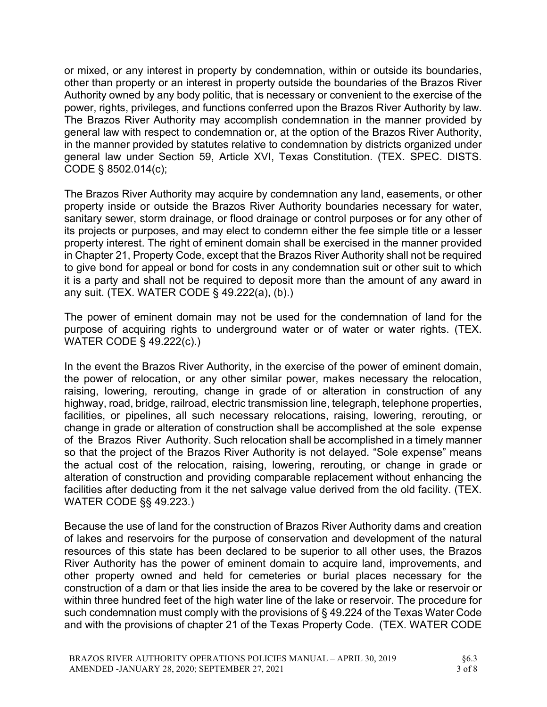or mixed, or any interest in property by condemnation, within or outside its boundaries, other than property or an interest in property outside the boundaries of the Brazos River Authority owned by any body politic, that is necessary or convenient to the exercise of the power, rights, privileges, and functions conferred upon the Brazos River Authority by law. The Brazos River Authority may accomplish condemnation in the manner provided by general law with respect to condemnation or, at the option of the Brazos River Authority, in the manner provided by statutes relative to condemnation by districts organized under general law under Section 59, Article XVI, Texas Constitution. (TEX. SPEC. DISTS. CODE § 8502.014(c);

The Brazos River Authority may acquire by condemnation any land, easements, or other property inside or outside the Brazos River Authority boundaries necessary for water, sanitary sewer, storm drainage, or flood drainage or control purposes or for any other of its projects or purposes, and may elect to condemn either the fee simple title or a lesser property interest. The right of eminent domain shall be exercised in the manner provided in Chapter 21, Property Code, except that the Brazos River Authority shall not be required to give bond for appeal or bond for costs in any condemnation suit or other suit to which it is a party and shall not be required to deposit more than the amount of any award in any suit. (TEX. WATER CODE § 49.222(a), (b).)

The power of eminent domain may not be used for the condemnation of land for the purpose of acquiring rights to underground water or of water or water rights. (TEX. WATER CODE § 49.222(c).)

In the event the Brazos River Authority, in the exercise of the power of eminent domain, the power of relocation, or any other similar power, makes necessary the relocation, raising, lowering, rerouting, change in grade of or alteration in construction of any highway, road, bridge, railroad, electric transmission line, telegraph, telephone properties, facilities, or pipelines, all such necessary relocations, raising, lowering, rerouting, or change in grade or alteration of construction shall be accomplished at the sole expense of the Brazos River Authority. Such relocation shall be accomplished in a timely manner so that the project of the Brazos River Authority is not delayed. "Sole expense" means the actual cost of the relocation, raising, lowering, rerouting, or change in grade or alteration of construction and providing comparable replacement without enhancing the facilities after deducting from it the net salvage value derived from the old facility. (TEX. WATER CODE §§ 49.223.)

Because the use of land for the construction of Brazos River Authority dams and creation of lakes and reservoirs for the purpose of conservation and development of the natural resources of this state has been declared to be superior to all other uses, the Brazos River Authority has the power of eminent domain to acquire land, improvements, and other property owned and held for cemeteries or burial places necessary for the construction of a dam or that lies inside the area to be covered by the lake or reservoir or within three hundred feet of the high water line of the lake or reservoir. The procedure for such condemnation must comply with the provisions of § 49.224 of the Texas Water Code and with the provisions of chapter 21 of the Texas Property Code. (TEX. WATER CODE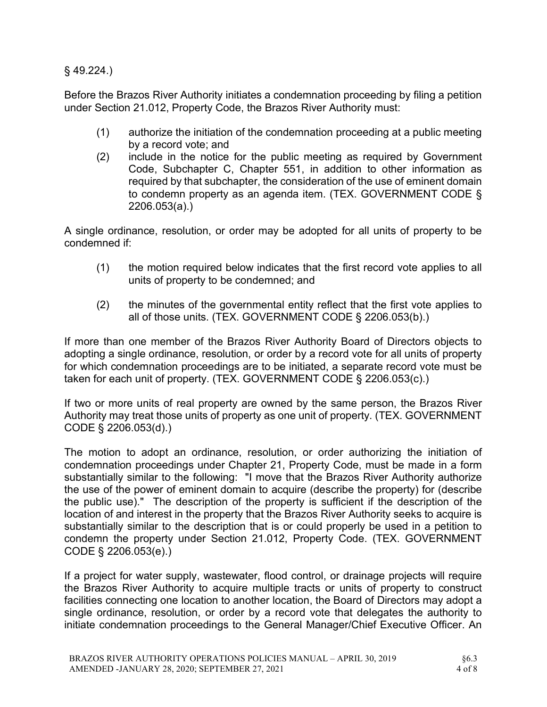§ 49.224.)

Before the Brazos River Authority initiates a condemnation proceeding by filing a petition under Section 21.012, Property Code, the Brazos River Authority must:

- (1) authorize the initiation of the condemnation proceeding at a public meeting by a record vote; and
- (2) include in the notice for the public meeting as required by Government Code, Subchapter C, Chapter 551, in addition to other information as required by that subchapter, the consideration of the use of eminent domain to condemn property as an agenda item. (TEX. GOVERNMENT CODE § 2206.053(a).)

A single ordinance, resolution, or order may be adopted for all units of property to be condemned if:

- (1) the motion required below indicates that the first record vote applies to all units of property to be condemned; and
- (2) the minutes of the governmental entity reflect that the first vote applies to all of those units. (TEX. GOVERNMENT CODE § 2206.053(b).)

If more than one member of the Brazos River Authority Board of Directors objects to adopting a single ordinance, resolution, or order by a record vote for all units of property for which condemnation proceedings are to be initiated, a separate record vote must be taken for each unit of property. (TEX. GOVERNMENT CODE § 2206.053(c).)

If two or more units of real property are owned by the same person, the Brazos River Authority may treat those units of property as one unit of property. (TEX. GOVERNMENT CODE § 2206.053(d).)

The motion to adopt an ordinance, resolution, or order authorizing the initiation of condemnation proceedings under Chapter 21, Property Code, must be made in a form substantially similar to the following: "I move that the Brazos River Authority authorize the use of the power of eminent domain to acquire (describe the property) for (describe the public use)." The description of the property is sufficient if the description of the location of and interest in the property that the Brazos River Authority seeks to acquire is substantially similar to the description that is or could properly be used in a petition to condemn the property under Section 21.012, Property Code. (TEX. GOVERNMENT CODE § 2206.053(e).)

If a project for water supply, wastewater, flood control, or drainage projects will require the Brazos River Authority to acquire multiple tracts or units of property to construct facilities connecting one location to another location, the Board of Directors may adopt a single ordinance, resolution, or order by a record vote that delegates the authority to initiate condemnation proceedings to the General Manager/Chief Executive Officer. An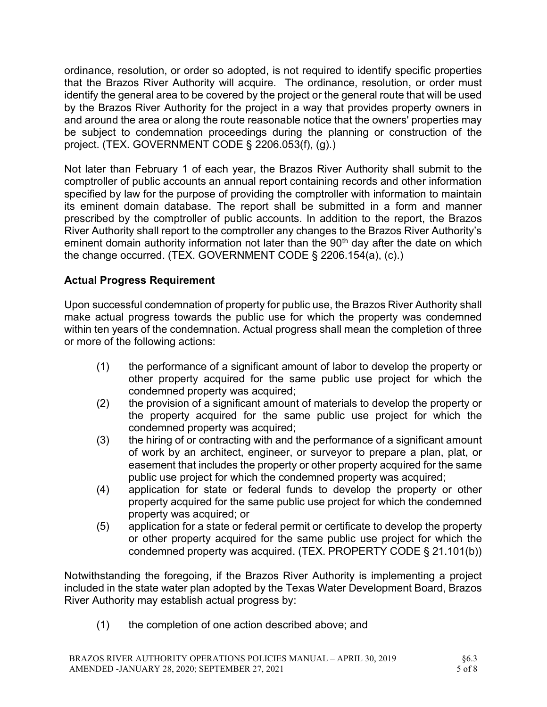ordinance, resolution, or order so adopted, is not required to identify specific properties that the Brazos River Authority will acquire. The ordinance, resolution, or order must identify the general area to be covered by the project or the general route that will be used by the Brazos River Authority for the project in a way that provides property owners in and around the area or along the route reasonable notice that the owners' properties may be subject to condemnation proceedings during the planning or construction of the project. (TEX. GOVERNMENT CODE § 2206.053(f), (g).)

Not later than February 1 of each year, the Brazos River Authority shall submit to the comptroller of public accounts an annual report containing records and other information specified by law for the purpose of providing the comptroller with information to maintain its eminent domain database. The report shall be submitted in a form and manner prescribed by the comptroller of public accounts. In addition to the report, the Brazos River Authority shall report to the comptroller any changes to the Brazos River Authority's eminent domain authority information not later than the 90<sup>th</sup> day after the date on which the change occurred. (TEX. GOVERNMENT CODE § 2206.154(a), (c).)

# Actual Progress Requirement

Upon successful condemnation of property for public use, the Brazos River Authority shall make actual progress towards the public use for which the property was condemned within ten years of the condemnation. Actual progress shall mean the completion of three or more of the following actions:

- (1) the performance of a significant amount of labor to develop the property or other property acquired for the same public use project for which the condemned property was acquired;
- (2) the provision of a significant amount of materials to develop the property or the property acquired for the same public use project for which the condemned property was acquired;
- (3) the hiring of or contracting with and the performance of a significant amount of work by an architect, engineer, or surveyor to prepare a plan, plat, or easement that includes the property or other property acquired for the same public use project for which the condemned property was acquired;
- (4) application for state or federal funds to develop the property or other property acquired for the same public use project for which the condemned property was acquired; or
- (5) application for a state or federal permit or certificate to develop the property or other property acquired for the same public use project for which the condemned property was acquired. (TEX. PROPERTY CODE § 21.101(b))

Notwithstanding the foregoing, if the Brazos River Authority is implementing a project included in the state water plan adopted by the Texas Water Development Board, Brazos River Authority may establish actual progress by:

(1) the completion of one action described above; and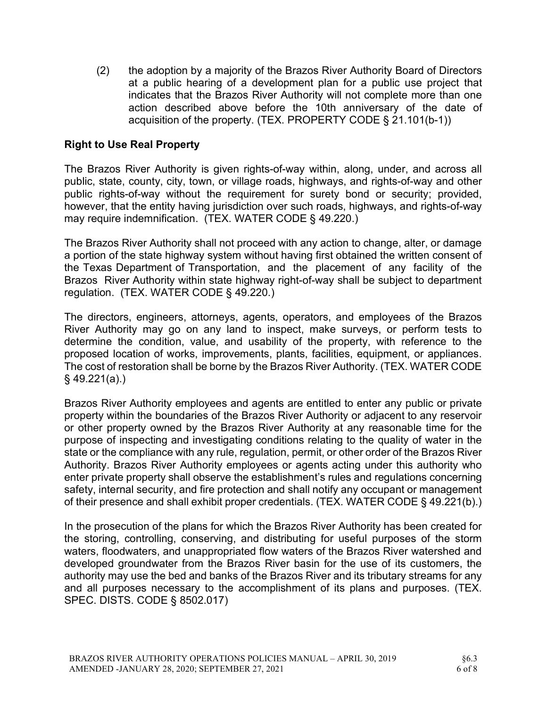(2) the adoption by a majority of the Brazos River Authority Board of Directors at a public hearing of a development plan for a public use project that indicates that the Brazos River Authority will not complete more than one action described above before the 10th anniversary of the date of acquisition of the property. (TEX. PROPERTY CODE § 21.101(b-1))

### Right to Use Real Property

The Brazos River Authority is given rights-of-way within, along, under, and across all public, state, county, city, town, or village roads, highways, and rights-of-way and other public rights-of-way without the requirement for surety bond or security; provided, however, that the entity having jurisdiction over such roads, highways, and rights-of-way may require indemnification. (TEX. WATER CODE § 49.220.)

The Brazos River Authority shall not proceed with any action to change, alter, or damage a portion of the state highway system without having first obtained the written consent of the Texas Department of Transportation, and the placement of any facility of the Brazos River Authority within state highway right-of-way shall be subject to department regulation. (TEX. WATER CODE § 49.220.)

The directors, engineers, attorneys, agents, operators, and employees of the Brazos River Authority may go on any land to inspect, make surveys, or perform tests to determine the condition, value, and usability of the property, with reference to the proposed location of works, improvements, plants, facilities, equipment, or appliances. The cost of restoration shall be borne by the Brazos River Authority. (TEX. WATER CODE § 49.221(a).)

Brazos River Authority employees and agents are entitled to enter any public or private property within the boundaries of the Brazos River Authority or adjacent to any reservoir or other property owned by the Brazos River Authority at any reasonable time for the purpose of inspecting and investigating conditions relating to the quality of water in the state or the compliance with any rule, regulation, permit, or other order of the Brazos River Authority. Brazos River Authority employees or agents acting under this authority who enter private property shall observe the establishment's rules and regulations concerning safety, internal security, and fire protection and shall notify any occupant or management of their presence and shall exhibit proper credentials. (TEX. WATER CODE § 49.221(b).)

In the prosecution of the plans for which the Brazos River Authority has been created for the storing, controlling, conserving, and distributing for useful purposes of the storm waters, floodwaters, and unappropriated flow waters of the Brazos River watershed and developed groundwater from the Brazos River basin for the use of its customers, the authority may use the bed and banks of the Brazos River and its tributary streams for any and all purposes necessary to the accomplishment of its plans and purposes. (TEX. SPEC. DISTS. CODE § 8502.017)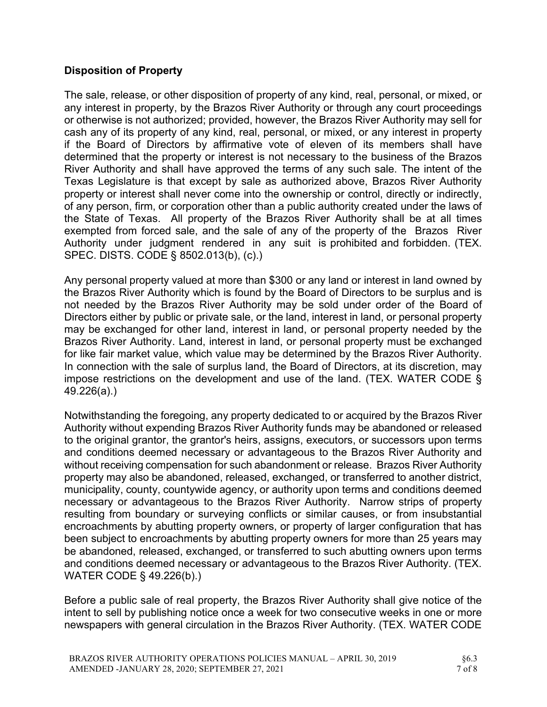# Disposition of Property

The sale, release, or other disposition of property of any kind, real, personal, or mixed, or any interest in property, by the Brazos River Authority or through any court proceedings or otherwise is not authorized; provided, however, the Brazos River Authority may sell for cash any of its property of any kind, real, personal, or mixed, or any interest in property if the Board of Directors by affirmative vote of eleven of its members shall have determined that the property or interest is not necessary to the business of the Brazos River Authority and shall have approved the terms of any such sale. The intent of the Texas Legislature is that except by sale as authorized above, Brazos River Authority property or interest shall never come into the ownership or control, directly or indirectly, of any person, firm, or corporation other than a public authority created under the laws of the State of Texas. All property of the Brazos River Authority shall be at all times exempted from forced sale, and the sale of any of the property of the Brazos River Authority under judgment rendered in any suit is prohibited and forbidden. (TEX. SPEC. DISTS. CODE § 8502.013(b), (c).)

Any personal property valued at more than \$300 or any land or interest in land owned by the Brazos River Authority which is found by the Board of Directors to be surplus and is not needed by the Brazos River Authority may be sold under order of the Board of Directors either by public or private sale, or the land, interest in land, or personal property may be exchanged for other land, interest in land, or personal property needed by the Brazos River Authority. Land, interest in land, or personal property must be exchanged for like fair market value, which value may be determined by the Brazos River Authority. In connection with the sale of surplus land, the Board of Directors, at its discretion, may impose restrictions on the development and use of the land. (TEX. WATER CODE § 49.226(a).)

Notwithstanding the foregoing, any property dedicated to or acquired by the Brazos River Authority without expending Brazos River Authority funds may be abandoned or released to the original grantor, the grantor's heirs, assigns, executors, or successors upon terms and conditions deemed necessary or advantageous to the Brazos River Authority and without receiving compensation for such abandonment or release. Brazos River Authority property may also be abandoned, released, exchanged, or transferred to another district, municipality, county, countywide agency, or authority upon terms and conditions deemed necessary or advantageous to the Brazos River Authority. Narrow strips of property resulting from boundary or surveying conflicts or similar causes, or from insubstantial encroachments by abutting property owners, or property of larger configuration that has been subject to encroachments by abutting property owners for more than 25 years may be abandoned, released, exchanged, or transferred to such abutting owners upon terms and conditions deemed necessary or advantageous to the Brazos River Authority. (TEX. WATER CODE § 49.226(b).)

Before a public sale of real property, the Brazos River Authority shall give notice of the intent to sell by publishing notice once a week for two consecutive weeks in one or more newspapers with general circulation in the Brazos River Authority. (TEX. WATER CODE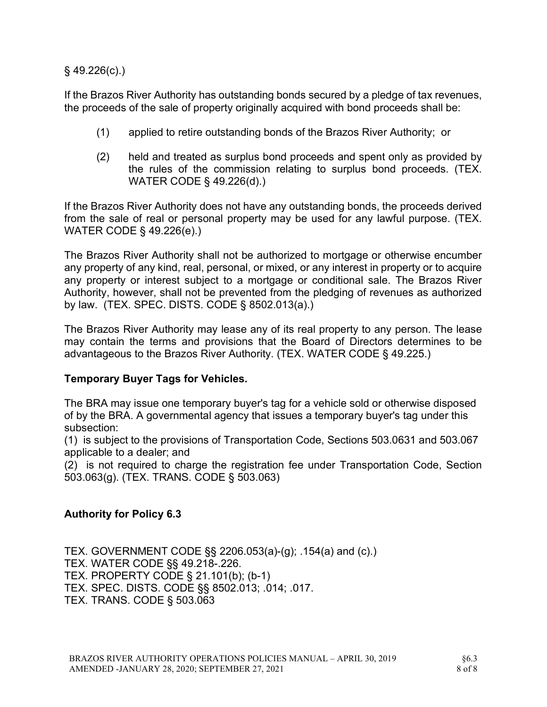§ 49.226(c).)

If the Brazos River Authority has outstanding bonds secured by a pledge of tax revenues, the proceeds of the sale of property originally acquired with bond proceeds shall be:

- (1) applied to retire outstanding bonds of the Brazos River Authority; or
- (2) held and treated as surplus bond proceeds and spent only as provided by the rules of the commission relating to surplus bond proceeds. (TEX. WATER CODE § 49.226(d).)

If the Brazos River Authority does not have any outstanding bonds, the proceeds derived from the sale of real or personal property may be used for any lawful purpose. (TEX. WATER CODE § 49.226(e).)

The Brazos River Authority shall not be authorized to mortgage or otherwise encumber any property of any kind, real, personal, or mixed, or any interest in property or to acquire any property or interest subject to a mortgage or conditional sale. The Brazos River Authority, however, shall not be prevented from the pledging of revenues as authorized by law. (TEX. SPEC. DISTS. CODE § 8502.013(a).)

The Brazos River Authority may lease any of its real property to any person. The lease may contain the terms and provisions that the Board of Directors determines to be advantageous to the Brazos River Authority. (TEX. WATER CODE § 49.225.)

# Temporary Buyer Tags for Vehicles.

The BRA may issue one temporary buyer's tag for a vehicle sold or otherwise disposed of by the BRA. A governmental agency that issues a temporary buyer's tag under this subsection:

(1) is subject to the provisions of Transportation Code, Sections 503.0631 and 503.067 applicable to a dealer; and

(2) is not required to charge the registration fee under Transportation Code, Section 503.063(g). (TEX. TRANS. CODE § 503.063)

# Authority for Policy 6.3

TEX. GOVERNMENT CODE §§ 2206.053(a)-(g); .154(a) and (c).) TEX. WATER CODE §§ 49.218-.226. TEX. PROPERTY CODE § 21.101(b); (b-1) TEX. SPEC. DISTS. CODE §§ 8502.013; .014; .017. TEX. TRANS. CODE § 503.063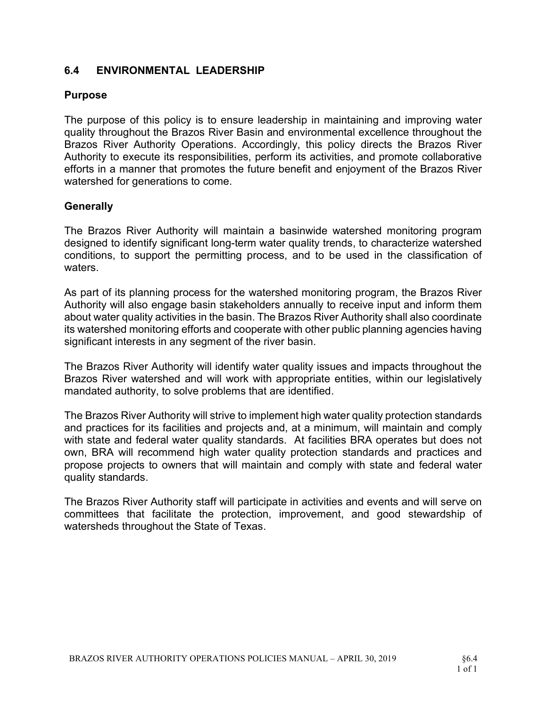# 6.4 ENVIRONMENTAL LEADERSHIP

#### Purpose

The purpose of this policy is to ensure leadership in maintaining and improving water quality throughout the Brazos River Basin and environmental excellence throughout the Brazos River Authority Operations. Accordingly, this policy directs the Brazos River Authority to execute its responsibilities, perform its activities, and promote collaborative efforts in a manner that promotes the future benefit and enjoyment of the Brazos River watershed for generations to come.

### **Generally**

The Brazos River Authority will maintain a basinwide watershed monitoring program designed to identify significant long-term water quality trends, to characterize watershed conditions, to support the permitting process, and to be used in the classification of waters.

As part of its planning process for the watershed monitoring program, the Brazos River Authority will also engage basin stakeholders annually to receive input and inform them about water quality activities in the basin. The Brazos River Authority shall also coordinate its watershed monitoring efforts and cooperate with other public planning agencies having significant interests in any segment of the river basin.

The Brazos River Authority will identify water quality issues and impacts throughout the Brazos River watershed and will work with appropriate entities, within our legislatively mandated authority, to solve problems that are identified.

The Brazos River Authority will strive to implement high water quality protection standards and practices for its facilities and projects and, at a minimum, will maintain and comply with state and federal water quality standards. At facilities BRA operates but does not own, BRA will recommend high water quality protection standards and practices and propose projects to owners that will maintain and comply with state and federal water quality standards.

The Brazos River Authority staff will participate in activities and events and will serve on committees that facilitate the protection, improvement, and good stewardship of watersheds throughout the State of Texas.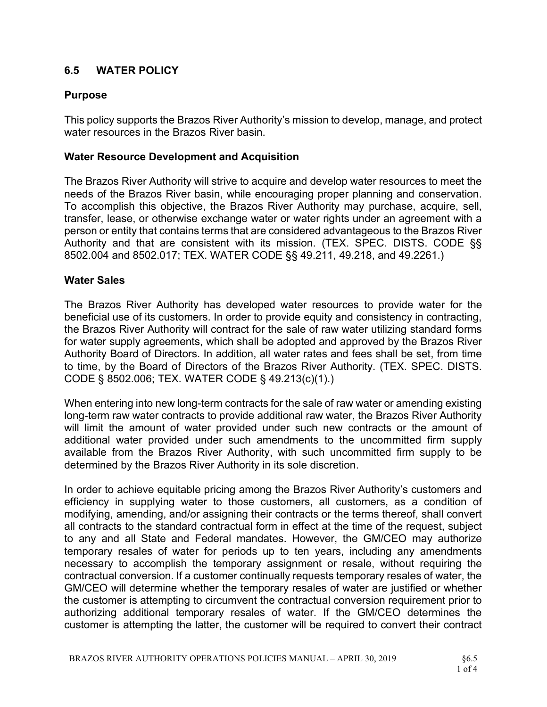# 6.5 WATER POLICY

# Purpose

This policy supports the Brazos River Authority's mission to develop, manage, and protect water resources in the Brazos River basin.

# Water Resource Development and Acquisition

The Brazos River Authority will strive to acquire and develop water resources to meet the needs of the Brazos River basin, while encouraging proper planning and conservation. To accomplish this objective, the Brazos River Authority may purchase, acquire, sell, transfer, lease, or otherwise exchange water or water rights under an agreement with a person or entity that contains terms that are considered advantageous to the Brazos River Authority and that are consistent with its mission. (TEX. SPEC. DISTS. CODE §§ 8502.004 and 8502.017; TEX. WATER CODE §§ 49.211, 49.218, and 49.2261.)

# Water Sales

The Brazos River Authority has developed water resources to provide water for the beneficial use of its customers. In order to provide equity and consistency in contracting, the Brazos River Authority will contract for the sale of raw water utilizing standard forms for water supply agreements, which shall be adopted and approved by the Brazos River Authority Board of Directors. In addition, all water rates and fees shall be set, from time to time, by the Board of Directors of the Brazos River Authority. (TEX. SPEC. DISTS. CODE § 8502.006; TEX. WATER CODE § 49.213(c)(1).)

When entering into new long-term contracts for the sale of raw water or amending existing long-term raw water contracts to provide additional raw water, the Brazos River Authority will limit the amount of water provided under such new contracts or the amount of additional water provided under such amendments to the uncommitted firm supply available from the Brazos River Authority, with such uncommitted firm supply to be determined by the Brazos River Authority in its sole discretion.

In order to achieve equitable pricing among the Brazos River Authority's customers and efficiency in supplying water to those customers, all customers, as a condition of modifying, amending, and/or assigning their contracts or the terms thereof, shall convert all contracts to the standard contractual form in effect at the time of the request, subject to any and all State and Federal mandates. However, the GM/CEO may authorize temporary resales of water for periods up to ten years, including any amendments necessary to accomplish the temporary assignment or resale, without requiring the contractual conversion. If a customer continually requests temporary resales of water, the GM/CEO will determine whether the temporary resales of water are justified or whether the customer is attempting to circumvent the contractual conversion requirement prior to authorizing additional temporary resales of water. If the GM/CEO determines the customer is attempting the latter, the customer will be required to convert their contract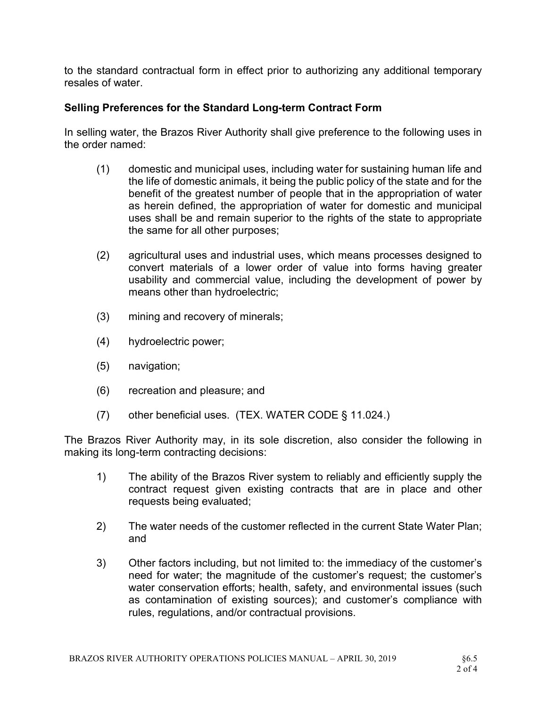to the standard contractual form in effect prior to authorizing any additional temporary resales of water.

# Selling Preferences for the Standard Long-term Contract Form

In selling water, the Brazos River Authority shall give preference to the following uses in the order named:

- (1) domestic and municipal uses, including water for sustaining human life and the life of domestic animals, it being the public policy of the state and for the benefit of the greatest number of people that in the appropriation of water as herein defined, the appropriation of water for domestic and municipal uses shall be and remain superior to the rights of the state to appropriate the same for all other purposes;
- (2) agricultural uses and industrial uses, which means processes designed to convert materials of a lower order of value into forms having greater usability and commercial value, including the development of power by means other than hydroelectric;
- (3) mining and recovery of minerals;
- (4) hydroelectric power;
- (5) navigation;
- (6) recreation and pleasure; and
- (7) other beneficial uses. (TEX. WATER CODE § 11.024.)

The Brazos River Authority may, in its sole discretion, also consider the following in making its long-term contracting decisions:

- 1) The ability of the Brazos River system to reliably and efficiently supply the contract request given existing contracts that are in place and other requests being evaluated;
- 2) The water needs of the customer reflected in the current State Water Plan; and
- 3) Other factors including, but not limited to: the immediacy of the customer's need for water; the magnitude of the customer's request; the customer's water conservation efforts; health, safety, and environmental issues (such as contamination of existing sources); and customer's compliance with rules, regulations, and/or contractual provisions.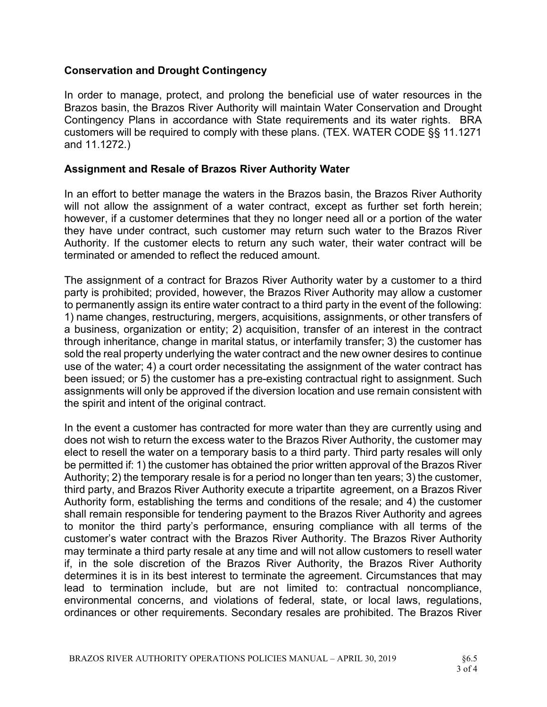### Conservation and Drought Contingency

In order to manage, protect, and prolong the beneficial use of water resources in the Brazos basin, the Brazos River Authority will maintain Water Conservation and Drought Contingency Plans in accordance with State requirements and its water rights. BRA customers will be required to comply with these plans. (TEX. WATER CODE §§ 11.1271 and 11.1272.)

### Assignment and Resale of Brazos River Authority Water

In an effort to better manage the waters in the Brazos basin, the Brazos River Authority will not allow the assignment of a water contract, except as further set forth herein; however, if a customer determines that they no longer need all or a portion of the water they have under contract, such customer may return such water to the Brazos River Authority. If the customer elects to return any such water, their water contract will be terminated or amended to reflect the reduced amount.

The assignment of a contract for Brazos River Authority water by a customer to a third party is prohibited; provided, however, the Brazos River Authority may allow a customer to permanently assign its entire water contract to a third party in the event of the following: 1) name changes, restructuring, mergers, acquisitions, assignments, or other transfers of a business, organization or entity; 2) acquisition, transfer of an interest in the contract through inheritance, change in marital status, or interfamily transfer; 3) the customer has sold the real property underlying the water contract and the new owner desires to continue use of the water; 4) a court order necessitating the assignment of the water contract has been issued; or 5) the customer has a pre-existing contractual right to assignment. Such assignments will only be approved if the diversion location and use remain consistent with the spirit and intent of the original contract.

In the event a customer has contracted for more water than they are currently using and does not wish to return the excess water to the Brazos River Authority, the customer may elect to resell the water on a temporary basis to a third party. Third party resales will only be permitted if: 1) the customer has obtained the prior written approval of the Brazos River Authority; 2) the temporary resale is for a period no longer than ten years; 3) the customer, third party, and Brazos River Authority execute a tripartite agreement, on a Brazos River Authority form, establishing the terms and conditions of the resale; and 4) the customer shall remain responsible for tendering payment to the Brazos River Authority and agrees to monitor the third party's performance, ensuring compliance with all terms of the customer's water contract with the Brazos River Authority. The Brazos River Authority may terminate a third party resale at any time and will not allow customers to resell water if, in the sole discretion of the Brazos River Authority, the Brazos River Authority determines it is in its best interest to terminate the agreement. Circumstances that may lead to termination include, but are not limited to: contractual noncompliance, environmental concerns, and violations of federal, state, or local laws, regulations, ordinances or other requirements. Secondary resales are prohibited. The Brazos River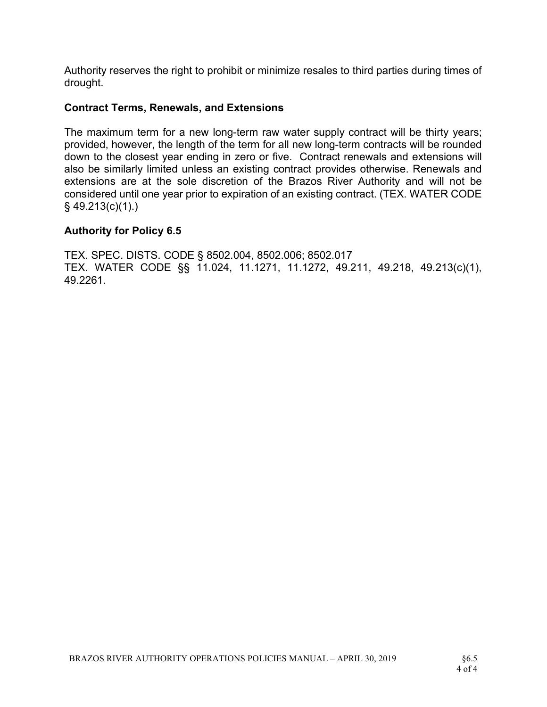Authority reserves the right to prohibit or minimize resales to third parties during times of drought.

#### Contract Terms, Renewals, and Extensions

The maximum term for a new long-term raw water supply contract will be thirty years; provided, however, the length of the term for all new long-term contracts will be rounded down to the closest year ending in zero or five. Contract renewals and extensions will also be similarly limited unless an existing contract provides otherwise. Renewals and extensions are at the sole discretion of the Brazos River Authority and will not be considered until one year prior to expiration of an existing contract. (TEX. WATER CODE § 49.213(c)(1).)

#### Authority for Policy 6.5

TEX. SPEC. DISTS. CODE § 8502.004, 8502.006; 8502.017 TEX. WATER CODE §§ 11.024, 11.1271, 11.1272, 49.211, 49.218, 49.213(c)(1), 49.2261.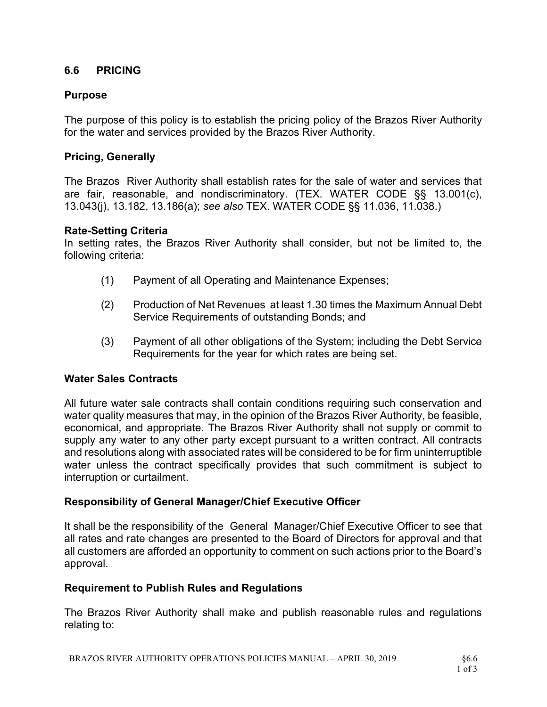### 6.6 PRICING

### Purpose

The purpose of this policy is to establish the pricing policy of the Brazos River Authority for the water and services provided by the Brazos River Authority.

### Pricing, Generally

The Brazos River Authority shall establish rates for the sale of water and services that are fair, reasonable, and nondiscriminatory. (TEX. WATER CODE §§ 13.001(c), 13.043(j), 13.182, 13.186(a); see also TEX. WATER CODE §§ 11.036, 11.038.)

#### Rate-Setting Criteria

In setting rates, the Brazos River Authority shall consider, but not be limited to, the following criteria:

- (1) Payment of all Operating and Maintenance Expenses;
- (2) Production of Net Revenues at least 1.30 times the Maximum Annual Debt Service Requirements of outstanding Bonds; and
- (3) Payment of all other obligations of the System; including the Debt Service Requirements for the year for which rates are being set.

#### Water Sales Contracts

All future water sale contracts shall contain conditions requiring such conservation and water quality measures that may, in the opinion of the Brazos River Authority, be feasible, economical, and appropriate. The Brazos River Authority shall not supply or commit to supply any water to any other party except pursuant to a written contract. All contracts and resolutions along with associated rates will be considered to be for firm uninterruptible water unless the contract specifically provides that such commitment is subject to interruption or curtailment.

#### Responsibility of General Manager/Chief Executive Officer

It shall be the responsibility of the General Manager/Chief Executive Officer to see that all rates and rate changes are presented to the Board of Directors for approval and that all customers are afforded an opportunity to comment on such actions prior to the Board's approval.

#### Requirement to Publish Rules and Regulations

The Brazos River Authority shall make and publish reasonable rules and regulations relating to: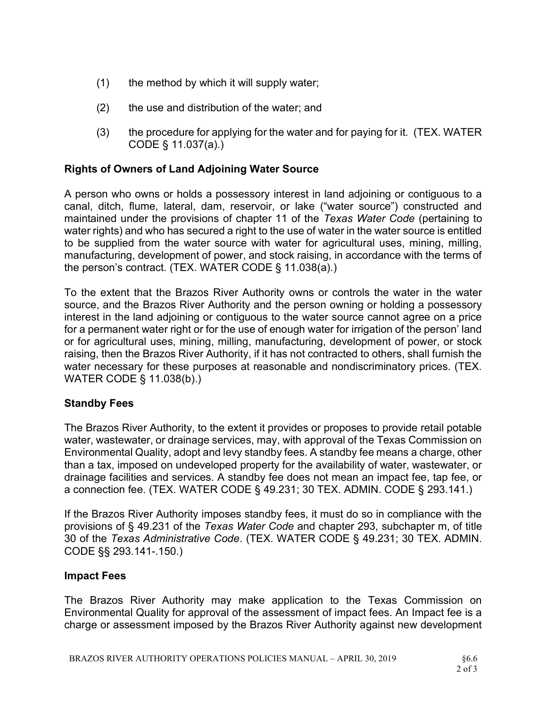- $(1)$  the method by which it will supply water;
- (2) the use and distribution of the water; and
- (3) the procedure for applying for the water and for paying for it. (TEX. WATER CODE § 11.037(a).)

### Rights of Owners of Land Adjoining Water Source

A person who owns or holds a possessory interest in land adjoining or contiguous to a canal, ditch, flume, lateral, dam, reservoir, or lake ("water source") constructed and maintained under the provisions of chapter 11 of the Texas Water Code (pertaining to water rights) and who has secured a right to the use of water in the water source is entitled to be supplied from the water source with water for agricultural uses, mining, milling, manufacturing, development of power, and stock raising, in accordance with the terms of the person's contract. (TEX. WATER CODE § 11.038(a).)

To the extent that the Brazos River Authority owns or controls the water in the water source, and the Brazos River Authority and the person owning or holding a possessory interest in the land adjoining or contiguous to the water source cannot agree on a price for a permanent water right or for the use of enough water for irrigation of the person' land or for agricultural uses, mining, milling, manufacturing, development of power, or stock raising, then the Brazos River Authority, if it has not contracted to others, shall furnish the water necessary for these purposes at reasonable and nondiscriminatory prices. (TEX. WATER CODE § 11.038(b).)

#### Standby Fees

The Brazos River Authority, to the extent it provides or proposes to provide retail potable water, wastewater, or drainage services, may, with approval of the Texas Commission on Environmental Quality, adopt and levy standby fees. A standby fee means a charge, other than a tax, imposed on undeveloped property for the availability of water, wastewater, or drainage facilities and services. A standby fee does not mean an impact fee, tap fee, or a connection fee. (TEX. WATER CODE § 49.231; 30 TEX. ADMIN. CODE § 293.141.)

If the Brazos River Authority imposes standby fees, it must do so in compliance with the provisions of § 49.231 of the Texas Water Code and chapter 293, subchapter m, of title 30 of the Texas Administrative Code. (TEX. WATER CODE § 49.231; 30 TEX. ADMIN. CODE §§ 293.141-.150.)

#### Impact Fees

The Brazos River Authority may make application to the Texas Commission on Environmental Quality for approval of the assessment of impact fees. An Impact fee is a charge or assessment imposed by the Brazos River Authority against new development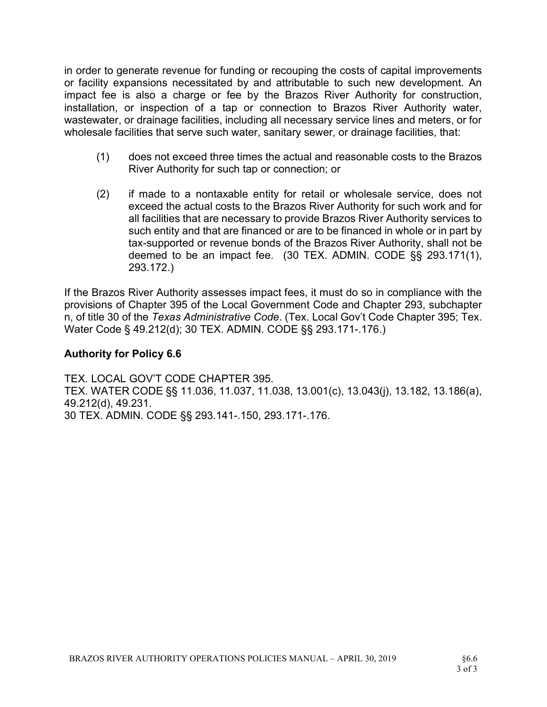in order to generate revenue for funding or recouping the costs of capital improvements or facility expansions necessitated by and attributable to such new development. An impact fee is also a charge or fee by the Brazos River Authority for construction, installation, or inspection of a tap or connection to Brazos River Authority water, wastewater, or drainage facilities, including all necessary service lines and meters, or for wholesale facilities that serve such water, sanitary sewer, or drainage facilities, that:

- (1) does not exceed three times the actual and reasonable costs to the Brazos River Authority for such tap or connection; or
- (2) if made to a nontaxable entity for retail or wholesale service, does not exceed the actual costs to the Brazos River Authority for such work and for all facilities that are necessary to provide Brazos River Authority services to such entity and that are financed or are to be financed in whole or in part by tax-supported or revenue bonds of the Brazos River Authority, shall not be deemed to be an impact fee. (30 TEX. ADMIN. CODE §§ 293.171(1), 293.172.)

If the Brazos River Authority assesses impact fees, it must do so in compliance with the provisions of Chapter 395 of the Local Government Code and Chapter 293, subchapter n, of title 30 of the Texas Administrative Code. (Tex. Local Gov't Code Chapter 395; Tex. Water Code § 49.212(d); 30 TEX. ADMIN. CODE §§ 293.171-.176.)

# Authority for Policy 6.6

TEX. LOCAL GOV'T CODE CHAPTER 395. TEX. WATER CODE §§ 11.036, 11.037, 11.038, 13.001(c), 13.043(j), 13.182, 13.186(a), 49.212(d), 49.231. 30 TEX. ADMIN. CODE §§ 293.141-.150, 293.171-.176.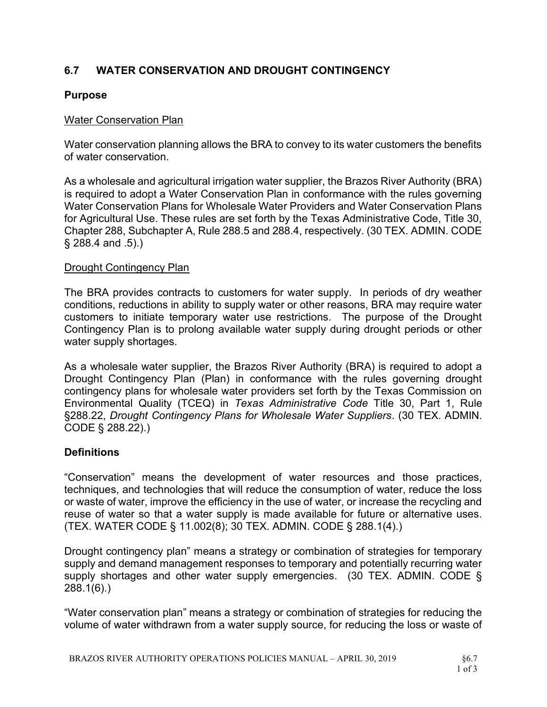# 6.7 WATER CONSERVATION AND DROUGHT CONTINGENCY

### Purpose

#### Water Conservation Plan

Water conservation planning allows the BRA to convey to its water customers the benefits of water conservation.

As a wholesale and agricultural irrigation water supplier, the Brazos River Authority (BRA) is required to adopt a Water Conservation Plan in conformance with the rules governing Water Conservation Plans for Wholesale Water Providers and Water Conservation Plans for Agricultural Use. These rules are set forth by the Texas Administrative Code, Title 30, Chapter 288, Subchapter A, Rule 288.5 and 288.4, respectively. (30 TEX. ADMIN. CODE § 288.4 and .5).)

#### Drought Contingency Plan

The BRA provides contracts to customers for water supply. In periods of dry weather conditions, reductions in ability to supply water or other reasons, BRA may require water customers to initiate temporary water use restrictions. The purpose of the Drought Contingency Plan is to prolong available water supply during drought periods or other water supply shortages.

As a wholesale water supplier, the Brazos River Authority (BRA) is required to adopt a Drought Contingency Plan (Plan) in conformance with the rules governing drought contingency plans for wholesale water providers set forth by the Texas Commission on Environmental Quality (TCEQ) in Texas Administrative Code Title 30, Part 1, Rule §288.22, Drought Contingency Plans for Wholesale Water Suppliers. (30 TEX. ADMIN. CODE § 288.22).)

#### **Definitions**

"Conservation" means the development of water resources and those practices, techniques, and technologies that will reduce the consumption of water, reduce the loss or waste of water, improve the efficiency in the use of water, or increase the recycling and reuse of water so that a water supply is made available for future or alternative uses. (TEX. WATER CODE § 11.002(8); 30 TEX. ADMIN. CODE § 288.1(4).)

Drought contingency plan" means a strategy or combination of strategies for temporary supply and demand management responses to temporary and potentially recurring water supply shortages and other water supply emergencies. (30 TEX. ADMIN. CODE § 288.1(6).)

"Water conservation plan" means a strategy or combination of strategies for reducing the volume of water withdrawn from a water supply source, for reducing the loss or waste of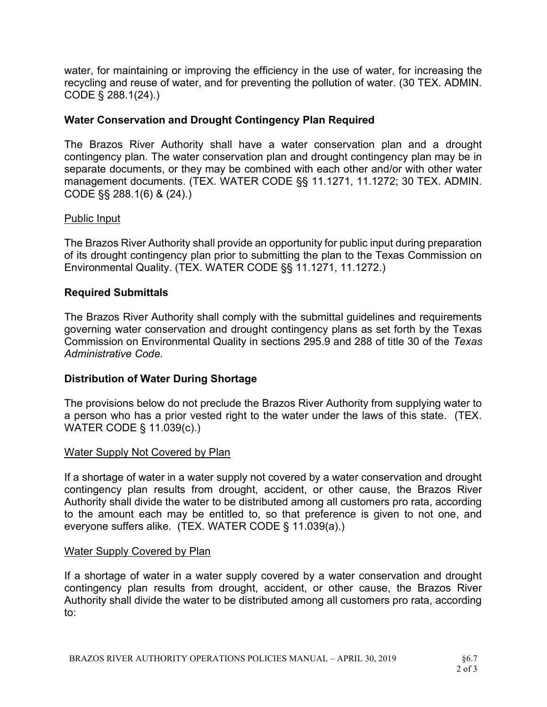water, for maintaining or improving the efficiency in the use of water, for increasing the recycling and reuse of water, and for preventing the pollution of water. (30 TEX. ADMIN. CODE § 288.1(24).)

# Water Conservation and Drought Contingency Plan Required

The Brazos River Authority shall have a water conservation plan and a drought contingency plan. The water conservation plan and drought contingency plan may be in separate documents, or they may be combined with each other and/or with other water management documents. (TEX. WATER CODE §§ 11.1271, 11.1272; 30 TEX. ADMIN. CODE §§ 288.1(6) & (24).)

#### Public Input

The Brazos River Authority shall provide an opportunity for public input during preparation of its drought contingency plan prior to submitting the plan to the Texas Commission on Environmental Quality. (TEX. WATER CODE §§ 11.1271, 11.1272.)

#### Required Submittals

The Brazos River Authority shall comply with the submittal guidelines and requirements governing water conservation and drought contingency plans as set forth by the Texas Commission on Environmental Quality in sections 295.9 and 288 of title 30 of the Texas Administrative Code.

#### Distribution of Water During Shortage

The provisions below do not preclude the Brazos River Authority from supplying water to a person who has a prior vested right to the water under the laws of this state. (TEX. WATER CODE § 11.039(c).)

#### Water Supply Not Covered by Plan

If a shortage of water in a water supply not covered by a water conservation and drought contingency plan results from drought, accident, or other cause, the Brazos River Authority shall divide the water to be distributed among all customers pro rata, according to the amount each may be entitled to, so that preference is given to not one, and everyone suffers alike. (TEX. WATER CODE § 11.039(a).)

#### Water Supply Covered by Plan

If a shortage of water in a water supply covered by a water conservation and drought contingency plan results from drought, accident, or other cause, the Brazos River Authority shall divide the water to be distributed among all customers pro rata, according to: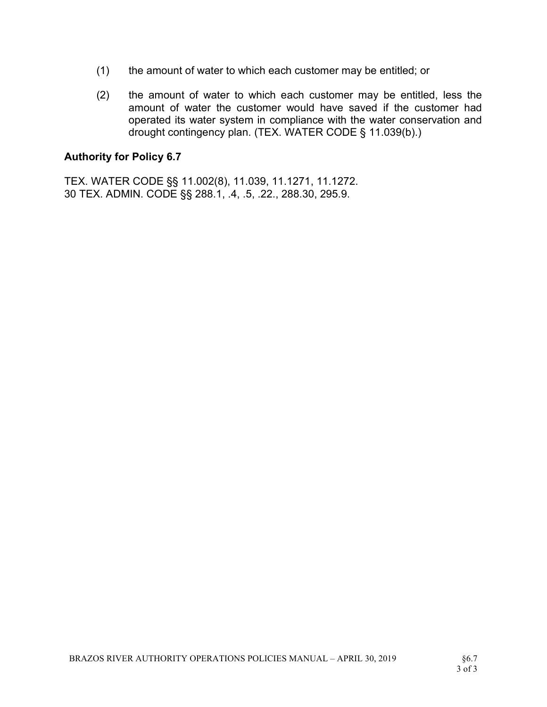- (1) the amount of water to which each customer may be entitled; or
- (2) the amount of water to which each customer may be entitled, less the amount of water the customer would have saved if the customer had operated its water system in compliance with the water conservation and drought contingency plan. (TEX. WATER CODE § 11.039(b).)

#### Authority for Policy 6.7

TEX. WATER CODE §§ 11.002(8), 11.039, 11.1271, 11.1272. 30 TEX. ADMIN. CODE §§ 288.1, .4, .5, .22., 288.30, 295.9.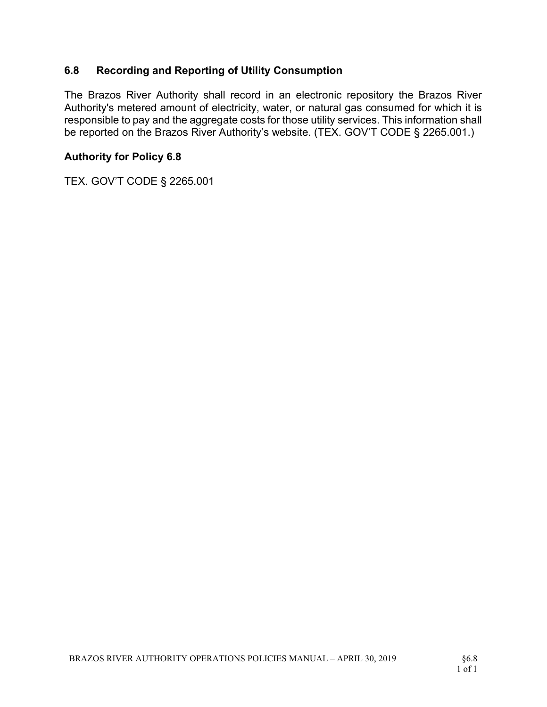# 6.8 Recording and Reporting of Utility Consumption

The Brazos River Authority shall record in an electronic repository the Brazos River Authority's metered amount of electricity, water, or natural gas consumed for which it is responsible to pay and the aggregate costs for those utility services. This information shall be reported on the Brazos River Authority's website. (TEX. GOV'T CODE § 2265.001.)

### Authority for Policy 6.8

TEX. GOV'T CODE § 2265.001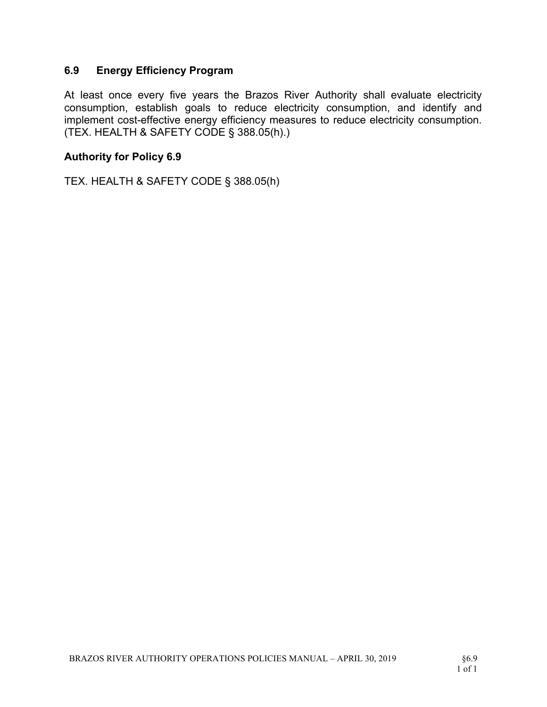### 6.9 Energy Efficiency Program

At least once every five years the Brazos River Authority shall evaluate electricity consumption, establish goals to reduce electricity consumption, and identify and implement cost-effective energy efficiency measures to reduce electricity consumption. (TEX. HEALTH & SAFETY CODE § 388.05(h).)

#### Authority for Policy 6.9

TEX. HEALTH & SAFETY CODE § 388.05(h)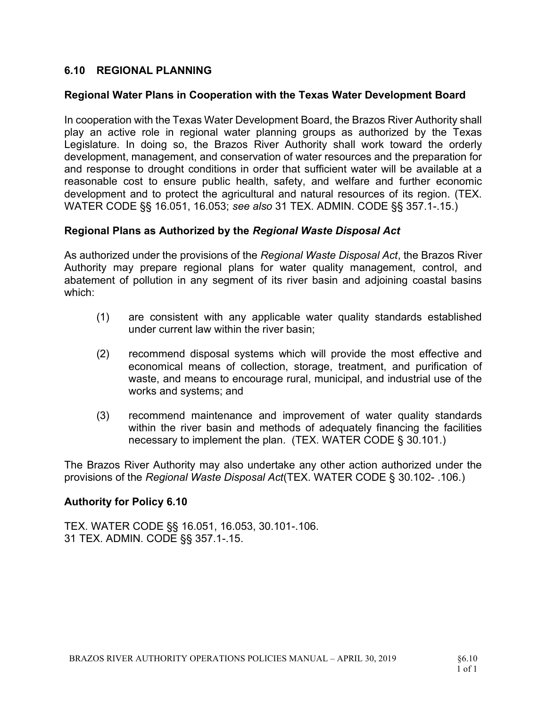### 6.10 REGIONAL PLANNING

#### Regional Water Plans in Cooperation with the Texas Water Development Board

In cooperation with the Texas Water Development Board, the Brazos River Authority shall play an active role in regional water planning groups as authorized by the Texas Legislature. In doing so, the Brazos River Authority shall work toward the orderly development, management, and conservation of water resources and the preparation for and response to drought conditions in order that sufficient water will be available at a reasonable cost to ensure public health, safety, and welfare and further economic development and to protect the agricultural and natural resources of its region. (TEX. WATER CODE §§ 16.051, 16.053; see also 31 TEX. ADMIN. CODE §§ 357.1-.15.)

#### Regional Plans as Authorized by the Regional Waste Disposal Act

As authorized under the provisions of the Regional Waste Disposal Act, the Brazos River Authority may prepare regional plans for water quality management, control, and abatement of pollution in any segment of its river basin and adjoining coastal basins which:

- (1) are consistent with any applicable water quality standards established under current law within the river basin;
- (2) recommend disposal systems which will provide the most effective and economical means of collection, storage, treatment, and purification of waste, and means to encourage rural, municipal, and industrial use of the works and systems; and
- (3) recommend maintenance and improvement of water quality standards within the river basin and methods of adequately financing the facilities necessary to implement the plan. (TEX. WATER CODE § 30.101.)

The Brazos River Authority may also undertake any other action authorized under the provisions of the Regional Waste Disposal Act(TEX. WATER CODE § 30.102- .106.)

#### Authority for Policy 6.10

TEX. WATER CODE §§ 16.051, 16.053, 30.101-.106. 31 TEX. ADMIN. CODE §§ 357.1-.15.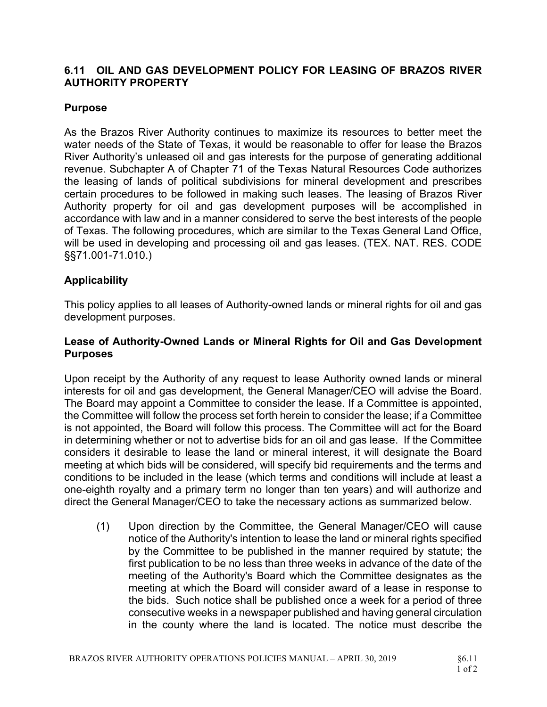### 6.11 OIL AND GAS DEVELOPMENT POLICY FOR LEASING OF BRAZOS RIVER AUTHORITY PROPERTY

### Purpose

As the Brazos River Authority continues to maximize its resources to better meet the water needs of the State of Texas, it would be reasonable to offer for lease the Brazos River Authority's unleased oil and gas interests for the purpose of generating additional revenue. Subchapter A of Chapter 71 of the Texas Natural Resources Code authorizes the leasing of lands of political subdivisions for mineral development and prescribes certain procedures to be followed in making such leases. The leasing of Brazos River Authority property for oil and gas development purposes will be accomplished in accordance with law and in a manner considered to serve the best interests of the people of Texas. The following procedures, which are similar to the Texas General Land Office, will be used in developing and processing oil and gas leases. (TEX. NAT. RES. CODE §§71.001-71.010.)

# **Applicability**

This policy applies to all leases of Authority-owned lands or mineral rights for oil and gas development purposes.

### Lease of Authority-Owned Lands or Mineral Rights for Oil and Gas Development Purposes

Upon receipt by the Authority of any request to lease Authority owned lands or mineral interests for oil and gas development, the General Manager/CEO will advise the Board. The Board may appoint a Committee to consider the lease. If a Committee is appointed, the Committee will follow the process set forth herein to consider the lease; if a Committee is not appointed, the Board will follow this process. The Committee will act for the Board in determining whether or not to advertise bids for an oil and gas lease. If the Committee considers it desirable to lease the land or mineral interest, it will designate the Board meeting at which bids will be considered, will specify bid requirements and the terms and conditions to be included in the lease (which terms and conditions will include at least a one-eighth royalty and a primary term no longer than ten years) and will authorize and direct the General Manager/CEO to take the necessary actions as summarized below.

(1) Upon direction by the Committee, the General Manager/CEO will cause notice of the Authority's intention to lease the land or mineral rights specified by the Committee to be published in the manner required by statute; the first publication to be no less than three weeks in advance of the date of the meeting of the Authority's Board which the Committee designates as the meeting at which the Board will consider award of a lease in response to the bids. Such notice shall be published once a week for a period of three consecutive weeks in a newspaper published and having general circulation in the county where the land is located. The notice must describe the